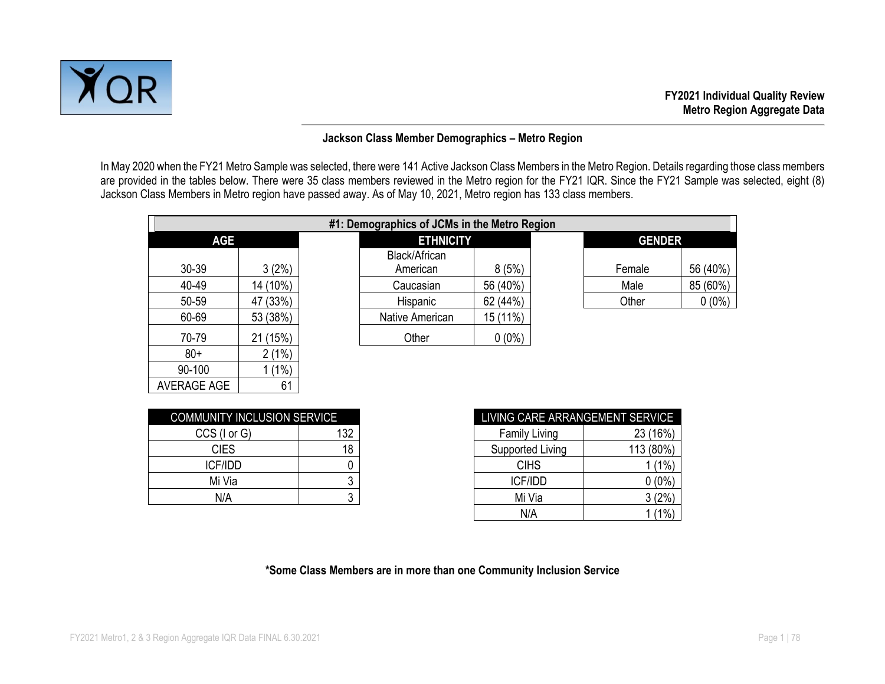

#### **Jackson Class Member Demographics – Metro Region**

In May 2020 when the FY21 Metro Sample was selected, there were 141 Active Jackson Class Members in the Metro Region. Details regarding those class members are provided in the tables below. There were 35 class members reviewed in the Metro region for the FY21 IQR. Since the FY21 Sample was selected, eight (8) Jackson Class Members in Metro region have passed away. As of May 10, 2021, Metro region has 133 class members.

|            |          | #1: Demographics of JCMs in the Metro Region |          |               |          |
|------------|----------|----------------------------------------------|----------|---------------|----------|
| <b>AGE</b> |          | <b>ETHNICITY</b>                             |          | <b>GENDER</b> |          |
| $30 - 39$  | 3(2%)    | Black/African<br>American                    | 8(5%)    | Female        | 56 (40%) |
| 40-49      | 14 (10%) | Caucasian                                    | 56 (40%) | Male          | 85 (60%) |
| 50-59      | 47 (33%) | Hispanic                                     | 62 (44%) | Other         | $0(0\%)$ |
| 60-69      | 53 (38%) | Native American                              | 15 (11%) |               |          |
| 70-79      | 21 (15%) | Other                                        | $0(0\%)$ |               |          |
| $80+$      | 2(1%)    |                                              |          |               |          |

| <b>COMMUNITY INCLUSION SERVICE</b> |     |  |  |  |  |  |  |  |
|------------------------------------|-----|--|--|--|--|--|--|--|
| CCS (I or G)                       | 132 |  |  |  |  |  |  |  |
| <b>CIES</b>                        | 18  |  |  |  |  |  |  |  |
| <b>ICF/IDD</b>                     |     |  |  |  |  |  |  |  |
| Mi Via                             |     |  |  |  |  |  |  |  |
| N/A                                |     |  |  |  |  |  |  |  |

90-100 1 (1%) AVERAGE AGE | 61

| COMMUNITY INCLUSION SERVICE |     | LIVING CARE ARRANGEMENT SERVICE |              |
|-----------------------------|-----|---------------------------------|--------------|
| CCS (I or G)                | 132 | <b>Family Living</b>            | (16%)<br>23. |
| <b>CIES</b>                 | 18  | Supported Living                | 113 (80%)    |
| <b>ICF/IDD</b>              |     | <b>CIHS</b>                     | (1%          |
| Mi Via                      | າ   | <b>ICF/IDD</b>                  | $0(0\%)$     |
| N/A                         | ົ   | Mi Via                          | 3(2%)        |
|                             |     | N/A                             | (1% )        |

#### **\*Some Class Members are in more than one Community Inclusion Service**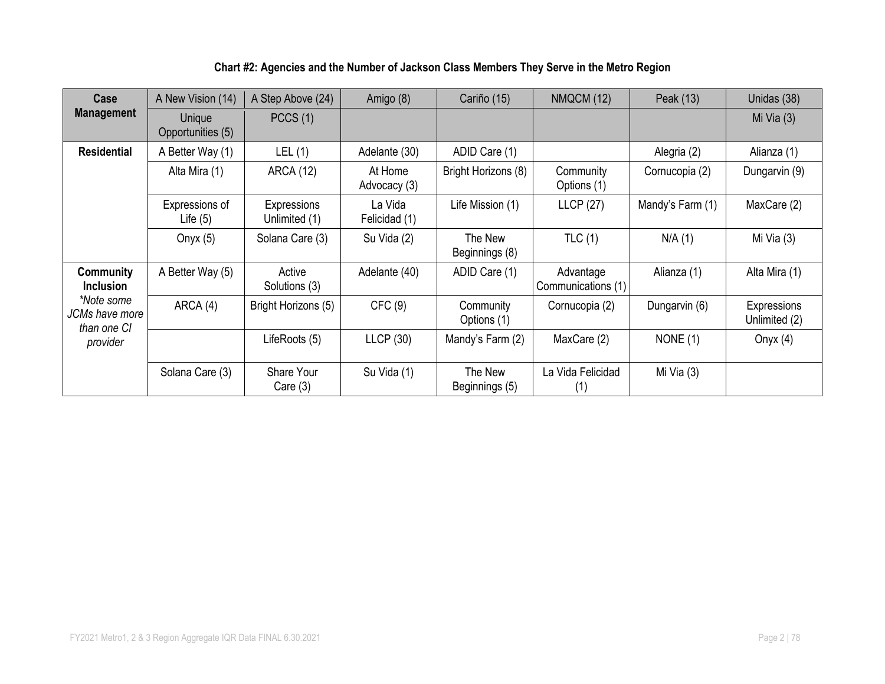### **Chart #2: Agencies and the Number of Jackson Class Members They Serve in the Metro Region**

| Case                                        | A New Vision (14)            | A Step Above (24)            | Amigo (8)                | Cariño (15)               | <b>NMQCM (12)</b>               | Peak (13)        | Unidas (38)                  |
|---------------------------------------------|------------------------------|------------------------------|--------------------------|---------------------------|---------------------------------|------------------|------------------------------|
| <b>Management</b>                           | Unique<br>Opportunities (5)  | PCCS(1)                      |                          |                           |                                 |                  | Mi Via $(3)$                 |
| <b>Residential</b>                          | A Better Way (1)             | LEL(1)                       | Adelante (30)            | ADID Care (1)             |                                 | Alegria (2)      | Alianza (1)                  |
|                                             | Alta Mira (1)                | <b>ARCA (12)</b>             | At Home<br>Advocacy (3)  | Bright Horizons (8)       | Community<br>Options (1)        | Cornucopia (2)   | Dungarvin (9)                |
|                                             | Expressions of<br>Life $(5)$ | Expressions<br>Unlimited (1) | La Vida<br>Felicidad (1) | Life Mission (1)          | <b>LLCP (27)</b>                | Mandy's Farm (1) | MaxCare (2)                  |
|                                             | Onyx $(5)$                   | Solana Care (3)              | Su Vida (2)              | The New<br>Beginnings (8) | TLC(1)                          | N/A(1)           | Mi Via $(3)$                 |
| <b>Community</b><br><b>Inclusion</b>        | A Better Way (5)             | Active<br>Solutions (3)      | Adelante (40)            | ADID Care (1)             | Advantage<br>Communications (1) | Alianza (1)      | Alta Mira (1)                |
| *Note some<br>JCMs have more<br>than one CI | ARCA (4)                     | Bright Horizons (5)          | CFC(9)                   | Community<br>Options (1)  | Cornucopia (2)                  | Dungarvin (6)    | Expressions<br>Unlimited (2) |
| provider                                    |                              | LifeRoots (5)                | LLCP(30)                 | Mandy's Farm (2)          | MaxCare (2)                     | NONE $(1)$       | Onyx $(4)$                   |
|                                             | Solana Care (3)              | Share Your<br>Care $(3)$     | Su Vida (1)              | The New<br>Beginnings (5) | La Vida Felicidad<br>(1)        | Mi Via (3)       |                              |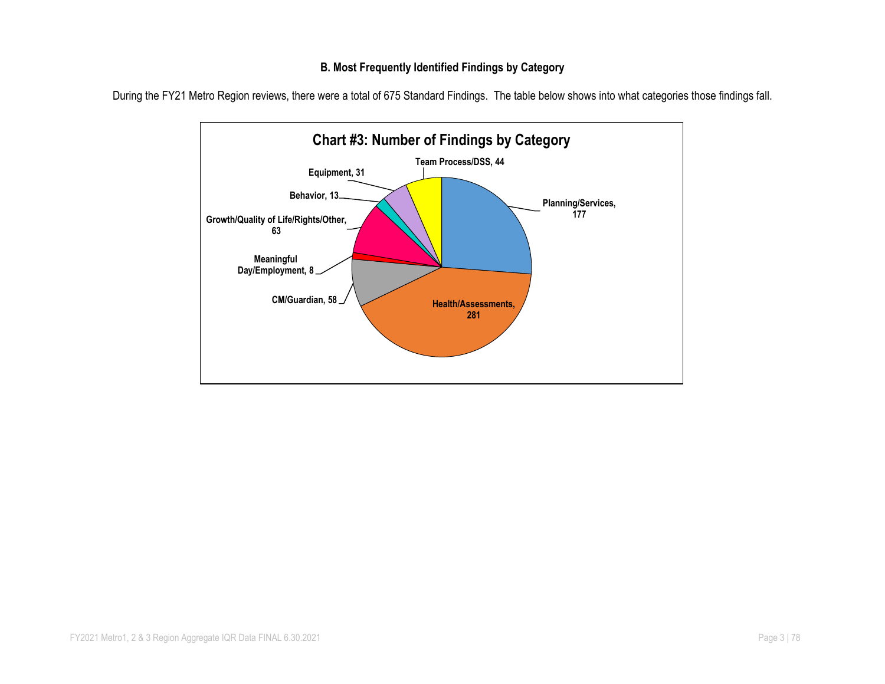#### **B. Most Frequently Identified Findings by Category**



During the FY21 Metro Region reviews, there were a total of 675 Standard Findings. The table below shows into what categories those findings fall.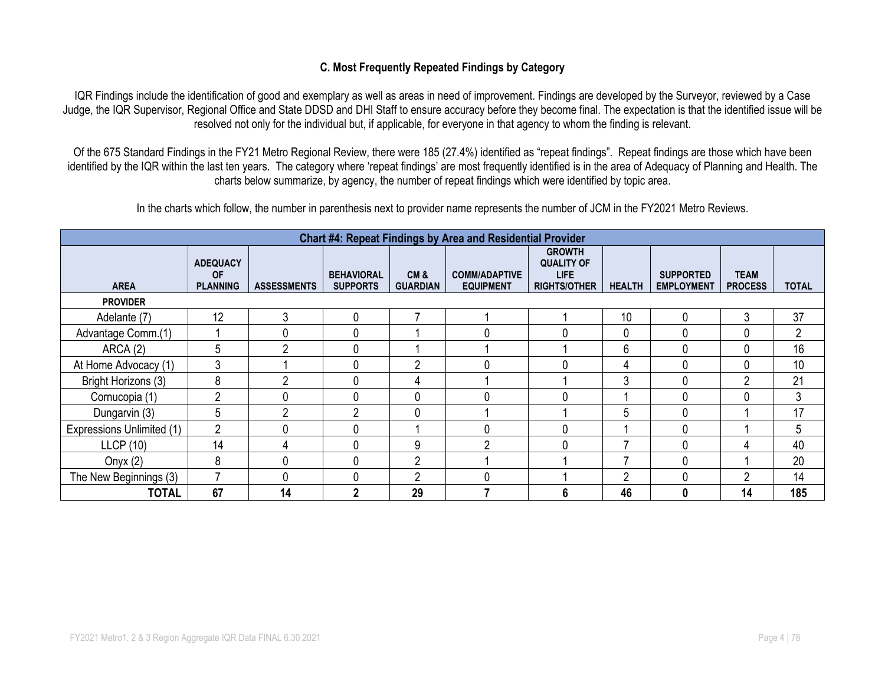#### **C. Most Frequently Repeated Findings by Category**

IQR Findings include the identification of good and exemplary as well as areas in need of improvement. Findings are developed by the Surveyor, reviewed by a Case Judge, the IQR Supervisor, Regional Office and State DDSD and DHI Staff to ensure accuracy before they become final. The expectation is that the identified issue will be resolved not only for the individual but, if applicable, for everyone in that agency to whom the finding is relevant.

Of the 675 Standard Findings in the FY21 Metro Regional Review, there were 185 (27.4%) identified as "repeat findings". Repeat findings are those which have been identified by the IQR within the last ten years. The category where 'repeat findings' are most frequently identified is in the area of Adequacy of Planning and Health. The charts below summarize, by agency, the number of repeat findings which were identified by topic area.

In the charts which follow, the number in parenthesis next to provider name represents the number of JCM in the FY2021 Metro Reviews.

|                           | <b>Chart #4: Repeat Findings by Area and Residential Provider</b> |                    |                                      |                        |                                          |                                                                   |               |                                       |                               |              |  |  |  |
|---------------------------|-------------------------------------------------------------------|--------------------|--------------------------------------|------------------------|------------------------------------------|-------------------------------------------------------------------|---------------|---------------------------------------|-------------------------------|--------------|--|--|--|
| <b>AREA</b>               | <b>ADEQUACY</b><br><b>OF</b><br><b>PLANNING</b>                   | <b>ASSESSMENTS</b> | <b>BEHAVIORAL</b><br><b>SUPPORTS</b> | CM&<br><b>GUARDIAN</b> | <b>COMM/ADAPTIVE</b><br><b>EQUIPMENT</b> | <b>GROWTH</b><br><b>QUALITY OF</b><br>LIFE<br><b>RIGHTS/OTHER</b> | <b>HEALTH</b> | <b>SUPPORTED</b><br><b>EMPLOYMENT</b> | <b>TEAM</b><br><b>PROCESS</b> | <b>TOTAL</b> |  |  |  |
| <b>PROVIDER</b>           |                                                                   |                    |                                      |                        |                                          |                                                                   |               |                                       |                               |              |  |  |  |
| Adelante (7)              | 12                                                                | 3                  | $\mathbf{0}$                         |                        |                                          |                                                                   | 10            | 0                                     | 3                             | 37           |  |  |  |
| Advantage Comm.(1)        |                                                                   |                    |                                      |                        | $\Omega$                                 |                                                                   | 0             |                                       | 0                             | 2            |  |  |  |
| ARCA(2)                   | 5                                                                 | ŋ                  |                                      |                        |                                          |                                                                   | 6             | 0                                     | 0                             | 16           |  |  |  |
| At Home Advocacy (1)      | 3                                                                 |                    |                                      | 2                      | $\Omega$                                 |                                                                   | 4             |                                       | 0                             | 10           |  |  |  |
| Bright Horizons (3)       | 8                                                                 | ◠                  |                                      | 4                      |                                          |                                                                   | 3             |                                       | ົ                             | 21           |  |  |  |
| Cornucopia (1)            | $\overline{2}$                                                    |                    |                                      | 0                      | 0                                        |                                                                   |               |                                       | 0                             | 3            |  |  |  |
| Dungarvin (3)             | 5                                                                 | c                  | C                                    | $\mathbf 0$            |                                          |                                                                   | 5             |                                       |                               | 17           |  |  |  |
| Expressions Unlimited (1) | $\overline{2}$                                                    |                    |                                      |                        | $\Omega$                                 |                                                                   |               |                                       |                               | 5            |  |  |  |
| <b>LLCP</b> (10)          | 14                                                                | 4                  |                                      | 9                      | ∩                                        |                                                                   |               |                                       | 4                             | 40           |  |  |  |
| Onyx $(2)$                | 8                                                                 |                    |                                      | ∩                      |                                          |                                                                   |               |                                       |                               | 20           |  |  |  |
| The New Beginnings (3)    |                                                                   |                    |                                      | ∩                      | 0                                        |                                                                   | ∩             |                                       | ∩                             | 14           |  |  |  |
| <b>TOTAL</b>              | 67                                                                | 14                 | 2                                    | 29                     |                                          |                                                                   | 46            | O                                     | 14                            | 185          |  |  |  |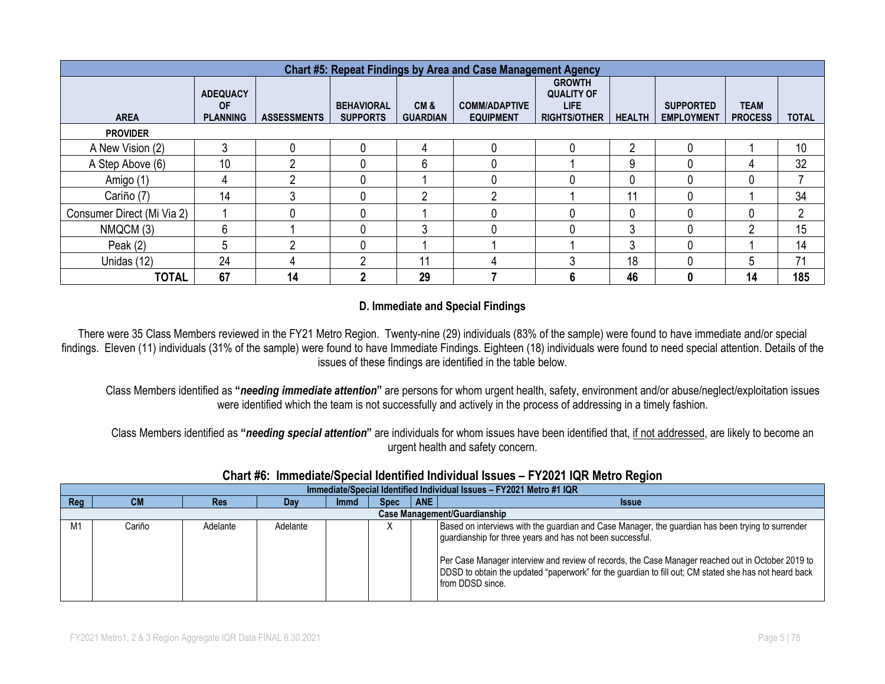|                            | <b>Chart #5: Repeat Findings by Area and Case Management Agency</b> |                    |                                      |                        |                                          |                                                                          |               |                                       |                               |                |  |  |  |
|----------------------------|---------------------------------------------------------------------|--------------------|--------------------------------------|------------------------|------------------------------------------|--------------------------------------------------------------------------|---------------|---------------------------------------|-------------------------------|----------------|--|--|--|
| <b>AREA</b>                | <b>ADEQUACY</b><br><b>OF</b><br><b>PLANNING</b>                     | <b>ASSESSMENTS</b> | <b>BEHAVIORAL</b><br><b>SUPPORTS</b> | CM&<br><b>GUARDIAN</b> | <b>COMM/ADAPTIVE</b><br><b>EQUIPMENT</b> | <b>GROWTH</b><br><b>QUALITY OF</b><br><b>LIFE</b><br><b>RIGHTS/OTHER</b> | <b>HEALTH</b> | <b>SUPPORTED</b><br><b>EMPLOYMENT</b> | <b>TEAM</b><br><b>PROCESS</b> | <b>TOTAL</b>   |  |  |  |
| <b>PROVIDER</b>            |                                                                     |                    |                                      |                        |                                          |                                                                          |               |                                       |                               |                |  |  |  |
| A New Vision (2)           | 3                                                                   |                    | 0                                    |                        |                                          |                                                                          | റ             |                                       |                               | 10             |  |  |  |
| A Step Above (6)           | 10                                                                  | ი                  |                                      | 6                      |                                          |                                                                          | 9             |                                       | 4                             | 32             |  |  |  |
| Amigo (1)                  |                                                                     | ∩                  |                                      |                        |                                          |                                                                          |               |                                       | 0                             |                |  |  |  |
| Cariño (7)                 | 14                                                                  | 3                  | 0                                    | ∩                      | Ω                                        |                                                                          | 11            |                                       |                               | 34             |  |  |  |
| Consumer Direct (Mi Via 2) |                                                                     |                    |                                      |                        |                                          |                                                                          |               |                                       | 0                             | $\overline{2}$ |  |  |  |
| NMQCM (3)                  | 6                                                                   |                    |                                      | 3                      |                                          |                                                                          | 3             |                                       | 2                             | 15             |  |  |  |
| Peak $(2)$                 | 5                                                                   | ŋ                  |                                      |                        |                                          |                                                                          | 3             |                                       |                               | 14             |  |  |  |
| Unidas (12)                | 24                                                                  | Д                  | റ                                    | 11                     |                                          | ◠                                                                        | 18            |                                       | 5                             | 71             |  |  |  |
| <b>TOTAL</b>               | 67                                                                  | 14                 |                                      | 29                     |                                          | n                                                                        | 46            | 0                                     | 14                            | 185            |  |  |  |

### **D. Immediate and Special Findings**

There were 35 Class Members reviewed in the FY21 Metro Region. Twenty-nine (29) individuals (83% of the sample) were found to have immediate and/or special findings. Eleven (11) individuals (31% of the sample) were found to have Immediate Findings. Eighteen (18) individuals were found to need special attention. Details of the issues of these findings are identified in the table below.

Class Members identified as **"***needing immediate attention***"** are persons for whom urgent health, safety, environment and/or abuse/neglect/exploitation issues were identified which the team is not successfully and actively in the process of addressing in a timely fashion.

Class Members identified as **"***needing special attention***"** are individuals for whom issues have been identified that, if not addressed, are likely to become an urgent health and safety concern.

#### **Chart #6: Immediate/Special Identified Individual Issues – FY2021 IQR Metro Region**

|     | Immediate/Special Identified Individual Issues - FY2021 Metro #1 IQR |            |          |             |             |            |                                                                                                                                                                                                                                                                                                                                                                                                  |  |  |  |  |  |  |
|-----|----------------------------------------------------------------------|------------|----------|-------------|-------------|------------|--------------------------------------------------------------------------------------------------------------------------------------------------------------------------------------------------------------------------------------------------------------------------------------------------------------------------------------------------------------------------------------------------|--|--|--|--|--|--|
| Reg | <b>CM</b>                                                            | <b>Res</b> | Dav      | <b>Immd</b> | <b>Spec</b> | <b>ANE</b> | <b>Issue</b>                                                                                                                                                                                                                                                                                                                                                                                     |  |  |  |  |  |  |
|     | <b>Case Management/Guardianship</b>                                  |            |          |             |             |            |                                                                                                                                                                                                                                                                                                                                                                                                  |  |  |  |  |  |  |
| M1  | Cariño                                                               | Adelante   | Adelante |             | ∧           |            | Based on interviews with the guardian and Case Manager, the guardian has been trying to surrender<br>guardianship for three years and has not been successful.<br>Per Case Manager interview and review of records, the Case Manager reached out in October 2019 to<br>DDSD to obtain the updated "paperwork" for the guardian to fill out; CM stated she has not heard back<br>from DDSD since. |  |  |  |  |  |  |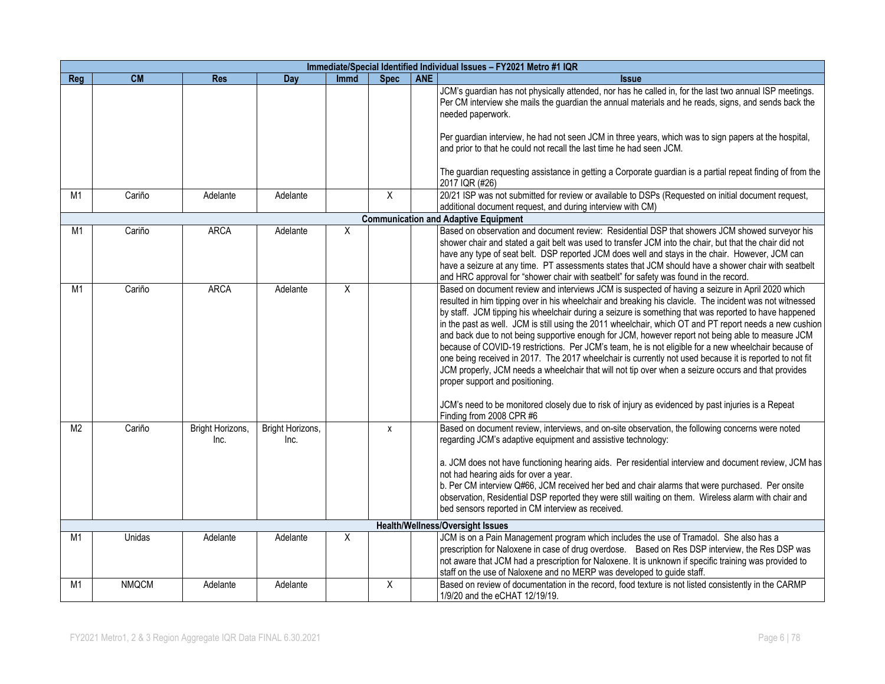|                |              |                          |                          |             |             |            | Immediate/Special Identified Individual Issues - FY2021 Metro #1 IQR                                                                                                                                                                                                                                                                                                                                                                                                                                                                                                                                                                                                                                                                                                                                                                                                                                                                                                                                                                 |
|----------------|--------------|--------------------------|--------------------------|-------------|-------------|------------|--------------------------------------------------------------------------------------------------------------------------------------------------------------------------------------------------------------------------------------------------------------------------------------------------------------------------------------------------------------------------------------------------------------------------------------------------------------------------------------------------------------------------------------------------------------------------------------------------------------------------------------------------------------------------------------------------------------------------------------------------------------------------------------------------------------------------------------------------------------------------------------------------------------------------------------------------------------------------------------------------------------------------------------|
| Reg            | <b>CM</b>    | <b>Res</b>               | Day                      | <b>Immd</b> | <b>Spec</b> | <b>ANE</b> | <b>Issue</b>                                                                                                                                                                                                                                                                                                                                                                                                                                                                                                                                                                                                                                                                                                                                                                                                                                                                                                                                                                                                                         |
|                |              |                          |                          |             |             |            | JCM's guardian has not physically attended, nor has he called in, for the last two annual ISP meetings.<br>Per CM interview she mails the guardian the annual materials and he reads, signs, and sends back the<br>needed paperwork.<br>Per guardian interview, he had not seen JCM in three years, which was to sign papers at the hospital,<br>and prior to that he could not recall the last time he had seen JCM.                                                                                                                                                                                                                                                                                                                                                                                                                                                                                                                                                                                                                |
|                |              |                          |                          |             |             |            | The guardian requesting assistance in getting a Corporate guardian is a partial repeat finding of from the<br>2017 IQR (#26)                                                                                                                                                                                                                                                                                                                                                                                                                                                                                                                                                                                                                                                                                                                                                                                                                                                                                                         |
| M <sub>1</sub> | Cariño       | Adelante                 | Adelante                 |             | X           |            | 20/21 ISP was not submitted for review or available to DSPs (Requested on initial document request,<br>additional document request, and during interview with CM)                                                                                                                                                                                                                                                                                                                                                                                                                                                                                                                                                                                                                                                                                                                                                                                                                                                                    |
|                |              |                          |                          |             |             |            | <b>Communication and Adaptive Equipment</b>                                                                                                                                                                                                                                                                                                                                                                                                                                                                                                                                                                                                                                                                                                                                                                                                                                                                                                                                                                                          |
| M1             | Cariño       | <b>ARCA</b>              | Adelante                 | Χ           |             |            | Based on observation and document review: Residential DSP that showers JCM showed surveyor his<br>shower chair and stated a gait belt was used to transfer JCM into the chair, but that the chair did not<br>have any type of seat belt. DSP reported JCM does well and stays in the chair. However, JCM can<br>have a seizure at any time. PT assessments states that JCM should have a shower chair with seatbelt<br>and HRC approval for "shower chair with seatbelt" for safety was found in the record.                                                                                                                                                                                                                                                                                                                                                                                                                                                                                                                         |
| M1             | Cariño       | <b>ARCA</b>              | Adelante                 | X           |             |            | Based on document review and interviews JCM is suspected of having a seizure in April 2020 which<br>resulted in him tipping over in his wheelchair and breaking his clavicle. The incident was not witnessed<br>by staff. JCM tipping his wheelchair during a seizure is something that was reported to have happened<br>in the past as well. JCM is still using the 2011 wheelchair, which OT and PT report needs a new cushion<br>and back due to not being supportive enough for JCM, however report not being able to measure JCM<br>because of COVID-19 restrictions. Per JCM's team, he is not eligible for a new wheelchair because of<br>one being received in 2017. The 2017 wheelchair is currently not used because it is reported to not fit<br>JCM properly, JCM needs a wheelchair that will not tip over when a seizure occurs and that provides<br>proper support and positioning.<br>JCM's need to be monitored closely due to risk of injury as evidenced by past injuries is a Repeat<br>Finding from 2008 CPR #6 |
| M <sub>2</sub> | Cariño       | Bright Horizons,<br>Inc. | Bright Horizons,<br>Inc. |             | X           |            | Based on document review, interviews, and on-site observation, the following concerns were noted<br>regarding JCM's adaptive equipment and assistive technology:<br>a. JCM does not have functioning hearing aids. Per residential interview and document review, JCM has<br>not had hearing aids for over a year.<br>b. Per CM interview Q#66, JCM received her bed and chair alarms that were purchased. Per onsite<br>observation, Residential DSP reported they were still waiting on them. Wireless alarm with chair and<br>bed sensors reported in CM interview as received.                                                                                                                                                                                                                                                                                                                                                                                                                                                   |
|                |              |                          |                          |             |             |            | <b>Health/Wellness/Oversight Issues</b>                                                                                                                                                                                                                                                                                                                                                                                                                                                                                                                                                                                                                                                                                                                                                                                                                                                                                                                                                                                              |
| M1             | Unidas       | Adelante                 | Adelante                 | X           |             |            | JCM is on a Pain Management program which includes the use of Tramadol. She also has a<br>prescription for Naloxene in case of drug overdose. Based on Res DSP interview, the Res DSP was<br>not aware that JCM had a prescription for Naloxene. It is unknown if specific training was provided to<br>staff on the use of Naloxene and no MERP was developed to guide staff.                                                                                                                                                                                                                                                                                                                                                                                                                                                                                                                                                                                                                                                        |
| M <sub>1</sub> | <b>NMQCM</b> | Adelante                 | Adelante                 |             | X           |            | Based on review of documentation in the record, food texture is not listed consistently in the CARMP<br>1/9/20 and the eCHAT 12/19/19.                                                                                                                                                                                                                                                                                                                                                                                                                                                                                                                                                                                                                                                                                                                                                                                                                                                                                               |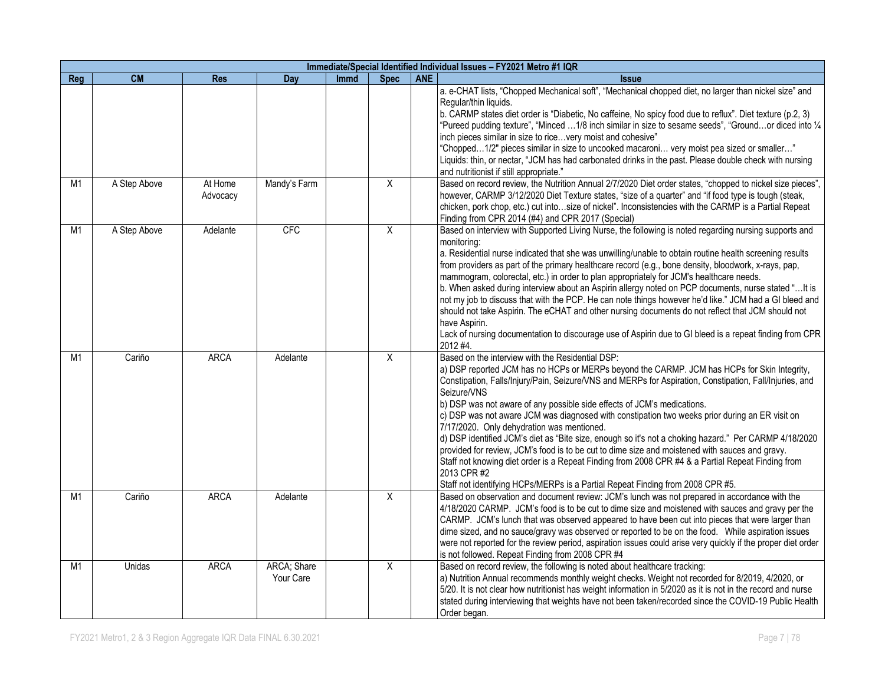|                |              |                     |                          |             |                |            | Immediate/Special Identified Individual Issues - FY2021 Metro #1 IQR                                                                                                                                                                                                                                                                                                                                                                                                                                                                                                                                                                                                                                                                                                                                                                                                                                                  |
|----------------|--------------|---------------------|--------------------------|-------------|----------------|------------|-----------------------------------------------------------------------------------------------------------------------------------------------------------------------------------------------------------------------------------------------------------------------------------------------------------------------------------------------------------------------------------------------------------------------------------------------------------------------------------------------------------------------------------------------------------------------------------------------------------------------------------------------------------------------------------------------------------------------------------------------------------------------------------------------------------------------------------------------------------------------------------------------------------------------|
| Req            | <b>CM</b>    | <b>Res</b>          | Day                      | <b>Immd</b> | <b>Spec</b>    | <b>ANE</b> | <b>Issue</b>                                                                                                                                                                                                                                                                                                                                                                                                                                                                                                                                                                                                                                                                                                                                                                                                                                                                                                          |
|                |              |                     |                          |             |                |            | a. e-CHAT lists, "Chopped Mechanical soft", "Mechanical chopped diet, no larger than nickel size" and<br>Regular/thin liquids.<br>b. CARMP states diet order is "Diabetic, No caffeine, No spicy food due to reflux". Diet texture (p.2, 3)<br>"Pureed pudding texture", "Minced 1/8 inch similar in size to sesame seeds", "Groundor diced into 1/4<br>inch pieces similar in size to ricevery moist and cohesive"<br>"Chopped1/2" pieces similar in size to uncooked macaroni very moist pea sized or smaller"<br>Liquids: thin, or nectar, "JCM has had carbonated drinks in the past. Please double check with nursing<br>and nutritionist if still appropriate."                                                                                                                                                                                                                                                 |
| M1             | A Step Above | At Home<br>Advocacy | Mandy's Farm             |             | X              |            | Based on record review, the Nutrition Annual 2/7/2020 Diet order states, "chopped to nickel size pieces",<br>however, CARMP 3/12/2020 Diet Texture states, "size of a quarter" and "if food type is tough (steak,<br>chicken, pork chop, etc.) cut intosize of nickel". Inconsistencies with the CARMP is a Partial Repeat<br>Finding from CPR 2014 (#4) and CPR 2017 (Special)                                                                                                                                                                                                                                                                                                                                                                                                                                                                                                                                       |
| M1             | A Step Above | Adelante            | <b>CFC</b>               |             | $\overline{X}$ |            | Based on interview with Supported Living Nurse, the following is noted regarding nursing supports and<br>monitoring:<br>a. Residential nurse indicated that she was unwilling/unable to obtain routine health screening results<br>from providers as part of the primary healthcare record (e.g., bone density, bloodwork, x-rays, pap,<br>mammogram, colorectal, etc.) in order to plan appropriately for JCM's healthcare needs.<br>b. When asked during interview about an Aspirin allergy noted on PCP documents, nurse stated " It is<br>not my job to discuss that with the PCP. He can note things however he'd like." JCM had a GI bleed and<br>should not take Aspirin. The eCHAT and other nursing documents do not reflect that JCM should not<br>have Aspirin.<br>Lack of nursing documentation to discourage use of Aspirin due to GI bleed is a repeat finding from CPR<br>2012 #4.                     |
| M <sub>1</sub> | Cariño       | <b>ARCA</b>         | Adelante                 |             | X              |            | Based on the interview with the Residential DSP:<br>a) DSP reported JCM has no HCPs or MERPs beyond the CARMP. JCM has HCPs for Skin Integrity,<br>Constipation, Falls/Injury/Pain, Seizure/VNS and MERPs for Aspiration, Constipation, Fall/Injuries, and<br>Seizure/VNS<br>b) DSP was not aware of any possible side effects of JCM's medications.<br>c) DSP was not aware JCM was diagnosed with constipation two weeks prior during an ER visit on<br>7/17/2020. Only dehydration was mentioned.<br>d) DSP identified JCM's diet as "Bite size, enough so it's not a choking hazard." Per CARMP 4/18/2020<br>provided for review, JCM's food is to be cut to dime size and moistened with sauces and gravy.<br>Staff not knowing diet order is a Repeat Finding from 2008 CPR #4 & a Partial Repeat Finding from<br>2013 CPR #2<br>Staff not identifying HCPs/MERPs is a Partial Repeat Finding from 2008 CPR #5. |
| M1             | Cariño       | <b>ARCA</b>         | Adelante                 |             | $\overline{X}$ |            | Based on observation and document review: JCM's lunch was not prepared in accordance with the<br>4/18/2020 CARMP. JCM's food is to be cut to dime size and moistened with sauces and gravy per the<br>CARMP. JCM's lunch that was observed appeared to have been cut into pieces that were larger than<br>dime sized, and no sauce/gravy was observed or reported to be on the food.  While aspiration issues<br>were not reported for the review period, aspiration issues could arise very quickly if the proper diet order<br>is not followed. Repeat Finding from 2008 CPR #4                                                                                                                                                                                                                                                                                                                                     |
| M1             | Unidas       | <b>ARCA</b>         | ARCA; Share<br>Your Care |             | $\overline{X}$ |            | Based on record review, the following is noted about healthcare tracking:<br>a) Nutrition Annual recommends monthly weight checks. Weight not recorded for 8/2019, 4/2020, or<br>5/20. It is not clear how nutritionist has weight information in 5/2020 as it is not in the record and nurse<br>stated during interviewing that weights have not been taken/recorded since the COVID-19 Public Health<br>Order began.                                                                                                                                                                                                                                                                                                                                                                                                                                                                                                |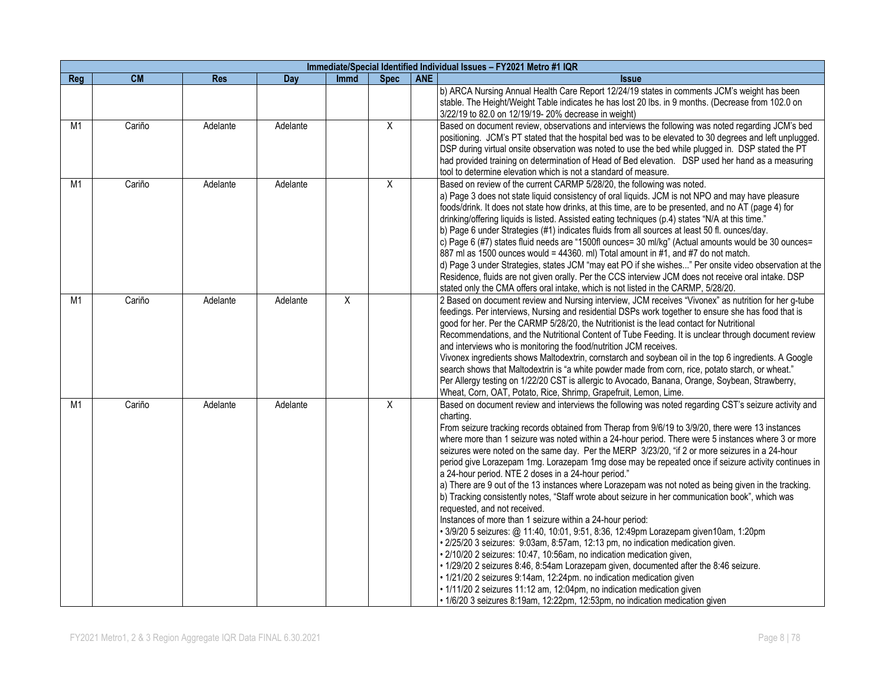|                | Immediate/Special Identified Individual Issues - FY2021 Metro #1 IQR |            |          |                |                |            |                                                                                                                                                                                                                                                                                                                                                                                                                                                                                                                                                                                                                                                                                                                                                                                                                                                                                                                                                                                                                                                                                                                                                                                                                                                                                                                                                                                                                                                                                       |  |  |  |  |  |
|----------------|----------------------------------------------------------------------|------------|----------|----------------|----------------|------------|---------------------------------------------------------------------------------------------------------------------------------------------------------------------------------------------------------------------------------------------------------------------------------------------------------------------------------------------------------------------------------------------------------------------------------------------------------------------------------------------------------------------------------------------------------------------------------------------------------------------------------------------------------------------------------------------------------------------------------------------------------------------------------------------------------------------------------------------------------------------------------------------------------------------------------------------------------------------------------------------------------------------------------------------------------------------------------------------------------------------------------------------------------------------------------------------------------------------------------------------------------------------------------------------------------------------------------------------------------------------------------------------------------------------------------------------------------------------------------------|--|--|--|--|--|
| Reg            | <b>CM</b>                                                            | <b>Res</b> | Day      | <b>Immd</b>    | <b>Spec</b>    | <b>ANE</b> | <b>Issue</b>                                                                                                                                                                                                                                                                                                                                                                                                                                                                                                                                                                                                                                                                                                                                                                                                                                                                                                                                                                                                                                                                                                                                                                                                                                                                                                                                                                                                                                                                          |  |  |  |  |  |
|                |                                                                      |            |          |                |                |            | b) ARCA Nursing Annual Health Care Report 12/24/19 states in comments JCM's weight has been<br>stable. The Height/Weight Table indicates he has lost 20 lbs. in 9 months. (Decrease from 102.0 on<br>3/22/19 to 82.0 on 12/19/19-20% decrease in weight)                                                                                                                                                                                                                                                                                                                                                                                                                                                                                                                                                                                                                                                                                                                                                                                                                                                                                                                                                                                                                                                                                                                                                                                                                              |  |  |  |  |  |
| M1             | Cariño                                                               | Adelante   | Adelante |                | $\overline{X}$ |            | Based on document review, observations and interviews the following was noted regarding JCM's bed<br>positioning. JCM's PT stated that the hospital bed was to be elevated to 30 degrees and left unplugged.<br>DSP during virtual onsite observation was noted to use the bed while plugged in. DSP stated the PT<br>had provided training on determination of Head of Bed elevation.  DSP used her hand as a measuring<br>tool to determine elevation which is not a standard of measure.                                                                                                                                                                                                                                                                                                                                                                                                                                                                                                                                                                                                                                                                                                                                                                                                                                                                                                                                                                                           |  |  |  |  |  |
| M1             | Cariño                                                               | Adelante   | Adelante |                | $\overline{X}$ |            | Based on review of the current CARMP 5/28/20, the following was noted.<br>a) Page 3 does not state liquid consistency of oral liquids. JCM is not NPO and may have pleasure<br>foods/drink. It does not state how drinks, at this time, are to be presented, and no AT (page 4) for<br>drinking/offering liquids is listed. Assisted eating techniques (p.4) states "N/A at this time."<br>b) Page 6 under Strategies (#1) indicates fluids from all sources at least 50 fl. ounces/day.<br>c) Page 6 (#7) states fluid needs are "1500fl ounces= 30 ml/kg" (Actual amounts would be 30 ounces=<br>887 ml as 1500 ounces would = 44360. ml) Total amount in #1, and #7 do not match.<br>d) Page 3 under Strategies, states JCM "may eat PO if she wishes" Per onsite video observation at the<br>Residence, fluids are not given orally. Per the CCS interview JCM does not receive oral intake. DSP<br>stated only the CMA offers oral intake, which is not listed in the CARMP, 5/28/20.                                                                                                                                                                                                                                                                                                                                                                                                                                                                                            |  |  |  |  |  |
| M1             | Cariño                                                               | Adelante   | Adelante | $\overline{X}$ |                |            | 2 Based on document review and Nursing interview, JCM receives "Vivonex" as nutrition for her g-tube<br>feedings. Per interviews, Nursing and residential DSPs work together to ensure she has food that is<br>good for her. Per the CARMP 5/28/20, the Nutritionist is the lead contact for Nutritional<br>Recommendations, and the Nutritional Content of Tube Feeding. It is unclear through document review<br>and interviews who is monitoring the food/nutrition JCM receives.<br>Vivonex ingredients shows Maltodextrin, cornstarch and soybean oil in the top 6 ingredients. A Google<br>search shows that Maltodextrin is "a white powder made from corn, rice, potato starch, or wheat."<br>Per Allergy testing on 1/22/20 CST is allergic to Avocado, Banana, Orange, Soybean, Strawberry,<br>Wheat, Corn, OAT, Potato, Rice, Shrimp, Grapefruit, Lemon, Lime.                                                                                                                                                                                                                                                                                                                                                                                                                                                                                                                                                                                                             |  |  |  |  |  |
| M <sub>1</sub> | Cariño                                                               | Adelante   | Adelante |                | X              |            | Based on document review and interviews the following was noted regarding CST's seizure activity and<br>charting.<br>From seizure tracking records obtained from Therap from 9/6/19 to 3/9/20, there were 13 instances<br>where more than 1 seizure was noted within a 24-hour period. There were 5 instances where 3 or more<br>seizures were noted on the same day. Per the MERP 3/23/20, "if 2 or more seizures in a 24-hour<br>period give Lorazepam 1mg. Lorazepam 1mg dose may be repeated once if seizure activity continues in<br>a 24-hour period. NTE 2 doses in a 24-hour period."<br>a) There are 9 out of the 13 instances where Lorazepam was not noted as being given in the tracking.<br>b) Tracking consistently notes, "Staff wrote about seizure in her communication book", which was<br>requested, and not received.<br>Instances of more than 1 seizure within a 24-hour period:<br>• 3/9/20 5 seizures: @ 11:40, 10:01, 9:51, 8:36, 12:49pm Lorazepam given10am, 1:20pm<br>· 2/25/20 3 seizures: 9:03am, 8:57am, 12:13 pm, no indication medication given.<br>· 2/10/20 2 seizures: 10:47, 10:56am, no indication medication given,<br>. 1/29/20 2 seizures 8:46, 8:54am Lorazepam given, documented after the 8:46 seizure.<br>· 1/21/20 2 seizures 9:14am, 12:24pm. no indication medication given<br>· 1/11/20 2 seizures 11:12 am, 12:04pm, no indication medication given<br>· 1/6/20 3 seizures 8:19am, 12:22pm, 12:53pm, no indication medication given |  |  |  |  |  |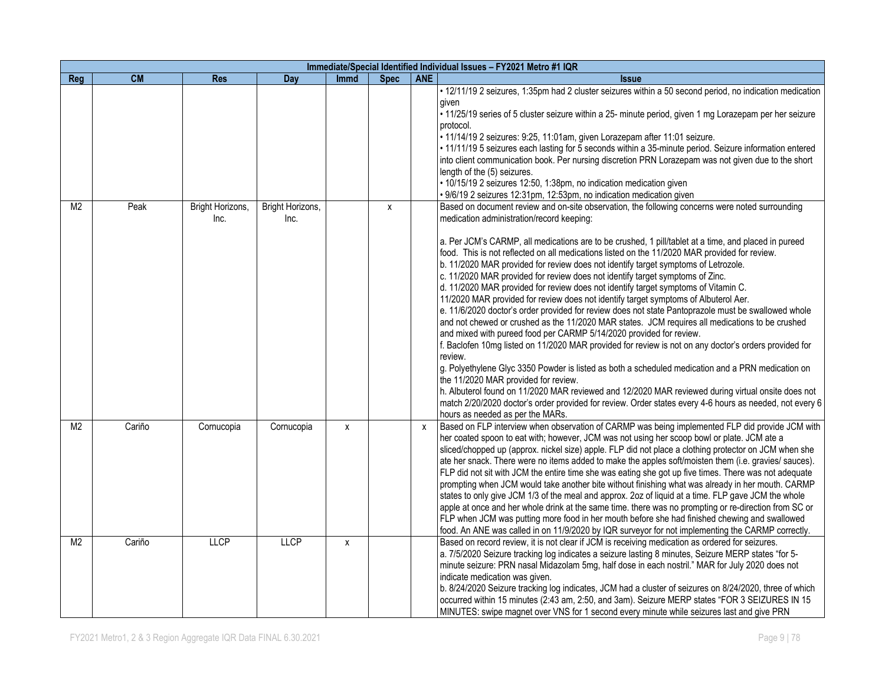|                |        |                          |                          |             |             |            | Immediate/Special Identified Individual Issues - FY2021 Metro #1 IQR                                                                                                                                                                                                                                                                                                                                                                                                                                                                                                                                                                                                                                                                                                                                                                                                                                                                                                                                                                                                                                                                                                                                                                                                                                                                                                                                                                                                                                             |
|----------------|--------|--------------------------|--------------------------|-------------|-------------|------------|------------------------------------------------------------------------------------------------------------------------------------------------------------------------------------------------------------------------------------------------------------------------------------------------------------------------------------------------------------------------------------------------------------------------------------------------------------------------------------------------------------------------------------------------------------------------------------------------------------------------------------------------------------------------------------------------------------------------------------------------------------------------------------------------------------------------------------------------------------------------------------------------------------------------------------------------------------------------------------------------------------------------------------------------------------------------------------------------------------------------------------------------------------------------------------------------------------------------------------------------------------------------------------------------------------------------------------------------------------------------------------------------------------------------------------------------------------------------------------------------------------------|
| Reg            | CM     | <b>Res</b>               | Day                      | <b>Immd</b> | <b>Spec</b> | <b>ANE</b> | <b>Issue</b>                                                                                                                                                                                                                                                                                                                                                                                                                                                                                                                                                                                                                                                                                                                                                                                                                                                                                                                                                                                                                                                                                                                                                                                                                                                                                                                                                                                                                                                                                                     |
|                |        |                          |                          |             |             |            | . 12/11/19 2 seizures, 1:35pm had 2 cluster seizures within a 50 second period, no indication medication<br>given<br>. 11/25/19 series of 5 cluster seizure within a 25- minute period, given 1 mg Lorazepam per her seizure<br>protocol.<br>· 11/14/19 2 seizures: 9:25, 11:01am, given Lorazepam after 11:01 seizure.<br>· 11/11/19 5 seizures each lasting for 5 seconds within a 35-minute period. Seizure information entered<br>into client communication book. Per nursing discretion PRN Lorazepam was not given due to the short<br>length of the (5) seizures.<br>· 10/15/19 2 seizures 12:50, 1:38pm, no indication medication given<br>· 9/6/19 2 seizures 12:31pm, 12:53pm, no indication medication given                                                                                                                                                                                                                                                                                                                                                                                                                                                                                                                                                                                                                                                                                                                                                                                          |
| M <sub>2</sub> | Peak   | Bright Horizons,<br>Inc. | Bright Horizons,<br>Inc. |             | X           |            | Based on document review and on-site observation, the following concerns were noted surrounding<br>medication administration/record keeping:<br>a. Per JCM's CARMP, all medications are to be crushed, 1 pill/tablet at a time, and placed in pureed<br>food. This is not reflected on all medications listed on the 11/2020 MAR provided for review.<br>b. 11/2020 MAR provided for review does not identify target symptoms of Letrozole.<br>c. 11/2020 MAR provided for review does not identify target symptoms of Zinc.<br>d. 11/2020 MAR provided for review does not identify target symptoms of Vitamin C.<br>11/2020 MAR provided for review does not identify target symptoms of Albuterol Aer.<br>e. 11/6/2020 doctor's order provided for review does not state Pantoprazole must be swallowed whole<br>and not chewed or crushed as the 11/2020 MAR states. JCM requires all medications to be crushed<br>and mixed with pureed food per CARMP 5/14/2020 provided for review.<br>f. Baclofen 10mg listed on 11/2020 MAR provided for review is not on any doctor's orders provided for<br>review.<br>g. Polyethylene Glyc 3350 Powder is listed as both a scheduled medication and a PRN medication on<br>the 11/2020 MAR provided for review.<br>h. Albuterol found on 11/2020 MAR reviewed and 12/2020 MAR reviewed during virtual onsite does not<br>match 2/20/2020 doctor's order provided for review. Order states every 4-6 hours as needed, not every 6<br>hours as needed as per the MARs. |
| M <sub>2</sub> | Cariño | Cornucopia               | Cornucopia               | x           |             | X          | Based on FLP interview when observation of CARMP was being implemented FLP did provide JCM with<br>her coated spoon to eat with; however, JCM was not using her scoop bowl or plate. JCM ate a<br>sliced/chopped up (approx. nickel size) apple. FLP did not place a clothing protector on JCM when she<br>ate her snack. There were no items added to make the apples soft/moisten them (i.e. gravies/ sauces).<br>FLP did not sit with JCM the entire time she was eating she got up five times. There was not adequate<br>prompting when JCM would take another bite without finishing what was already in her mouth. CARMP<br>states to only give JCM 1/3 of the meal and approx. 2oz of liquid at a time. FLP gave JCM the whole<br>apple at once and her whole drink at the same time. there was no prompting or re-direction from SC or<br>FLP when JCM was putting more food in her mouth before she had finished chewing and swallowed<br>food. An ANE was called in on 11/9/2020 by IQR surveyor for not implementing the CARMP correctly.                                                                                                                                                                                                                                                                                                                                                                                                                                                             |
| M <sub>2</sub> | Cariño | <b>LLCP</b>              | <b>LLCP</b>              | x           |             |            | Based on record review, it is not clear if JCM is receiving medication as ordered for seizures.<br>a. 7/5/2020 Seizure tracking log indicates a seizure lasting 8 minutes, Seizure MERP states "for 5-<br>minute seizure: PRN nasal Midazolam 5mg, half dose in each nostril." MAR for July 2020 does not<br>indicate medication was given.<br>b. 8/24/2020 Seizure tracking log indicates, JCM had a cluster of seizures on 8/24/2020, three of which<br>occurred within 15 minutes (2:43 am, 2:50, and 3am). Seizure MERP states "FOR 3 SEIZURES IN 15<br>MINUTES: swipe magnet over VNS for 1 second every minute while seizures last and give PRN                                                                                                                                                                                                                                                                                                                                                                                                                                                                                                                                                                                                                                                                                                                                                                                                                                                            |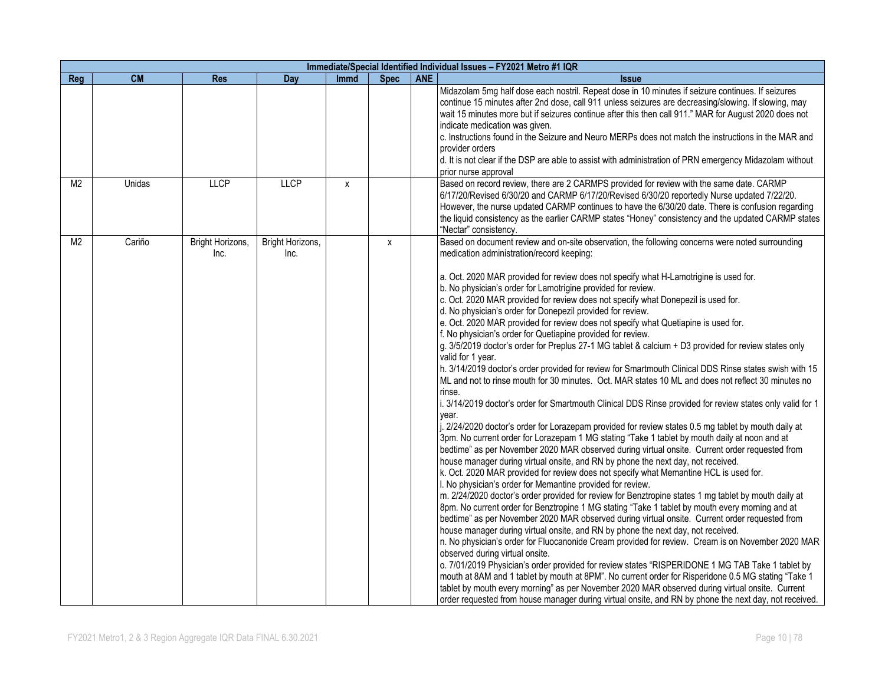|                |           |                          |                          |             |             |            | Immediate/Special Identified Individual Issues - FY2021 Metro #1 IQR                                                                                                                                                                                                                                                                                                                                                                                                                                                                                                                                                                                                                                                                                                                                                                                                                                                                                                                                                                                                                                                                                                                                                                                                                                                                                                                                                                                                                                                                                                                                                                                                                                                                                                                                                                                                                                                                                                                                                                                                                                                                                                                                                                                                                                                                                                                                                                                                                                                                                                                                             |
|----------------|-----------|--------------------------|--------------------------|-------------|-------------|------------|------------------------------------------------------------------------------------------------------------------------------------------------------------------------------------------------------------------------------------------------------------------------------------------------------------------------------------------------------------------------------------------------------------------------------------------------------------------------------------------------------------------------------------------------------------------------------------------------------------------------------------------------------------------------------------------------------------------------------------------------------------------------------------------------------------------------------------------------------------------------------------------------------------------------------------------------------------------------------------------------------------------------------------------------------------------------------------------------------------------------------------------------------------------------------------------------------------------------------------------------------------------------------------------------------------------------------------------------------------------------------------------------------------------------------------------------------------------------------------------------------------------------------------------------------------------------------------------------------------------------------------------------------------------------------------------------------------------------------------------------------------------------------------------------------------------------------------------------------------------------------------------------------------------------------------------------------------------------------------------------------------------------------------------------------------------------------------------------------------------------------------------------------------------------------------------------------------------------------------------------------------------------------------------------------------------------------------------------------------------------------------------------------------------------------------------------------------------------------------------------------------------------------------------------------------------------------------------------------------------|
| Reg            | <b>CM</b> | <b>Res</b>               | Day                      | <b>Immd</b> | <b>Spec</b> | <b>ANE</b> | <b>Issue</b>                                                                                                                                                                                                                                                                                                                                                                                                                                                                                                                                                                                                                                                                                                                                                                                                                                                                                                                                                                                                                                                                                                                                                                                                                                                                                                                                                                                                                                                                                                                                                                                                                                                                                                                                                                                                                                                                                                                                                                                                                                                                                                                                                                                                                                                                                                                                                                                                                                                                                                                                                                                                     |
|                |           |                          |                          |             |             |            | Midazolam 5mg half dose each nostril. Repeat dose in 10 minutes if seizure continues. If seizures<br>continue 15 minutes after 2nd dose, call 911 unless seizures are decreasing/slowing. If slowing, may<br>wait 15 minutes more but if seizures continue after this then call 911." MAR for August 2020 does not<br>indicate medication was given.<br>c. Instructions found in the Seizure and Neuro MERPs does not match the instructions in the MAR and<br>provider orders<br>d. It is not clear if the DSP are able to assist with administration of PRN emergency Midazolam without<br>prior nurse approval                                                                                                                                                                                                                                                                                                                                                                                                                                                                                                                                                                                                                                                                                                                                                                                                                                                                                                                                                                                                                                                                                                                                                                                                                                                                                                                                                                                                                                                                                                                                                                                                                                                                                                                                                                                                                                                                                                                                                                                                |
| M <sub>2</sub> | Unidas    | <b>LLCP</b>              | <b>LLCP</b>              | X           |             |            | Based on record review, there are 2 CARMPS provided for review with the same date. CARMP<br>6/17/20/Revised 6/30/20 and CARMP 6/17/20/Revised 6/30/20 reportedly Nurse updated 7/22/20.<br>However, the nurse updated CARMP continues to have the 6/30/20 date. There is confusion regarding<br>the liquid consistency as the earlier CARMP states "Honey" consistency and the updated CARMP states<br>"Nectar" consistency.                                                                                                                                                                                                                                                                                                                                                                                                                                                                                                                                                                                                                                                                                                                                                                                                                                                                                                                                                                                                                                                                                                                                                                                                                                                                                                                                                                                                                                                                                                                                                                                                                                                                                                                                                                                                                                                                                                                                                                                                                                                                                                                                                                                     |
| M <sub>2</sub> | Cariño    | Bright Horizons,<br>Inc. | Bright Horizons,<br>Inc. |             | X           |            | Based on document review and on-site observation, the following concerns were noted surrounding<br>medication administration/record keeping:<br>a. Oct. 2020 MAR provided for review does not specify what H-Lamotrigine is used for.<br>b. No physician's order for Lamotrigine provided for review.<br>c. Oct. 2020 MAR provided for review does not specify what Donepezil is used for.<br>d. No physician's order for Donepezil provided for review.<br>e. Oct. 2020 MAR provided for review does not specify what Quetiapine is used for.<br>f. No physician's order for Quetiapine provided for review.<br>g. 3/5/2019 doctor's order for Preplus 27-1 MG tablet & calcium + D3 provided for review states only<br>valid for 1 year.<br>h. 3/14/2019 doctor's order provided for review for Smartmouth Clinical DDS Rinse states swish with 15<br>ML and not to rinse mouth for 30 minutes. Oct. MAR states 10 ML and does not reflect 30 minutes no<br>rinse.<br>i. 3/14/2019 doctor's order for Smartmouth Clinical DDS Rinse provided for review states only valid for 1<br>year.<br>i. 2/24/2020 doctor's order for Lorazepam provided for review states 0.5 mg tablet by mouth daily at<br>3pm. No current order for Lorazepam 1 MG stating "Take 1 tablet by mouth daily at noon and at<br>bedtime" as per November 2020 MAR observed during virtual onsite. Current order requested from<br>house manager during virtual onsite, and RN by phone the next day, not received.<br>k. Oct. 2020 MAR provided for review does not specify what Memantine HCL is used for.<br>I. No physician's order for Memantine provided for review.<br>m. 2/24/2020 doctor's order provided for review for Benztropine states 1 mg tablet by mouth daily at<br>8pm. No current order for Benztropine 1 MG stating "Take 1 tablet by mouth every morning and at<br>bedtime" as per November 2020 MAR observed during virtual onsite. Current order requested from<br>house manager during virtual onsite, and RN by phone the next day, not received.<br>n. No physician's order for Fluocanonide Cream provided for review. Cream is on November 2020 MAR<br>observed during virtual onsite.<br>o. 7/01/2019 Physician's order provided for review states "RISPERIDONE 1 MG TAB Take 1 tablet by<br>mouth at 8AM and 1 tablet by mouth at 8PM". No current order for Risperidone 0.5 MG stating "Take 1<br>tablet by mouth every morning" as per November 2020 MAR observed during virtual onsite. Current<br>order requested from house manager during virtual onsite, and RN by phone the next day, not received. |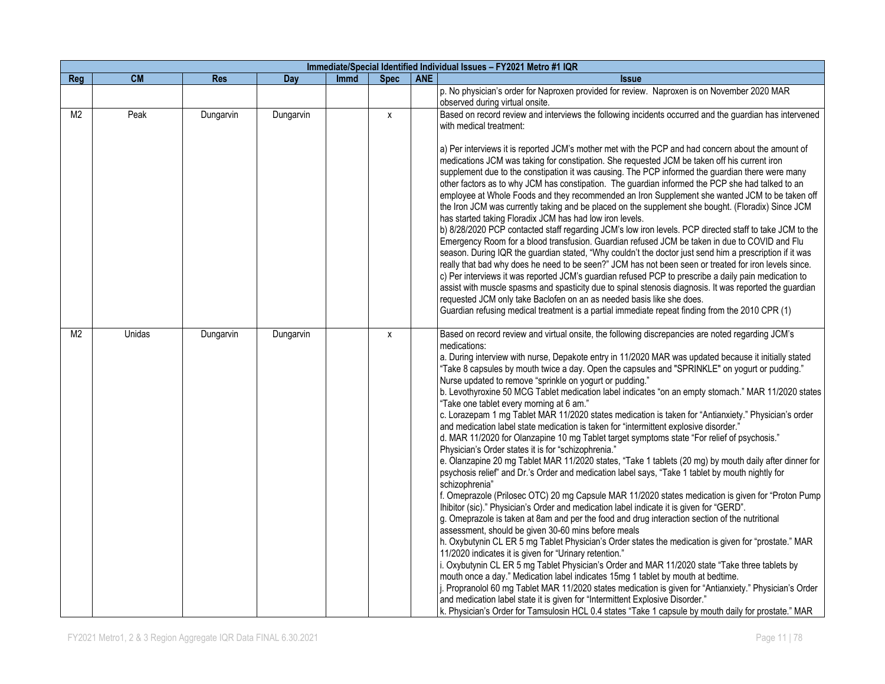| Immediate/Special Identified Individual Issues - FY2021 Metro #1 IQR |           |            |           |             |             |            |                                                                                                                                                                                                                  |  |  |  |
|----------------------------------------------------------------------|-----------|------------|-----------|-------------|-------------|------------|------------------------------------------------------------------------------------------------------------------------------------------------------------------------------------------------------------------|--|--|--|
| Reg                                                                  | <b>CM</b> | <b>Res</b> | Day       | <b>Immd</b> | <b>Spec</b> | <b>ANE</b> | <b>Issue</b>                                                                                                                                                                                                     |  |  |  |
|                                                                      |           |            |           |             |             |            | p. No physician's order for Naproxen provided for review. Naproxen is on November 2020 MAR                                                                                                                       |  |  |  |
|                                                                      |           |            |           |             |             |            | observed during virtual onsite.                                                                                                                                                                                  |  |  |  |
| M <sub>2</sub>                                                       | Peak      | Dungarvin  | Dungarvin |             | X           |            | Based on record review and interviews the following incidents occurred and the guardian has intervened                                                                                                           |  |  |  |
|                                                                      |           |            |           |             |             |            | with medical treatment:                                                                                                                                                                                          |  |  |  |
|                                                                      |           |            |           |             |             |            |                                                                                                                                                                                                                  |  |  |  |
|                                                                      |           |            |           |             |             |            | a) Per interviews it is reported JCM's mother met with the PCP and had concern about the amount of                                                                                                               |  |  |  |
|                                                                      |           |            |           |             |             |            | medications JCM was taking for constipation. She requested JCM be taken off his current iron                                                                                                                     |  |  |  |
|                                                                      |           |            |           |             |             |            | supplement due to the constipation it was causing. The PCP informed the guardian there were many                                                                                                                 |  |  |  |
|                                                                      |           |            |           |             |             |            | other factors as to why JCM has constipation. The guardian informed the PCP she had talked to an                                                                                                                 |  |  |  |
|                                                                      |           |            |           |             |             |            | employee at Whole Foods and they recommended an Iron Supplement she wanted JCM to be taken off                                                                                                                   |  |  |  |
|                                                                      |           |            |           |             |             |            | the Iron JCM was currently taking and be placed on the supplement she bought. (Floradix) Since JCM                                                                                                               |  |  |  |
|                                                                      |           |            |           |             |             |            | has started taking Floradix JCM has had low iron levels.                                                                                                                                                         |  |  |  |
|                                                                      |           |            |           |             |             |            | b) 8/28/2020 PCP contacted staff regarding JCM's low iron levels. PCP directed staff to take JCM to the                                                                                                          |  |  |  |
|                                                                      |           |            |           |             |             |            | Emergency Room for a blood transfusion. Guardian refused JCM be taken in due to COVID and Flu                                                                                                                    |  |  |  |
|                                                                      |           |            |           |             |             |            | season. During IQR the guardian stated, "Why couldn't the doctor just send him a prescription if it was<br>really that bad why does he need to be seen?" JCM has not been seen or treated for iron levels since. |  |  |  |
|                                                                      |           |            |           |             |             |            | c) Per interviews it was reported JCM's guardian refused PCP to prescribe a daily pain medication to                                                                                                             |  |  |  |
|                                                                      |           |            |           |             |             |            | assist with muscle spasms and spasticity due to spinal stenosis diagnosis. It was reported the guardian                                                                                                          |  |  |  |
|                                                                      |           |            |           |             |             |            | requested JCM only take Baclofen on an as needed basis like she does.                                                                                                                                            |  |  |  |
|                                                                      |           |            |           |             |             |            | Guardian refusing medical treatment is a partial immediate repeat finding from the 2010 CPR (1)                                                                                                                  |  |  |  |
|                                                                      |           |            |           |             |             |            |                                                                                                                                                                                                                  |  |  |  |
| M <sub>2</sub>                                                       | Unidas    | Dungarvin  | Dungarvin |             | X           |            | Based on record review and virtual onsite, the following discrepancies are noted regarding JCM's                                                                                                                 |  |  |  |
|                                                                      |           |            |           |             |             |            | medications:                                                                                                                                                                                                     |  |  |  |
|                                                                      |           |            |           |             |             |            | a. During interview with nurse, Depakote entry in 11/2020 MAR was updated because it initially stated                                                                                                            |  |  |  |
|                                                                      |           |            |           |             |             |            | "Take 8 capsules by mouth twice a day. Open the capsules and "SPRINKLE" on yogurt or pudding."                                                                                                                   |  |  |  |
|                                                                      |           |            |           |             |             |            | Nurse updated to remove "sprinkle on yogurt or pudding."                                                                                                                                                         |  |  |  |
|                                                                      |           |            |           |             |             |            | b. Levothyroxine 50 MCG Tablet medication label indicates "on an empty stomach." MAR 11/2020 states                                                                                                              |  |  |  |
|                                                                      |           |            |           |             |             |            | "Take one tablet every morning at 6 am."                                                                                                                                                                         |  |  |  |
|                                                                      |           |            |           |             |             |            | c. Lorazepam 1 mg Tablet MAR 11/2020 states medication is taken for "Antianxiety." Physician's order                                                                                                             |  |  |  |
|                                                                      |           |            |           |             |             |            | and medication label state medication is taken for "intermittent explosive disorder."                                                                                                                            |  |  |  |
|                                                                      |           |            |           |             |             |            | d. MAR 11/2020 for Olanzapine 10 mg Tablet target symptoms state "For relief of psychosis."                                                                                                                      |  |  |  |
|                                                                      |           |            |           |             |             |            | Physician's Order states it is for "schizophrenia."                                                                                                                                                              |  |  |  |
|                                                                      |           |            |           |             |             |            | e. Olanzapine 20 mg Tablet MAR 11/2020 states, "Take 1 tablets (20 mg) by mouth daily after dinner for<br>psychosis relief" and Dr.'s Order and medication label says, "Take 1 tablet by mouth nightly for       |  |  |  |
|                                                                      |           |            |           |             |             |            | schizophrenia"                                                                                                                                                                                                   |  |  |  |
|                                                                      |           |            |           |             |             |            | f. Omeprazole (Prilosec OTC) 20 mg Capsule MAR 11/2020 states medication is given for "Proton Pump                                                                                                               |  |  |  |
|                                                                      |           |            |           |             |             |            | Ihibitor (sic)." Physician's Order and medication label indicate it is given for "GERD".                                                                                                                         |  |  |  |
|                                                                      |           |            |           |             |             |            | g. Omeprazole is taken at 8am and per the food and drug interaction section of the nutritional                                                                                                                   |  |  |  |
|                                                                      |           |            |           |             |             |            | assessment, should be given 30-60 mins before meals                                                                                                                                                              |  |  |  |
|                                                                      |           |            |           |             |             |            | h. Oxybutynin CL ER 5 mg Tablet Physician's Order states the medication is given for "prostate." MAR                                                                                                             |  |  |  |
|                                                                      |           |            |           |             |             |            | 11/2020 indicates it is given for "Urinary retention."                                                                                                                                                           |  |  |  |
|                                                                      |           |            |           |             |             |            | i. Oxybutynin CL ER 5 mg Tablet Physician's Order and MAR 11/2020 state "Take three tablets by                                                                                                                   |  |  |  |
|                                                                      |           |            |           |             |             |            | mouth once a day." Medication label indicates 15mg 1 tablet by mouth at bedtime.                                                                                                                                 |  |  |  |
|                                                                      |           |            |           |             |             |            | j. Propranolol 60 mg Tablet MAR 11/2020 states medication is given for "Antianxiety." Physician's Order                                                                                                          |  |  |  |
|                                                                      |           |            |           |             |             |            | and medication label state it is given for "Intermittent Explosive Disorder."                                                                                                                                    |  |  |  |
|                                                                      |           |            |           |             |             |            | k. Physician's Order for Tamsulosin HCL 0.4 states "Take 1 capsule by mouth daily for prostate." MAR                                                                                                             |  |  |  |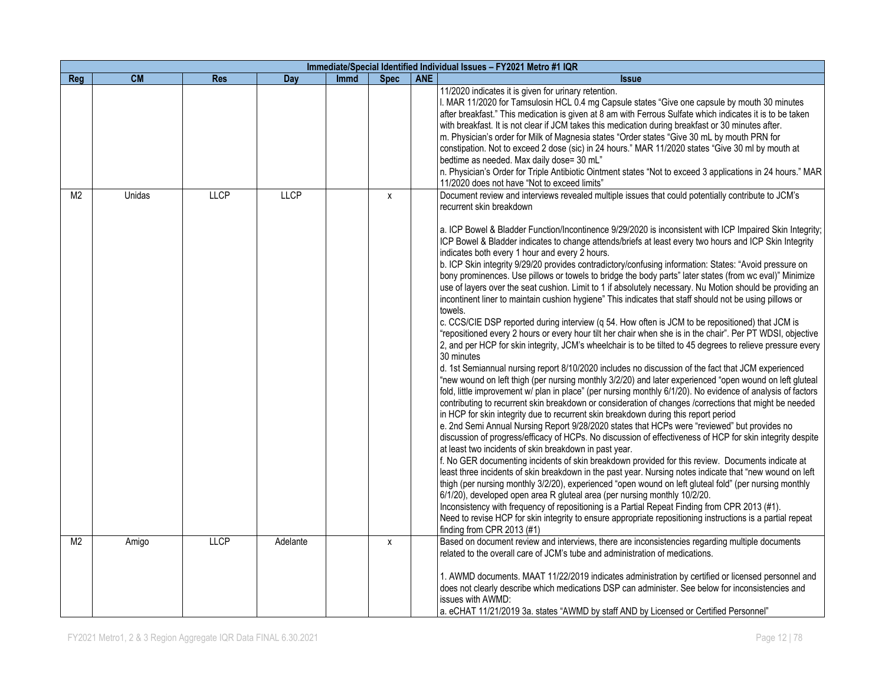|                | Immediate/Special Identified Individual Issues - FY2021 Metro #1 IQR |             |             |             |             |            |                                                                                                                                                                                                                                                                                                                                                                                                                                                                                                                                                                                                                                                                                                                                                                                                                                                                                                                                                                                                                                                                                                                                                                                                                                                                                                                                                                                                                                                                                                                                                                                                                                                                                                                                                                                                                                                                                                                                                                                                                                                                                                                                                                                                                                                                                                                                                                                                                                                                                                                                                                                                                                              |  |  |  |  |
|----------------|----------------------------------------------------------------------|-------------|-------------|-------------|-------------|------------|----------------------------------------------------------------------------------------------------------------------------------------------------------------------------------------------------------------------------------------------------------------------------------------------------------------------------------------------------------------------------------------------------------------------------------------------------------------------------------------------------------------------------------------------------------------------------------------------------------------------------------------------------------------------------------------------------------------------------------------------------------------------------------------------------------------------------------------------------------------------------------------------------------------------------------------------------------------------------------------------------------------------------------------------------------------------------------------------------------------------------------------------------------------------------------------------------------------------------------------------------------------------------------------------------------------------------------------------------------------------------------------------------------------------------------------------------------------------------------------------------------------------------------------------------------------------------------------------------------------------------------------------------------------------------------------------------------------------------------------------------------------------------------------------------------------------------------------------------------------------------------------------------------------------------------------------------------------------------------------------------------------------------------------------------------------------------------------------------------------------------------------------------------------------------------------------------------------------------------------------------------------------------------------------------------------------------------------------------------------------------------------------------------------------------------------------------------------------------------------------------------------------------------------------------------------------------------------------------------------------------------------------|--|--|--|--|
| Reg            | <b>CM</b>                                                            | <b>Res</b>  | Day         | <b>Immd</b> | <b>Spec</b> | <b>ANE</b> | <b>Issue</b>                                                                                                                                                                                                                                                                                                                                                                                                                                                                                                                                                                                                                                                                                                                                                                                                                                                                                                                                                                                                                                                                                                                                                                                                                                                                                                                                                                                                                                                                                                                                                                                                                                                                                                                                                                                                                                                                                                                                                                                                                                                                                                                                                                                                                                                                                                                                                                                                                                                                                                                                                                                                                                 |  |  |  |  |
|                |                                                                      |             |             |             |             |            | 11/2020 indicates it is given for urinary retention.<br>I. MAR 11/2020 for Tamsulosin HCL 0.4 mg Capsule states "Give one capsule by mouth 30 minutes<br>after breakfast." This medication is given at 8 am with Ferrous Sulfate which indicates it is to be taken<br>with breakfast. It is not clear if JCM takes this medication during breakfast or 30 minutes after.<br>m. Physician's order for Milk of Magnesia states "Order states "Give 30 mL by mouth PRN for<br>constipation. Not to exceed 2 dose (sic) in 24 hours." MAR 11/2020 states "Give 30 ml by mouth at<br>bedtime as needed. Max daily dose= 30 mL"<br>n. Physician's Order for Triple Antibiotic Ointment states "Not to exceed 3 applications in 24 hours." MAR<br>11/2020 does not have "Not to exceed limits"                                                                                                                                                                                                                                                                                                                                                                                                                                                                                                                                                                                                                                                                                                                                                                                                                                                                                                                                                                                                                                                                                                                                                                                                                                                                                                                                                                                                                                                                                                                                                                                                                                                                                                                                                                                                                                                      |  |  |  |  |
| M <sub>2</sub> | Unidas                                                               | <b>LLCP</b> | <b>LLCP</b> |             | X           |            | Document review and interviews revealed multiple issues that could potentially contribute to JCM's<br>recurrent skin breakdown<br>a. ICP Bowel & Bladder Function/Incontinence 9/29/2020 is inconsistent with ICP Impaired Skin Integrity;<br>ICP Bowel & Bladder indicates to change attends/briefs at least every two hours and ICP Skin Integrity<br>indicates both every 1 hour and every 2 hours.<br>b. ICP Skin integrity 9/29/20 provides contradictory/confusing information: States: "Avoid pressure on<br>bony prominences. Use pillows or towels to bridge the body parts" later states (from wc eval)" Minimize<br>use of layers over the seat cushion. Limit to 1 if absolutely necessary. Nu Motion should be providing an<br>incontinent liner to maintain cushion hygiene" This indicates that staff should not be using pillows or<br>towels.<br>c. CCS/CIE DSP reported during interview (q 54. How often is JCM to be repositioned) that JCM is<br>"repositioned every 2 hours or every hour tilt her chair when she is in the chair". Per PT WDSI, objective<br>2, and per HCP for skin integrity, JCM's wheelchair is to be tilted to 45 degrees to relieve pressure every<br>30 minutes<br>d. 1st Semiannual nursing report 8/10/2020 includes no discussion of the fact that JCM experienced<br>"new wound on left thigh (per nursing monthly 3/2/20) and later experienced "open wound on left gluteal<br>fold, little improvement w/ plan in place" (per nursing monthly 6/1/20). No evidence of analysis of factors<br>contributing to recurrent skin breakdown or consideration of changes /corrections that might be needed<br>in HCP for skin integrity due to recurrent skin breakdown during this report period<br>e. 2nd Semi Annual Nursing Report 9/28/2020 states that HCPs were "reviewed" but provides no<br>discussion of progress/efficacy of HCPs. No discussion of effectiveness of HCP for skin integrity despite<br>at least two incidents of skin breakdown in past year.<br>f. No GER documenting incidents of skin breakdown provided for this review. Documents indicate at<br>least three incidents of skin breakdown in the past year. Nursing notes indicate that "new wound on left<br>thigh (per nursing monthly 3/2/20), experienced "open wound on left gluteal fold" (per nursing monthly<br>6/1/20), developed open area R gluteal area (per nursing monthly 10/2/20.<br>Inconsistency with frequency of repositioning is a Partial Repeat Finding from CPR 2013 (#1).<br>Need to revise HCP for skin integrity to ensure appropriate repositioning instructions is a partial repeat |  |  |  |  |
| M <sub>2</sub> | Amigo                                                                | LLCP        | Adelante    |             | X           |            | finding from CPR 2013 (#1)<br>Based on document review and interviews, there are inconsistencies regarding multiple documents<br>related to the overall care of JCM's tube and administration of medications.<br>1. AWMD documents. MAAT 11/22/2019 indicates administration by certified or licensed personnel and<br>does not clearly describe which medications DSP can administer. See below for inconsistencies and<br>issues with AWMD:<br>a. eCHAT 11/21/2019 3a. states "AWMD by staff AND by Licensed or Certified Personnel"                                                                                                                                                                                                                                                                                                                                                                                                                                                                                                                                                                                                                                                                                                                                                                                                                                                                                                                                                                                                                                                                                                                                                                                                                                                                                                                                                                                                                                                                                                                                                                                                                                                                                                                                                                                                                                                                                                                                                                                                                                                                                                       |  |  |  |  |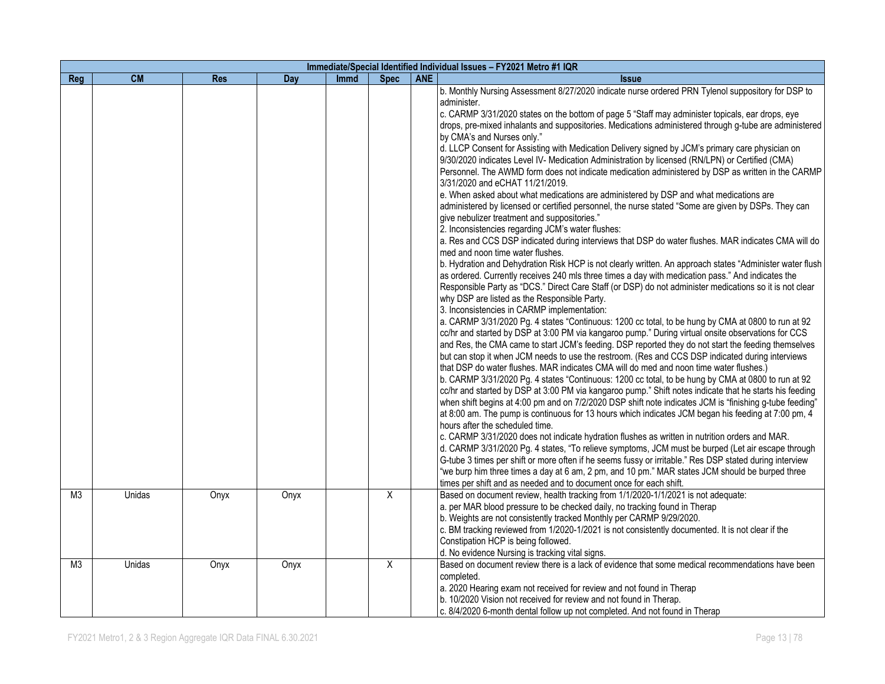|                |           |            |            |             |             |            | Immediate/Special Identified Individual Issues - FY2021 Metro #1 IQR                                                                                                                                                                                                                                                                                                                                                                                                                                                                                                                                                                                                                                                                                                                                                                                                                                                                                                                                                                                                                                                                                                                                                                                                                                                                                                                                                                                                                                                                                                                                                                                                                                                                                                                                                                                                                                                                                                                                                                                                                                                                                                                                                                                                                                                                                                                                                                                                                                                                                                                                                                                                                                                                                                                                                                                                                                                                                                                                                                                                     |
|----------------|-----------|------------|------------|-------------|-------------|------------|--------------------------------------------------------------------------------------------------------------------------------------------------------------------------------------------------------------------------------------------------------------------------------------------------------------------------------------------------------------------------------------------------------------------------------------------------------------------------------------------------------------------------------------------------------------------------------------------------------------------------------------------------------------------------------------------------------------------------------------------------------------------------------------------------------------------------------------------------------------------------------------------------------------------------------------------------------------------------------------------------------------------------------------------------------------------------------------------------------------------------------------------------------------------------------------------------------------------------------------------------------------------------------------------------------------------------------------------------------------------------------------------------------------------------------------------------------------------------------------------------------------------------------------------------------------------------------------------------------------------------------------------------------------------------------------------------------------------------------------------------------------------------------------------------------------------------------------------------------------------------------------------------------------------------------------------------------------------------------------------------------------------------------------------------------------------------------------------------------------------------------------------------------------------------------------------------------------------------------------------------------------------------------------------------------------------------------------------------------------------------------------------------------------------------------------------------------------------------------------------------------------------------------------------------------------------------------------------------------------------------------------------------------------------------------------------------------------------------------------------------------------------------------------------------------------------------------------------------------------------------------------------------------------------------------------------------------------------------------------------------------------------------------------------------------------------------|
| Reg            | <b>CM</b> | <b>Res</b> | <b>Day</b> | <b>Immd</b> | <b>Spec</b> | <b>ANE</b> | <b>Issue</b>                                                                                                                                                                                                                                                                                                                                                                                                                                                                                                                                                                                                                                                                                                                                                                                                                                                                                                                                                                                                                                                                                                                                                                                                                                                                                                                                                                                                                                                                                                                                                                                                                                                                                                                                                                                                                                                                                                                                                                                                                                                                                                                                                                                                                                                                                                                                                                                                                                                                                                                                                                                                                                                                                                                                                                                                                                                                                                                                                                                                                                                             |
|                |           |            |            |             |             |            | b. Monthly Nursing Assessment 8/27/2020 indicate nurse ordered PRN Tylenol suppository for DSP to<br>administer.<br>c. CARMP 3/31/2020 states on the bottom of page 5 "Staff may administer topicals, ear drops, eye<br>drops, pre-mixed inhalants and suppositories. Medications administered through g-tube are administered<br>by CMA's and Nurses only."<br>d. LLCP Consent for Assisting with Medication Delivery signed by JCM's primary care physician on<br>9/30/2020 indicates Level IV- Medication Administration by licensed (RN/LPN) or Certified (CMA)<br>Personnel. The AWMD form does not indicate medication administered by DSP as written in the CARMP<br>3/31/2020 and eCHAT 11/21/2019.<br>e. When asked about what medications are administered by DSP and what medications are<br>administered by licensed or certified personnel, the nurse stated "Some are given by DSPs. They can<br>give nebulizer treatment and suppositories."<br>2. Inconsistencies regarding JCM's water flushes:<br>a. Res and CCS DSP indicated during interviews that DSP do water flushes. MAR indicates CMA will do<br>med and noon time water flushes.<br>b. Hydration and Dehydration Risk HCP is not clearly written. An approach states "Administer water flush<br>as ordered. Currently receives 240 mls three times a day with medication pass." And indicates the<br>Responsible Party as "DCS." Direct Care Staff (or DSP) do not administer medications so it is not clear<br>why DSP are listed as the Responsible Party.<br>3. Inconsistencies in CARMP implementation:<br>a. CARMP 3/31/2020 Pg. 4 states "Continuous: 1200 cc total, to be hung by CMA at 0800 to run at 92<br>cc/hr and started by DSP at 3:00 PM via kangaroo pump." During virtual onsite observations for CCS<br>and Res, the CMA came to start JCM's feeding. DSP reported they do not start the feeding themselves<br>but can stop it when JCM needs to use the restroom. (Res and CCS DSP indicated during interviews<br>that DSP do water flushes. MAR indicates CMA will do med and noon time water flushes.)<br>b. CARMP 3/31/2020 Pg. 4 states "Continuous: 1200 cc total, to be hung by CMA at 0800 to run at 92<br>cc/hr and started by DSP at 3:00 PM via kangaroo pump." Shift notes indicate that he starts his feeding<br>when shift begins at 4:00 pm and on 7/2/2020 DSP shift note indicates JCM is "finishing g-tube feeding"<br>at 8:00 am. The pump is continuous for 13 hours which indicates JCM began his feeding at 7:00 pm, 4<br>hours after the scheduled time.<br>c. CARMP 3/31/2020 does not indicate hydration flushes as written in nutrition orders and MAR.<br>d. CARMP 3/31/2020 Pg. 4 states, "To relieve symptoms, JCM must be burped (Let air escape through<br>G-tube 3 times per shift or more often if he seems fussy or irritable." Res DSP stated during interview<br>"we burp him three times a day at 6 am, 2 pm, and 10 pm." MAR states JCM should be burped three<br>times per shift and as needed and to document once for each shift. |
| M <sub>3</sub> | Unidas    | Onyx       | Onyx       |             | X           |            | Based on document review, health tracking from 1/1/2020-1/1/2021 is not adequate:<br>a. per MAR blood pressure to be checked daily, no tracking found in Therap<br>b. Weights are not consistently tracked Monthly per CARMP 9/29/2020.<br>c. BM tracking reviewed from 1/2020-1/2021 is not consistently documented. It is not clear if the<br>Constipation HCP is being followed.<br>d. No evidence Nursing is tracking vital signs.                                                                                                                                                                                                                                                                                                                                                                                                                                                                                                                                                                                                                                                                                                                                                                                                                                                                                                                                                                                                                                                                                                                                                                                                                                                                                                                                                                                                                                                                                                                                                                                                                                                                                                                                                                                                                                                                                                                                                                                                                                                                                                                                                                                                                                                                                                                                                                                                                                                                                                                                                                                                                                   |
| M <sub>3</sub> | Unidas    | Onyx       | Onyx       |             | X           |            | Based on document review there is a lack of evidence that some medical recommendations have been<br>completed.<br>a. 2020 Hearing exam not received for review and not found in Therap<br>b. 10/2020 Vision not received for review and not found in Therap.<br>c. 8/4/2020 6-month dental follow up not completed. And not found in Therap                                                                                                                                                                                                                                                                                                                                                                                                                                                                                                                                                                                                                                                                                                                                                                                                                                                                                                                                                                                                                                                                                                                                                                                                                                                                                                                                                                                                                                                                                                                                                                                                                                                                                                                                                                                                                                                                                                                                                                                                                                                                                                                                                                                                                                                                                                                                                                                                                                                                                                                                                                                                                                                                                                                              |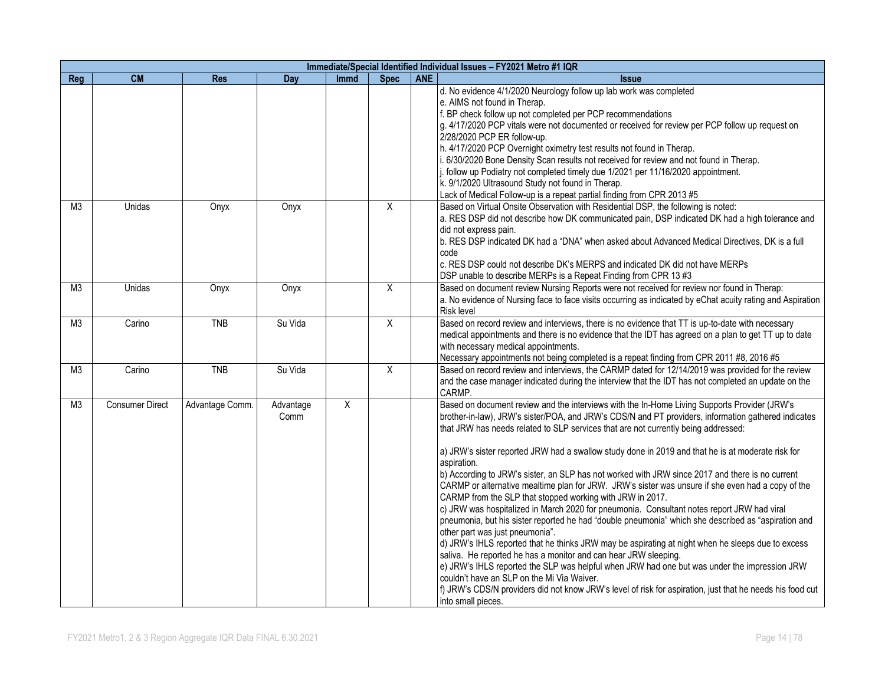|                | Immediate/Special Identified Individual Issues - FY2021 Metro #1 IQR |                 |                   |                |                |            |                                                                                                                                                                                                                                                                                                                                                                                                                                                                                                                                                                                                                                                                                                                                                                                                                                                                                                                                                                                                                                                                                                                                                                                                                                                                                                                                                                                     |  |  |  |  |
|----------------|----------------------------------------------------------------------|-----------------|-------------------|----------------|----------------|------------|-------------------------------------------------------------------------------------------------------------------------------------------------------------------------------------------------------------------------------------------------------------------------------------------------------------------------------------------------------------------------------------------------------------------------------------------------------------------------------------------------------------------------------------------------------------------------------------------------------------------------------------------------------------------------------------------------------------------------------------------------------------------------------------------------------------------------------------------------------------------------------------------------------------------------------------------------------------------------------------------------------------------------------------------------------------------------------------------------------------------------------------------------------------------------------------------------------------------------------------------------------------------------------------------------------------------------------------------------------------------------------------|--|--|--|--|
| Reg            | <b>CM</b>                                                            | <b>Res</b>      | Day               | <b>Immd</b>    | <b>Spec</b>    | <b>ANE</b> | <b>Issue</b>                                                                                                                                                                                                                                                                                                                                                                                                                                                                                                                                                                                                                                                                                                                                                                                                                                                                                                                                                                                                                                                                                                                                                                                                                                                                                                                                                                        |  |  |  |  |
|                |                                                                      |                 |                   |                |                |            | d. No evidence 4/1/2020 Neurology follow up lab work was completed<br>e. AIMS not found in Therap.<br>f. BP check follow up not completed per PCP recommendations<br>g. 4/17/2020 PCP vitals were not documented or received for review per PCP follow up request on<br>2/28/2020 PCP ER follow-up.<br>h. 4/17/2020 PCP Overnight oximetry test results not found in Therap.<br>i. 6/30/2020 Bone Density Scan results not received for review and not found in Therap.<br>j. follow up Podiatry not completed timely due 1/2021 per 11/16/2020 appointment.<br>k. 9/1/2020 Ultrasound Study not found in Therap.<br>Lack of Medical Follow-up is a repeat partial finding from CPR 2013 #5                                                                                                                                                                                                                                                                                                                                                                                                                                                                                                                                                                                                                                                                                         |  |  |  |  |
| M <sub>3</sub> | Unidas                                                               | Onyx            | Onyx              |                | $\overline{X}$ |            | Based on Virtual Onsite Observation with Residential DSP, the following is noted:<br>a. RES DSP did not describe how DK communicated pain, DSP indicated DK had a high tolerance and<br>did not express pain.<br>b. RES DSP indicated DK had a "DNA" when asked about Advanced Medical Directives, DK is a full<br>code<br>c. RES DSP could not describe DK's MERPS and indicated DK did not have MERPs<br>DSP unable to describe MERPs is a Repeat Finding from CPR 13 #3                                                                                                                                                                                                                                                                                                                                                                                                                                                                                                                                                                                                                                                                                                                                                                                                                                                                                                          |  |  |  |  |
| M <sub>3</sub> | Unidas                                                               | Onyx            | Onyx              |                | $\overline{X}$ |            | Based on document review Nursing Reports were not received for review nor found in Therap:<br>a. No evidence of Nursing face to face visits occurring as indicated by eChat acuity rating and Aspiration<br><b>Risk level</b>                                                                                                                                                                                                                                                                                                                                                                                                                                                                                                                                                                                                                                                                                                                                                                                                                                                                                                                                                                                                                                                                                                                                                       |  |  |  |  |
| M <sub>3</sub> | Carino                                                               | <b>TNB</b>      | Su Vida           |                | $\overline{X}$ |            | Based on record review and interviews, there is no evidence that TT is up-to-date with necessary<br>medical appointments and there is no evidence that the IDT has agreed on a plan to get TT up to date<br>with necessary medical appointments.<br>Necessary appointments not being completed is a repeat finding from CPR 2011 #8, 2016 #5                                                                                                                                                                                                                                                                                                                                                                                                                                                                                                                                                                                                                                                                                                                                                                                                                                                                                                                                                                                                                                        |  |  |  |  |
| M <sub>3</sub> | Carino                                                               | <b>TNB</b>      | Su Vida           |                | $\overline{X}$ |            | Based on record review and interviews, the CARMP dated for 12/14/2019 was provided for the review<br>and the case manager indicated during the interview that the IDT has not completed an update on the<br>CARMP.                                                                                                                                                                                                                                                                                                                                                                                                                                                                                                                                                                                                                                                                                                                                                                                                                                                                                                                                                                                                                                                                                                                                                                  |  |  |  |  |
| M <sub>3</sub> | <b>Consumer Direct</b>                                               | Advantage Comm. | Advantage<br>Comm | $\overline{X}$ |                |            | Based on document review and the interviews with the In-Home Living Supports Provider (JRW's<br>brother-in-law), JRW's sister/POA, and JRW's CDS/N and PT providers, information gathered indicates<br>that JRW has needs related to SLP services that are not currently being addressed:<br>a) JRW's sister reported JRW had a swallow study done in 2019 and that he is at moderate risk for<br>aspiration.<br>b) According to JRW's sister, an SLP has not worked with JRW since 2017 and there is no current<br>CARMP or alternative mealtime plan for JRW. JRW's sister was unsure if she even had a copy of the<br>CARMP from the SLP that stopped working with JRW in 2017.<br>c) JRW was hospitalized in March 2020 for pneumonia. Consultant notes report JRW had viral<br>pneumonia, but his sister reported he had "double pneumonia" which she described as "aspiration and<br>other part was just pneumonia".<br>d) JRW's IHLS reported that he thinks JRW may be aspirating at night when he sleeps due to excess<br>saliva. He reported he has a monitor and can hear JRW sleeping.<br>e) JRW's IHLS reported the SLP was helpful when JRW had one but was under the impression JRW<br>couldn't have an SLP on the Mi Via Waiver.<br>f) JRW's CDS/N providers did not know JRW's level of risk for aspiration, just that he needs his food cut<br>into small pieces. |  |  |  |  |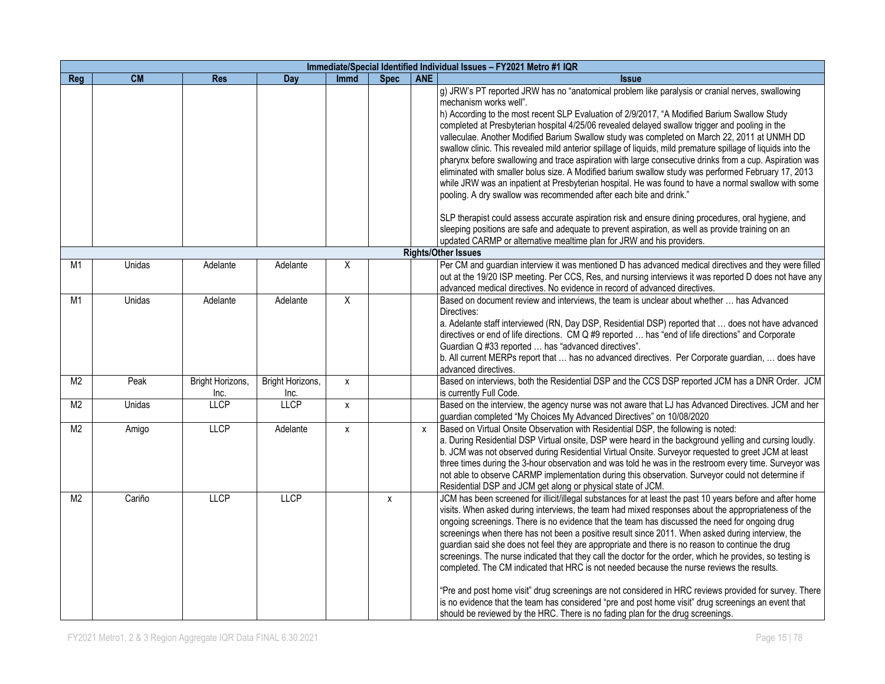|                | Immediate/Special Identified Individual Issues - FY2021 Metro #1 IQR |                  |                  |                    |             |                           |                                                                                                                                                                                                                                                                                                                                                                                                                                                                                                                                                                                                                                                                                                                                                                                                                                                                                                                                                                                                                                                                                                                                                          |  |  |  |  |  |
|----------------|----------------------------------------------------------------------|------------------|------------------|--------------------|-------------|---------------------------|----------------------------------------------------------------------------------------------------------------------------------------------------------------------------------------------------------------------------------------------------------------------------------------------------------------------------------------------------------------------------------------------------------------------------------------------------------------------------------------------------------------------------------------------------------------------------------------------------------------------------------------------------------------------------------------------------------------------------------------------------------------------------------------------------------------------------------------------------------------------------------------------------------------------------------------------------------------------------------------------------------------------------------------------------------------------------------------------------------------------------------------------------------|--|--|--|--|--|
| Reg            | <b>CM</b>                                                            | <b>Res</b>       | Day              | <b>Immd</b>        | <b>Spec</b> | <b>ANE</b>                | <b>Issue</b>                                                                                                                                                                                                                                                                                                                                                                                                                                                                                                                                                                                                                                                                                                                                                                                                                                                                                                                                                                                                                                                                                                                                             |  |  |  |  |  |
|                |                                                                      |                  |                  |                    |             |                           | g) JRW's PT reported JRW has no "anatomical problem like paralysis or cranial nerves, swallowing<br>mechanism works well".<br>h) According to the most recent SLP Evaluation of 2/9/2017, "A Modified Barium Swallow Study<br>completed at Presbyterian hospital 4/25/06 revealed delayed swallow trigger and pooling in the<br>valleculae. Another Modified Barium Swallow study was completed on March 22, 2011 at UNMH DD<br>swallow clinic. This revealed mild anterior spillage of liquids, mild premature spillage of liquids into the<br>pharynx before swallowing and trace aspiration with large consecutive drinks from a cup. Aspiration was<br>eliminated with smaller bolus size. A Modified barium swallow study was performed February 17, 2013<br>while JRW was an inpatient at Presbyterian hospital. He was found to have a normal swallow with some<br>pooling. A dry swallow was recommended after each bite and drink."<br>SLP therapist could assess accurate aspiration risk and ensure dining procedures, oral hygiene, and<br>sleeping positions are safe and adequate to prevent aspiration, as well as provide training on an |  |  |  |  |  |
|                |                                                                      |                  |                  |                    |             |                           | updated CARMP or alternative mealtime plan for JRW and his providers.                                                                                                                                                                                                                                                                                                                                                                                                                                                                                                                                                                                                                                                                                                                                                                                                                                                                                                                                                                                                                                                                                    |  |  |  |  |  |
|                |                                                                      |                  |                  |                    |             |                           | <b>Rights/Other Issues</b>                                                                                                                                                                                                                                                                                                                                                                                                                                                                                                                                                                                                                                                                                                                                                                                                                                                                                                                                                                                                                                                                                                                               |  |  |  |  |  |
| M <sub>1</sub> | Unidas                                                               | Adelante         | Adelante         | X                  |             |                           | Per CM and guardian interview it was mentioned D has advanced medical directives and they were filled<br>out at the 19/20 ISP meeting. Per CCS, Res, and nursing interviews it was reported D does not have any<br>advanced medical directives. No evidence in record of advanced directives.                                                                                                                                                                                                                                                                                                                                                                                                                                                                                                                                                                                                                                                                                                                                                                                                                                                            |  |  |  |  |  |
| M1             | Unidas                                                               | Adelante         | Adelante         | X                  |             |                           | Based on document review and interviews, the team is unclear about whether  has Advanced<br>Directives:<br>a. Adelante staff interviewed (RN, Day DSP, Residential DSP) reported that  does not have advanced<br>directives or end of life directions. CM Q #9 reported  has "end of life directions" and Corporate<br>Guardian Q #33 reported  has "advanced directives".<br>b. All current MERPs report that  has no advanced directives. Per Corporate guardian,  does have<br>advanced directives.                                                                                                                                                                                                                                                                                                                                                                                                                                                                                                                                                                                                                                                   |  |  |  |  |  |
| M <sub>2</sub> | Peak                                                                 | Bright Horizons, | Bright Horizons, | $\pmb{\mathsf{X}}$ |             |                           | Based on interviews, both the Residential DSP and the CCS DSP reported JCM has a DNR Order. JCM                                                                                                                                                                                                                                                                                                                                                                                                                                                                                                                                                                                                                                                                                                                                                                                                                                                                                                                                                                                                                                                          |  |  |  |  |  |
|                |                                                                      | Inc.             | Inc.             |                    |             |                           | is currently Full Code.                                                                                                                                                                                                                                                                                                                                                                                                                                                                                                                                                                                                                                                                                                                                                                                                                                                                                                                                                                                                                                                                                                                                  |  |  |  |  |  |
| M <sub>2</sub> | Unidas                                                               | <b>LLCP</b>      | <b>LLCP</b>      | X                  |             |                           | Based on the interview, the agency nurse was not aware that LJ has Advanced Directives. JCM and her<br>guardian completed "My Choices My Advanced Directives" on 10/08/2020                                                                                                                                                                                                                                                                                                                                                                                                                                                                                                                                                                                                                                                                                                                                                                                                                                                                                                                                                                              |  |  |  |  |  |
| M <sub>2</sub> | Amigo                                                                | <b>LLCP</b>      | Adelante         | X                  |             | $\boldsymbol{\mathsf{x}}$ | Based on Virtual Onsite Observation with Residential DSP, the following is noted:<br>a. During Residential DSP Virtual onsite, DSP were heard in the background yelling and cursing loudly.<br>b. JCM was not observed during Residential Virtual Onsite. Surveyor requested to greet JCM at least<br>three times during the 3-hour observation and was told he was in the restroom every time. Surveyor was<br>not able to observe CARMP implementation during this observation. Surveyor could not determine if<br>Residential DSP and JCM get along or physical state of JCM.                                                                                                                                                                                                                                                                                                                                                                                                                                                                                                                                                                         |  |  |  |  |  |
| M <sub>2</sub> | Cariño                                                               | LLCP             | LLCP             |                    | X           |                           | JCM has been screened for illicit/illegal substances for at least the past 10 years before and after home<br>visits. When asked during interviews, the team had mixed responses about the appropriateness of the<br>ongoing screenings. There is no evidence that the team has discussed the need for ongoing drug<br>screenings when there has not been a positive result since 2011. When asked during interview, the<br>guardian said she does not feel they are appropriate and there is no reason to continue the drug<br>screenings. The nurse indicated that they call the doctor for the order, which he provides, so testing is<br>completed. The CM indicated that HRC is not needed because the nurse reviews the results.<br>"Pre and post home visit" drug screenings are not considered in HRC reviews provided for survey. There<br>is no evidence that the team has considered "pre and post home visit" drug screenings an event that<br>should be reviewed by the HRC. There is no fading plan for the drug screenings.                                                                                                                |  |  |  |  |  |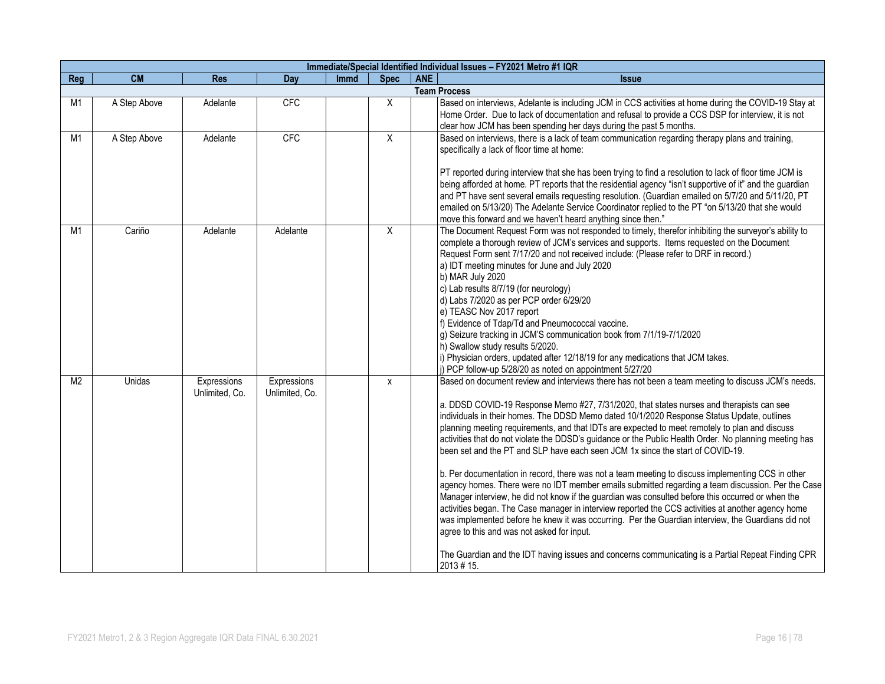|                | Immediate/Special Identified Individual Issues - FY2021 Metro #1 IQR |                               |                               |             |             |            |                                                                                                                                                                                                                                                                                                                                                                                                                                                                                                                                                                                                                                                                                                                                                                                                                                                                                                                                                                                                                                                                                                                                                                                                                                                                                           |  |  |  |  |  |
|----------------|----------------------------------------------------------------------|-------------------------------|-------------------------------|-------------|-------------|------------|-------------------------------------------------------------------------------------------------------------------------------------------------------------------------------------------------------------------------------------------------------------------------------------------------------------------------------------------------------------------------------------------------------------------------------------------------------------------------------------------------------------------------------------------------------------------------------------------------------------------------------------------------------------------------------------------------------------------------------------------------------------------------------------------------------------------------------------------------------------------------------------------------------------------------------------------------------------------------------------------------------------------------------------------------------------------------------------------------------------------------------------------------------------------------------------------------------------------------------------------------------------------------------------------|--|--|--|--|--|
| Reg            | <b>CM</b>                                                            | <b>Res</b>                    | Day                           | <b>Immd</b> | <b>Spec</b> | <b>ANE</b> | <b>Issue</b>                                                                                                                                                                                                                                                                                                                                                                                                                                                                                                                                                                                                                                                                                                                                                                                                                                                                                                                                                                                                                                                                                                                                                                                                                                                                              |  |  |  |  |  |
|                |                                                                      |                               |                               |             |             |            | <b>Team Process</b>                                                                                                                                                                                                                                                                                                                                                                                                                                                                                                                                                                                                                                                                                                                                                                                                                                                                                                                                                                                                                                                                                                                                                                                                                                                                       |  |  |  |  |  |
| M1             | A Step Above                                                         | Adelante                      | CFC                           |             | X           |            | Based on interviews, Adelante is including JCM in CCS activities at home during the COVID-19 Stay at<br>Home Order. Due to lack of documentation and refusal to provide a CCS DSP for interview, it is not<br>clear how JCM has been spending her days during the past 5 months.                                                                                                                                                                                                                                                                                                                                                                                                                                                                                                                                                                                                                                                                                                                                                                                                                                                                                                                                                                                                          |  |  |  |  |  |
| M <sub>1</sub> | A Step Above                                                         | Adelante                      | <b>CFC</b>                    |             | X           |            | Based on interviews, there is a lack of team communication regarding therapy plans and training,<br>specifically a lack of floor time at home:<br>PT reported during interview that she has been trying to find a resolution to lack of floor time JCM is<br>being afforded at home. PT reports that the residential agency "isn't supportive of it" and the guardian<br>and PT have sent several emails requesting resolution. (Guardian emailed on 5/7/20 and 5/11/20, PT<br>emailed on 5/13/20) The Adelante Service Coordinator replied to the PT "on 5/13/20 that she would<br>move this forward and we haven't heard anything since then."                                                                                                                                                                                                                                                                                                                                                                                                                                                                                                                                                                                                                                          |  |  |  |  |  |
| M1             | Cariño                                                               | Adelante                      | Adelante                      |             | X           |            | The Document Request Form was not responded to timely, therefor inhibiting the surveyor's ability to<br>complete a thorough review of JCM's services and supports. Items requested on the Document<br>Request Form sent 7/17/20 and not received include: (Please refer to DRF in record.)<br>a) IDT meeting minutes for June and July 2020<br>b) MAR July 2020<br>c) Lab results 8/7/19 (for neurology)<br>d) Labs 7/2020 as per PCP order 6/29/20<br>e) TEASC Nov 2017 report<br>f) Evidence of Tdap/Td and Pneumococcal vaccine.<br>g) Seizure tracking in JCM'S communication book from 7/1/19-7/1/2020<br>h) Swallow study results 5/2020.<br>i) Physician orders, updated after 12/18/19 for any medications that JCM takes.<br>j) PCP follow-up 5/28/20 as noted on appointment 5/27/20                                                                                                                                                                                                                                                                                                                                                                                                                                                                                            |  |  |  |  |  |
| M <sub>2</sub> | Unidas                                                               | Expressions<br>Unlimited, Co. | Expressions<br>Unlimited, Co. |             | х           |            | Based on document review and interviews there has not been a team meeting to discuss JCM's needs.<br>a. DDSD COVID-19 Response Memo #27, 7/31/2020, that states nurses and therapists can see<br>individuals in their homes. The DDSD Memo dated 10/1/2020 Response Status Update, outlines<br>planning meeting requirements, and that IDTs are expected to meet remotely to plan and discuss<br>activities that do not violate the DDSD's guidance or the Public Health Order. No planning meeting has<br>been set and the PT and SLP have each seen JCM 1x since the start of COVID-19.<br>b. Per documentation in record, there was not a team meeting to discuss implementing CCS in other<br>agency homes. There were no IDT member emails submitted regarding a team discussion. Per the Case<br>Manager interview, he did not know if the guardian was consulted before this occurred or when the<br>activities began. The Case manager in interview reported the CCS activities at another agency home<br>was implemented before he knew it was occurring. Per the Guardian interview, the Guardians did not<br>agree to this and was not asked for input.<br>The Guardian and the IDT having issues and concerns communicating is a Partial Repeat Finding CPR<br>$2013 \# 15$ . |  |  |  |  |  |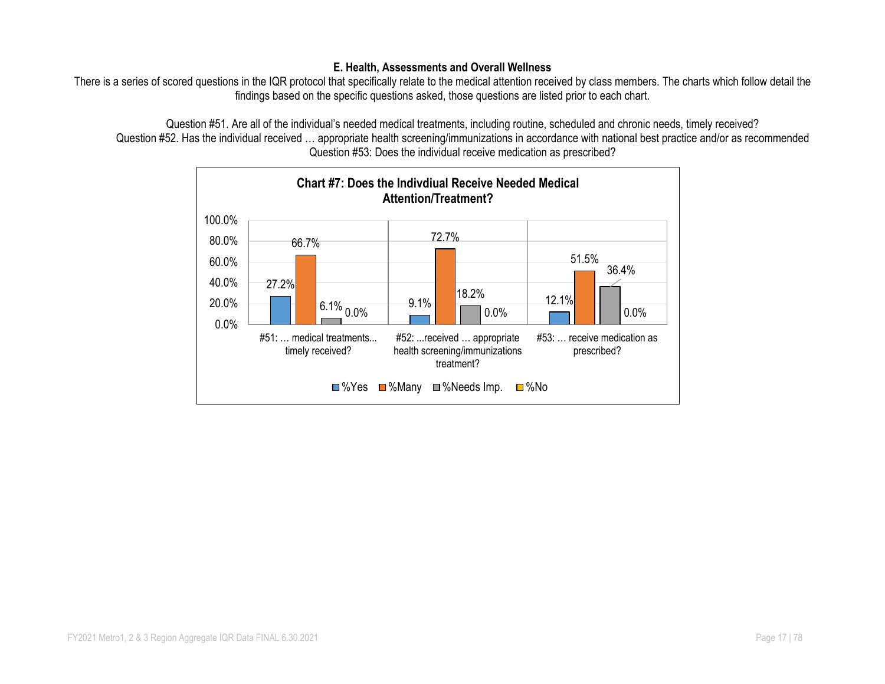#### **E. Health, Assessments and Overall Wellness**

There is a series of scored questions in the IQR protocol that specifically relate to the medical attention received by class members. The charts which follow detail the findings based on the specific questions asked, those questions are listed prior to each chart.

Question #51. Are all of the individual's needed medical treatments, including routine, scheduled and chronic needs, timely received? Question #52. Has the individual received ... appropriate health screening/immunizations in accordance with national best practice and/or as recommended Question #53: Does the individual receive medication as prescribed?

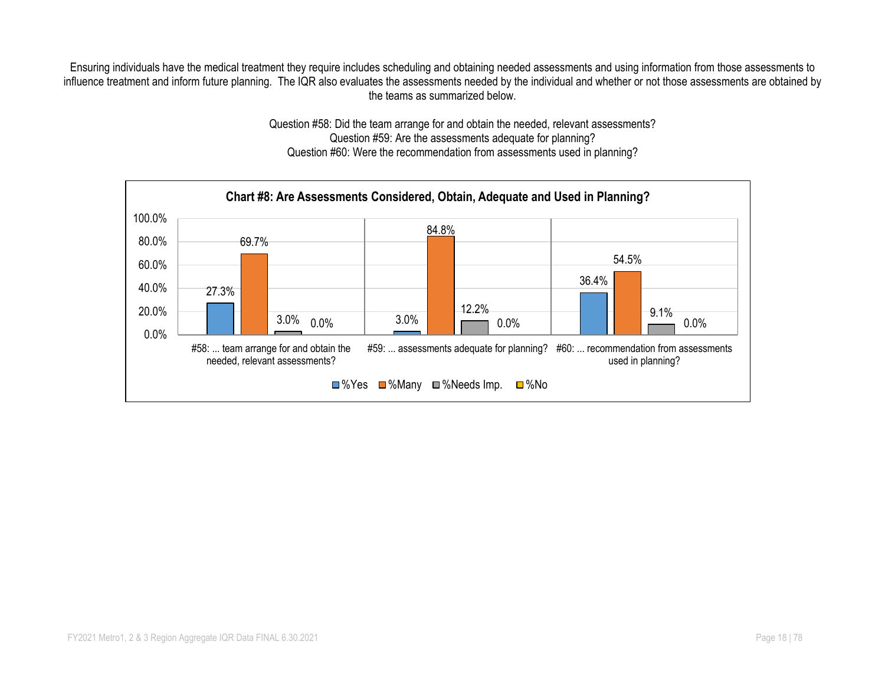Ensuring individuals have the medical treatment they require includes scheduling and obtaining needed assessments and using information from those assessments to influence treatment and inform future planning. The IQR also evaluates the assessments needed by the individual and whether or not those assessments are obtained by the teams as summarized below.

> Question #58: Did the team arrange for and obtain the needed, relevant assessments? Question #59: Are the assessments adequate for planning? Question #60: Were the recommendation from assessments used in planning?

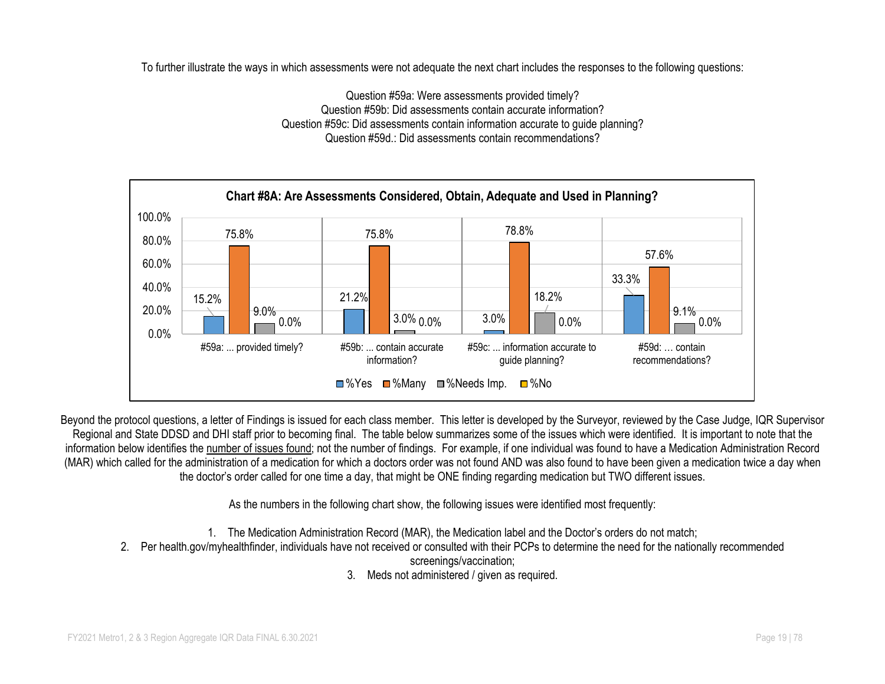To further illustrate the ways in which assessments were not adequate the next chart includes the responses to the following questions:

Question #59a: Were assessments provided timely? Question #59b: Did assessments contain accurate information? Question #59c: Did assessments contain information accurate to guide planning? Question #59d.: Did assessments contain recommendations?



Beyond the protocol questions, a letter of Findings is issued for each class member. This letter is developed by the Surveyor, reviewed by the Case Judge, IQR Supervisor Regional and State DDSD and DHI staff prior to becoming final. The table below summarizes some of the issues which were identified. It is important to note that the information below identifies the number of issues found; not the number of findings. For example, if one individual was found to have a Medication Administration Record (MAR) which called for the administration of a medication for which a doctors order was not found AND was also found to have been given a medication twice a day when the doctor's order called for one time a day, that might be ONE finding regarding medication but TWO different issues.

As the numbers in the following chart show, the following issues were identified most frequently:

- 1. The Medication Administration Record (MAR), the Medication label and the Doctor's orders do not match;
- 2. Per health.gov/myhealthfinder, individuals have not received or consulted with their PCPs to determine the need for the nationally recommended screenings/vaccination;
	- 3. Meds not administered / given as required.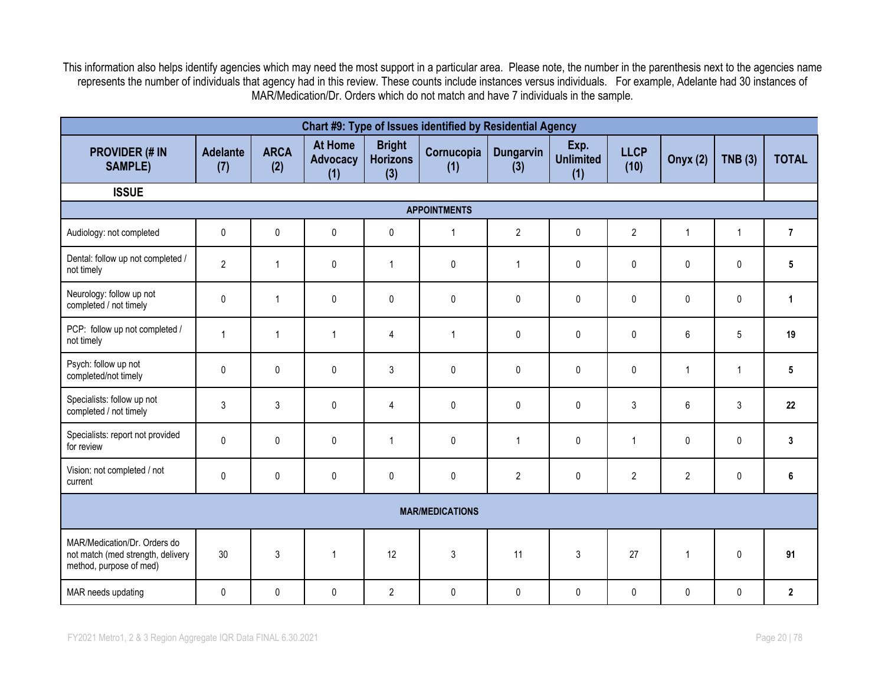This information also helps identify agencies which may need the most support in a particular area. Please note, the number in the parenthesis next to the agencies name represents the number of individuals that agency had in this review. These counts include instances versus individuals. For example, Adelante had 30 instances of MAR/Medication/Dr. Orders which do not match and have 7 individuals in the sample.

| Chart #9: Type of Issues identified by Residential Agency                                    |                        |                    |                                          |                                         |                        |                  |                                 |                     |                |                |                |  |  |
|----------------------------------------------------------------------------------------------|------------------------|--------------------|------------------------------------------|-----------------------------------------|------------------------|------------------|---------------------------------|---------------------|----------------|----------------|----------------|--|--|
| <b>PROVIDER (# IN</b><br><b>SAMPLE)</b>                                                      | <b>Adelante</b><br>(7) | <b>ARCA</b><br>(2) | <b>At Home</b><br><b>Advocacy</b><br>(1) | <b>Bright</b><br><b>Horizons</b><br>(3) | Cornucopia<br>(1)      | Dungarvin<br>(3) | Exp.<br><b>Unlimited</b><br>(1) | <b>LLCP</b><br>(10) | Onyx (2)       | TNB(3)         | <b>TOTAL</b>   |  |  |
| <b>ISSUE</b>                                                                                 |                        |                    |                                          |                                         |                        |                  |                                 |                     |                |                |                |  |  |
|                                                                                              |                        |                    |                                          |                                         | <b>APPOINTMENTS</b>    |                  |                                 |                     |                |                |                |  |  |
| Audiology: not completed                                                                     | 0                      | $\pmb{0}$          | $\pmb{0}$                                | $\pmb{0}$                               | $\overline{1}$         | $\overline{2}$   | 0                               | $\overline{2}$      | $\mathbf{1}$   | $\mathbf{1}$   | $\overline{7}$ |  |  |
| Dental: follow up not completed /<br>not timely                                              | $\overline{2}$         | $\mathbf{1}$       | 0                                        | $\mathbf{1}$                            | $\mathbf{0}$           | $\mathbf{1}$     | 0                               | $\pmb{0}$           | $\mathbf{0}$   | 0              | 5              |  |  |
| Neurology: follow up not<br>completed / not timely                                           | $\pmb{0}$              | $\mathbf{1}$       | 0                                        | $\pmb{0}$                               | $\pmb{0}$              | $\pmb{0}$        | 0                               | $\pmb{0}$           | $\pmb{0}$      | 0              | 1              |  |  |
| PCP: follow up not completed /<br>not timely                                                 | $\mathbf{1}$           | $\mathbf{1}$       | 1                                        | 4                                       | $\overline{1}$         | 0                | 0                               | $\pmb{0}$           | 6              | 5              | 19             |  |  |
| Psych: follow up not<br>completed/not timely                                                 | $\mathbf{0}$           | 0                  | $\mathbf{0}$                             | 3                                       | $\mathbf{0}$           | $\mathbf{0}$     | 0                               | $\mathbf{0}$        | $\overline{1}$ | $\mathbf{1}$   | 5              |  |  |
| Specialists: follow up not<br>completed / not timely                                         | 3                      | $\mathfrak{Z}$     | 0                                        | $\overline{4}$                          | $\pmb{0}$              | 0                | 0                               | 3                   | 6              | $\mathfrak{Z}$ | 22             |  |  |
| Specialists: report not provided<br>for review                                               | $\mathbf 0$            | $\pmb{0}$          | 0                                        | $\mathbf{1}$                            | $\pmb{0}$              | $\mathbf{1}$     | 0                               | $\mathbf{1}$        | $\mathbf{0}$   | 0              | 3              |  |  |
| Vision: not completed / not<br>current                                                       | $\pmb{0}$              | $\pmb{0}$          | 0                                        | $\pmb{0}$                               | $\pmb{0}$              | $\overline{2}$   | 0                               | $\overline{2}$      | $\overline{2}$ | $\pmb{0}$      | 6              |  |  |
|                                                                                              |                        |                    |                                          |                                         | <b>MAR/MEDICATIONS</b> |                  |                                 |                     |                |                |                |  |  |
| MAR/Medication/Dr. Orders do<br>not match (med strength, delivery<br>method, purpose of med) | 30                     | $\sqrt{3}$         | $\overline{1}$                           | 12                                      | $\sqrt{3}$             | 11               | 3                               | 27                  | $\overline{1}$ | $\pmb{0}$      | 91             |  |  |
| MAR needs updating                                                                           | 0                      | 0                  | 0                                        | $\overline{2}$                          | $\mathbf 0$            | $\pmb{0}$        | 0                               | 0                   | 0              | 0              | $\mathbf 2$    |  |  |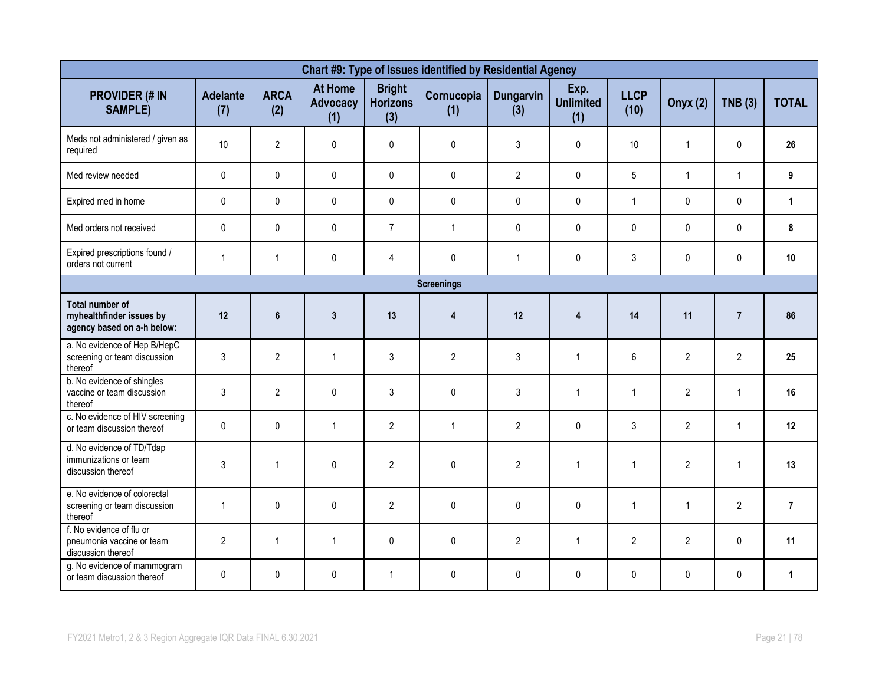| Chart #9: Type of Issues identified by Residential Agency                        |                        |                    |                                          |                                         |                   |                         |                                 |                     |                 |                |                |  |  |
|----------------------------------------------------------------------------------|------------------------|--------------------|------------------------------------------|-----------------------------------------|-------------------|-------------------------|---------------------------------|---------------------|-----------------|----------------|----------------|--|--|
| <b>PROVIDER (# IN</b><br><b>SAMPLE)</b>                                          | <b>Adelante</b><br>(7) | <b>ARCA</b><br>(2) | <b>At Home</b><br><b>Advocacy</b><br>(1) | <b>Bright</b><br><b>Horizons</b><br>(3) | Cornucopia<br>(1) | <b>Dungarvin</b><br>(3) | Exp.<br><b>Unlimited</b><br>(1) | <b>LLCP</b><br>(10) | <b>Onyx (2)</b> | <b>TNB (3)</b> | <b>TOTAL</b>   |  |  |
| Meds not administered / given as<br>required                                     | 10                     | $\overline{2}$     | $\mathbf 0$                              | $\mathbf 0$                             | $\pmb{0}$         | 3                       | 0                               | 10                  | $\overline{1}$  | $\mathbf{0}$   | 26             |  |  |
| Med review needed                                                                | 0                      | 0                  | $\pmb{0}$                                | $\mathbf 0$                             | $\mathbf 0$       | $\overline{2}$          | 0                               | $5\phantom{.0}$     | $\overline{1}$  | $\mathbf{1}$   | 9              |  |  |
| Expired med in home                                                              | 0                      | 0                  | $\pmb{0}$                                | $\pmb{0}$                               | $\pmb{0}$         | $\pmb{0}$               | 0                               | $\mathbf{1}$        | $\pmb{0}$       | $\mathsf{O}$   | $\mathbf{1}$   |  |  |
| Med orders not received                                                          | $\mathbf{0}$           | $\mathbf 0$        | $\mathbf 0$                              | $\overline{7}$                          | $\mathbf{1}$      | $\mathbf 0$             | $\mathbf{0}$                    | $\mathbf{0}$        | $\mathbf{0}$    | $\mathbf 0$    | 8              |  |  |
| Expired prescriptions found /<br>orders not current                              | $\mathbf{1}$           | $\mathbf{1}$       | 0                                        | 4                                       | $\pmb{0}$         | $\mathbf{1}$            | 0                               | 3                   | $\mathbf 0$     | 0              | 10             |  |  |
|                                                                                  |                        |                    |                                          |                                         | <b>Screenings</b> |                         |                                 |                     |                 |                |                |  |  |
| <b>Total number of</b><br>myhealthfinder issues by<br>agency based on a-h below: | 12                     | $\bf 6$            | $\mathbf{3}$                             | 13                                      | $\overline{4}$    | 12                      | 4                               | 14                  | 11              | $\overline{7}$ | 86             |  |  |
| a. No evidence of Hep B/HepC<br>screening or team discussion<br>thereof          | 3                      | $\overline{2}$     | $\mathbf{1}$                             | 3                                       | $\overline{2}$    | 3                       | $\mathbf{1}$                    | 6                   | $\overline{2}$  | $\overline{2}$ | 25             |  |  |
| b. No evidence of shingles<br>vaccine or team discussion<br>thereof              | 3                      | $\overline{2}$     | $\Omega$                                 | 3                                       | $\mathbf{0}$      | 3                       | $\mathbf{1}$                    | $\mathbf{1}$        | $\overline{2}$  | $\mathbf{1}$   | 16             |  |  |
| c. No evidence of HIV screening<br>or team discussion thereof                    | $\mathbf{0}$           | 0                  | $\mathbf{1}$                             | $\overline{2}$                          | $\mathbf{1}$      | $\overline{2}$          | 0                               | 3                   | $\overline{2}$  | $\mathbf{1}$   | 12             |  |  |
| d. No evidence of TD/Tdap<br>immunizations or team<br>discussion thereof         | 3                      | $\mathbf{1}$       | $\mathbf{0}$                             | $\overline{2}$                          | $\pmb{0}$         | $\overline{2}$          | $\mathbf{1}$                    | $\mathbf{1}$        | $\overline{2}$  | $\overline{1}$ | 13             |  |  |
| e. No evidence of colorectal<br>screening or team discussion<br>thereof          | $\mathbf{1}$           | 0                  | $\mathbf{0}$                             | $\overline{2}$                          | $\mathbf{0}$      | $\mathbf{0}$            | $\mathbf{0}$                    | $\mathbf{1}$        | $\overline{1}$  | $\overline{2}$ | $\overline{7}$ |  |  |
| f. No evidence of flu or<br>pneumonia vaccine or team<br>discussion thereof      | $\overline{2}$         | $\mathbf{1}$       | $\mathbf{1}$                             | $\mathbf 0$                             | $\mathbf 0$       | $\overline{2}$          | $\mathbf{1}$                    | $\overline{2}$      | $\overline{2}$  | 0              | 11             |  |  |
| g. No evidence of mammogram<br>or team discussion thereof                        | 0                      | $\pmb{0}$          | $\mathbf 0$                              | $\mathbf{1}$                            | $\pmb{0}$         | $\pmb{0}$               | 0                               | $\mathbf 0$         | $\mathbf{0}$    | 0              | $\mathbf{1}$   |  |  |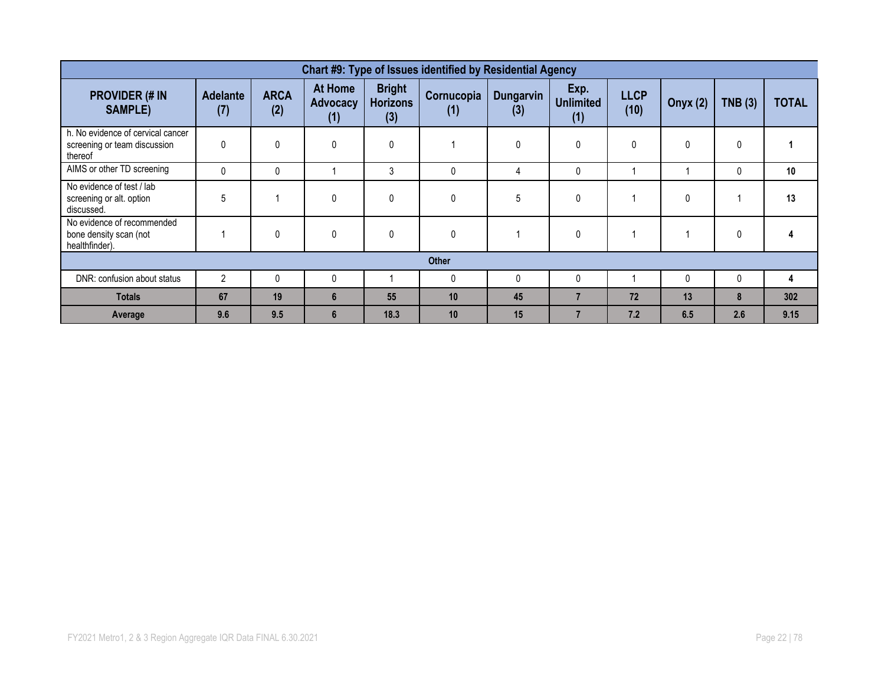| Chart #9: Type of Issues identified by Residential Agency                    |                        |                    |                                          |                                         |                   |                         |                                 |                     |                 |              |              |  |  |
|------------------------------------------------------------------------------|------------------------|--------------------|------------------------------------------|-----------------------------------------|-------------------|-------------------------|---------------------------------|---------------------|-----------------|--------------|--------------|--|--|
| <b>PROVIDER (# IN</b><br><b>SAMPLE)</b>                                      | <b>Adelante</b><br>(7) | <b>ARCA</b><br>(2) | <b>At Home</b><br><b>Advocacy</b><br>(1) | <b>Bright</b><br><b>Horizons</b><br>(3) | Cornucopia<br>(1) | <b>Dungarvin</b><br>(3) | Exp.<br><b>Unlimited</b><br>(1) | <b>LLCP</b><br>(10) | <b>Onyx (2)</b> | TNB(3)       | <b>TOTAL</b> |  |  |
| h. No evidence of cervical cancer<br>screening or team discussion<br>thereof | 0                      | 0                  | 0                                        | $\mathbf{0}$                            |                   | $\Omega$                | 0                               | 0                   | $\mathbf{0}$    | $\Omega$     |              |  |  |
| AIMS or other TD screening                                                   | $\Omega$               | $\Omega$           |                                          | 3                                       | $\mathbf{0}$      | 4                       | 0                               |                     |                 |              | 10           |  |  |
| No evidence of test / lab<br>screening or alt. option<br>discussed.          | 5                      |                    | 0                                        | $\mathbf 0$                             | 0                 | 5                       | 0                               |                     | 0               |              | 13           |  |  |
| No evidence of recommended<br>bone density scan (not<br>healthfinder).       |                        | $\mathbf 0$        | $\mathbf{0}$                             | $\mathbf 0$                             | $\mathbf 0$       |                         | 0                               |                     |                 | 0            |              |  |  |
|                                                                              |                        |                    |                                          |                                         | <b>Other</b>      |                         |                                 |                     |                 |              |              |  |  |
| DNR: confusion about status                                                  | $\mathfrak{p}$         | $\Omega$           | 0                                        |                                         | $\mathbf{0}$      | O                       | 0                               |                     | $\Omega$        | <sup>0</sup> | 4            |  |  |
| <b>Totals</b>                                                                | 67                     | 19                 | 6                                        | 55                                      | 10                | 45                      | 7                               | 72                  | 13              | 8            | 302          |  |  |
| Average                                                                      | 9.6                    | 9.5                | 6                                        | 18.3                                    | 10                | 15                      | 7                               | 7.2                 | 6.5             | 2.6          | 9.15         |  |  |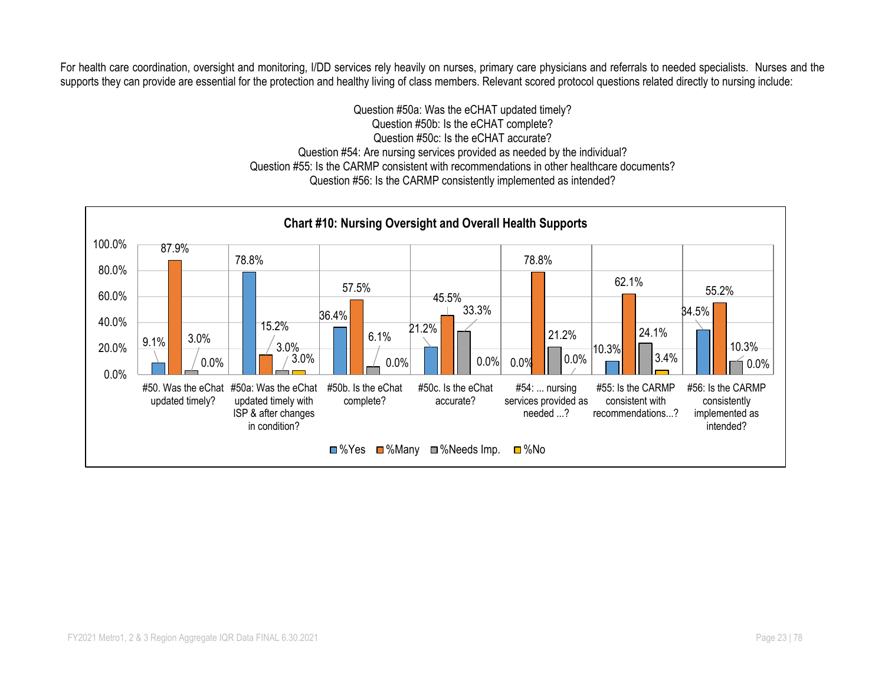For health care coordination, oversight and monitoring, I/DD services rely heavily on nurses, primary care physicians and referrals to needed specialists. Nurses and the supports they can provide are essential for the protection and healthy living of class members. Relevant scored protocol questions related directly to nursing include:

> Question #50a: Was the eCHAT updated timely? Question #50b: Is the eCHAT complete? Question #50c: Is the eCHAT accurate? Question #54: Are nursing services provided as needed by the individual? Question #55: Is the CARMP consistent with recommendations in other healthcare documents? Question #56: Is the CARMP consistently implemented as intended?

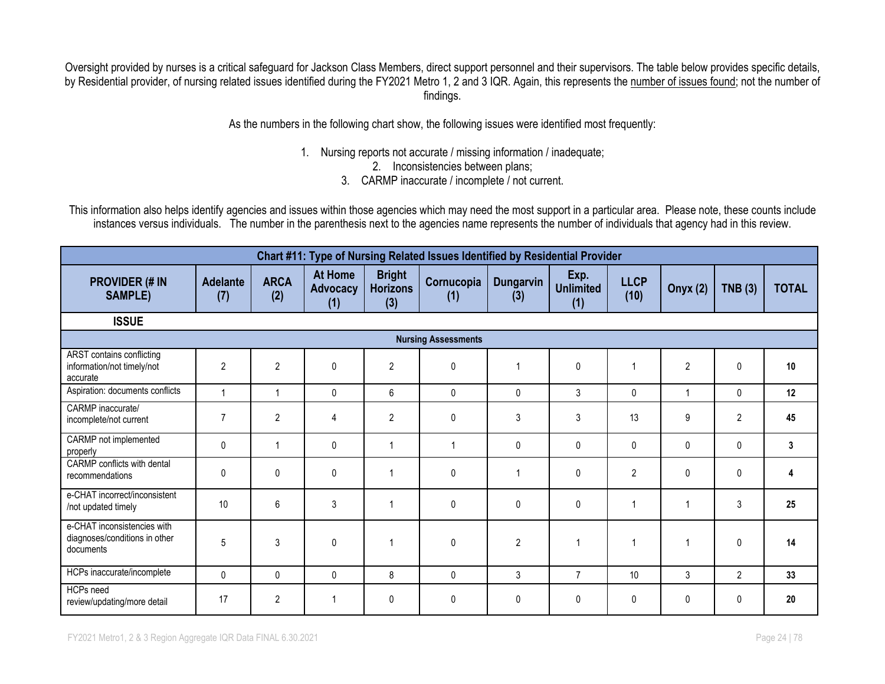Oversight provided by nurses is a critical safeguard for Jackson Class Members, direct support personnel and their supervisors. The table below provides specific details, by Residential provider, of nursing related issues identified during the FY2021 Metro 1, 2 and 3 IQR. Again, this represents the number of issues found; not the number of findings.

As the numbers in the following chart show, the following issues were identified most frequently:

- 1. Nursing reports not accurate / missing information / inadequate;
	- 2. Inconsistencies between plans;
	- 3. CARMP inaccurate / incomplete / not current.

This information also helps identify agencies and issues within those agencies which may need the most support in a particular area. Please note, these counts include instances versus individuals. The number in the parenthesis next to the agencies name represents the number of individuals that agency had in this review.

| Chart #11: Type of Nursing Related Issues Identified by Residential Provider |                        |                    |                                          |                                         |                            |                         |                                 |                     |                 |                |                 |  |
|------------------------------------------------------------------------------|------------------------|--------------------|------------------------------------------|-----------------------------------------|----------------------------|-------------------------|---------------------------------|---------------------|-----------------|----------------|-----------------|--|
| <b>PROVIDER (# IN</b><br><b>SAMPLE)</b>                                      | <b>Adelante</b><br>(7) | <b>ARCA</b><br>(2) | <b>At Home</b><br><b>Advocacy</b><br>(1) | <b>Bright</b><br><b>Horizons</b><br>(3) | Cornucopia<br>(1)          | <b>Dungarvin</b><br>(3) | Exp.<br><b>Unlimited</b><br>(1) | <b>LLCP</b><br>(10) | <b>Onyx (2)</b> | TNB(3)         | <b>TOTAL</b>    |  |
| <b>ISSUE</b>                                                                 |                        |                    |                                          |                                         |                            |                         |                                 |                     |                 |                |                 |  |
|                                                                              |                        |                    |                                          |                                         | <b>Nursing Assessments</b> |                         |                                 |                     |                 |                |                 |  |
| ARST contains conflicting<br>information/not timely/not<br>accurate          | $\overline{2}$         | $\overline{2}$     | $\mathbf{0}$                             | $\overline{2}$                          | $\mathbf{0}$               | 1                       | $\mathbf{0}$                    |                     | $\overline{2}$  | 0              | 10              |  |
| Aspiration: documents conflicts                                              |                        |                    | 0                                        | 6                                       | $\mathbf 0$                | 0                       | 3                               | $\mathbf 0$         | $\overline{1}$  | 0              | 12              |  |
| CARMP inaccurate/<br>incomplete/not current                                  | $\overline{7}$         | $\mathbf{2}$       | 4                                        | $\overline{2}$                          | $\mathbf{0}$               | 3                       | 3                               | 13                  | 9               | $\overline{2}$ | 45              |  |
| CARMP not implemented<br>properly                                            | 0                      | 1                  | $\mathbf{0}$                             | 1                                       | -1                         | 0                       | $\mathbf{0}$                    | $\mathbf 0$         | $\mathbf{0}$    | 0              | 3               |  |
| <b>CARMP</b> conflicts with dental<br>recommendations                        | 0                      | 0                  | $\mathbf{0}$                             | 1                                       | $\mathbf{0}$               | 1                       | $\mathbf{0}$                    | $\overline{2}$      | $\mathbf{0}$    | $\mathbf{0}$   |                 |  |
| e-CHAT incorrect/inconsistent<br>/not updated timely                         | 10                     | 6                  | 3                                        | 1                                       | $\mathbf{0}$               | 0                       | 0                               |                     |                 | 3              | 25              |  |
| e-CHAT inconsistencies with<br>diagnoses/conditions in other<br>documents    | 5                      | 3                  | $\mathbf{0}$                             | 1                                       | $\mathbf{0}$               | $\overline{2}$          |                                 |                     |                 | $\mathbf{0}$   | 14              |  |
| HCPs inaccurate/incomplete                                                   | 0                      | 0                  | $\mathbf{0}$                             | 8                                       | $\mathbf{0}$               | 3                       | $\overline{7}$                  | 10                  | 3               | $\overline{2}$ | 33 <sup>2</sup> |  |
| HCPs need<br>review/updating/more detail                                     | 17                     | $\mathbf{2}$       |                                          | 0                                       | $\mathbf 0$                | 0                       | 0                               | $\mathbf 0$         | $\mathbf 0$     | $\mathbf{0}$   | 20              |  |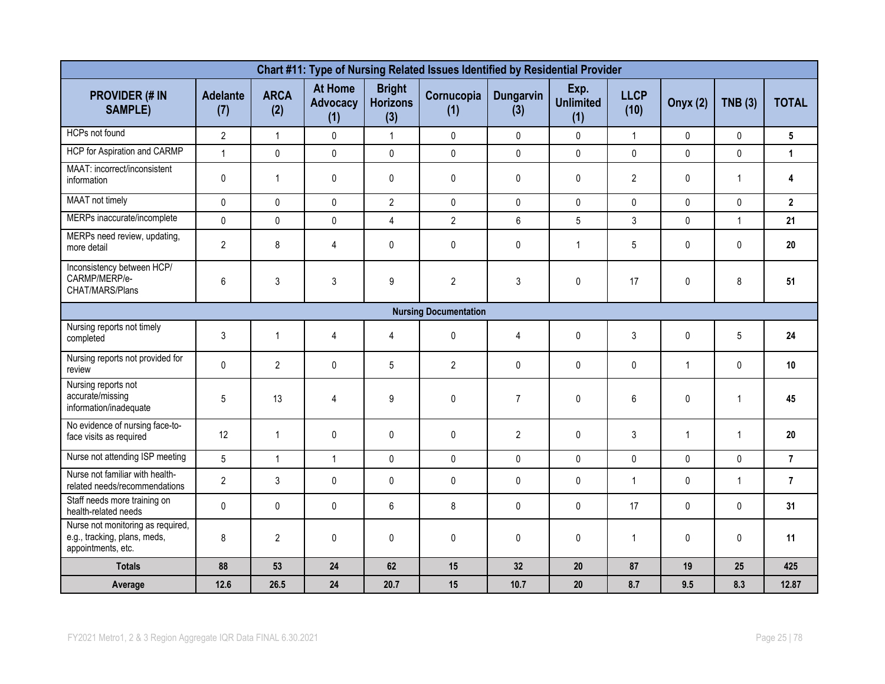| Chart #11: Type of Nursing Related Issues Identified by Residential Provider            |                        |                    |                                          |                                         |                              |                  |                                 |                     |                 |              |                 |  |  |
|-----------------------------------------------------------------------------------------|------------------------|--------------------|------------------------------------------|-----------------------------------------|------------------------------|------------------|---------------------------------|---------------------|-----------------|--------------|-----------------|--|--|
| <b>PROVIDER (# IN</b><br><b>SAMPLE)</b>                                                 | <b>Adelante</b><br>(7) | <b>ARCA</b><br>(2) | <b>At Home</b><br><b>Advocacy</b><br>(1) | <b>Bright</b><br><b>Horizons</b><br>(3) | Cornucopia<br>(1)            | Dungarvin<br>(3) | Exp.<br><b>Unlimited</b><br>(1) | <b>LLCP</b><br>(10) | <b>Onyx (2)</b> | TNB(3)       | <b>TOTAL</b>    |  |  |
| HCPs not found                                                                          | $\overline{2}$         | $\mathbf{1}$       | 0                                        | $\mathbf{1}$                            | $\mathbf 0$                  | $\pmb{0}$        | $\mathbf 0$                     | $\mathbf{1}$        | $\mathbf{0}$    | $\mathbf 0$  | 5               |  |  |
| HCP for Aspiration and CARMP                                                            | $\mathbf{1}$           | $\pmb{0}$          | $\mathbf 0$                              | $\pmb{0}$                               | $\pmb{0}$                    | $\pmb{0}$        | $\mathsf{O}$                    | $\pmb{0}$           | 0               | $\pmb{0}$    | $\mathbf{1}$    |  |  |
| MAAT: incorrect/inconsistent<br>information                                             | $\mathbf 0$            | $\mathbf{1}$       | 0                                        | $\pmb{0}$                               | $\mathbf{0}$                 | $\mathbf{0}$     | 0                               | $\overline{2}$      | $\mathbf{0}$    | $\mathbf{1}$ | 4               |  |  |
| MAAT not timely                                                                         | $\pmb{0}$              | $\mathbf 0$        | $\mathbf 0$                              | $\overline{2}$                          | $\pmb{0}$                    | $\pmb{0}$        | 0                               | $\pmb{0}$           | $\mathbf 0$     | $\mathbf 0$  | $\mathbf 2$     |  |  |
| MERPs inaccurate/incomplete                                                             | $\mathbf 0$            | $\mathbf 0$        | $\mathbf 0$                              | $\overline{4}$                          | $\overline{2}$               | 6                | 5                               | 3                   | $\mathbf 0$     | $\mathbf{1}$ | 21              |  |  |
| MERPs need review, updating,<br>more detail                                             | $\overline{2}$         | 8                  | 4                                        | $\pmb{0}$                               | $\pmb{0}$                    | $\pmb{0}$        | $\mathbf{1}$                    | 5                   | $\mathbf{0}$    | 0            | 20              |  |  |
| Inconsistency between HCP/<br>CARMP/MERP/e-<br>CHAT/MARS/Plans                          | 6                      | $\mathfrak{Z}$     | 3                                        | 9                                       | $\overline{2}$               | $\mathbf{3}$     | 0                               | 17                  | $\mathbf{0}$    | 8            | 51              |  |  |
|                                                                                         |                        |                    |                                          |                                         | <b>Nursing Documentation</b> |                  |                                 |                     |                 |              |                 |  |  |
| Nursing reports not timely<br>completed                                                 | 3                      | $\mathbf{1}$       | 4                                        | 4                                       | $\mathbf{0}$                 | $\overline{4}$   | 0                               | 3                   | $\mathbf{0}$    | 5            | 24              |  |  |
| Nursing reports not provided for<br>review                                              | $\mathbf{0}$           | $\overline{2}$     | $\mathbf{0}$                             | 5                                       | $\overline{2}$               | $\mathbf{0}$     | 0                               | $\mathbf{0}$        | $\mathbf{1}$    | $\mathbf{0}$ | 10 <sup>°</sup> |  |  |
| Nursing reports not<br>accurate/missing<br>information/inadequate                       | 5                      | 13                 | 4                                        | 9                                       | $\pmb{0}$                    | $\overline{7}$   | 0                               | 6                   | $\mathbf{0}$    | $\mathbf{1}$ | 45              |  |  |
| No evidence of nursing face-to-<br>face visits as required                              | 12                     | $\mathbf{1}$       | 0                                        | $\pmb{0}$                               | $\mathbf{0}$                 | $\overline{2}$   | 0                               | 3                   | $\overline{1}$  | $\mathbf{1}$ | 20              |  |  |
| Nurse not attending ISP meeting                                                         | $5\overline{)}$        | $\mathbf{1}$       | $\mathbf{1}$                             | $\pmb{0}$                               | $\pmb{0}$                    | $\pmb{0}$        | 0                               | $\pmb{0}$           | $\mathbf 0$     | $\mathbf 0$  | $\overline{7}$  |  |  |
| Nurse not familiar with health-<br>related needs/recommendations                        | $\overline{2}$         | $\mathfrak{Z}$     | 0                                        | $\mathsf{O}$                            | $\mathbf 0$                  | $\pmb{0}$        | 0                               | $\mathbf{1}$        | 0               | $\mathbf{1}$ | $\overline{7}$  |  |  |
| Staff needs more training on<br>health-related needs                                    | 0                      | $\mathbf 0$        | 0                                        | 6                                       | 8                            | $\mathbf{0}$     | $\mathbf{0}$                    | 17                  | $\Omega$        | $\mathbf{0}$ | 31              |  |  |
| Nurse not monitoring as required,<br>e.g., tracking, plans, meds,<br>appointments, etc. | 8                      | $\overline{2}$     | 0                                        | $\pmb{0}$                               | $\mathbf{0}$                 | $\mathbf{0}$     | 0                               | $\mathbf{1}$        | $\mathbf{0}$    | $\Omega$     | 11              |  |  |
| <b>Totals</b>                                                                           | 88                     | 53                 | 24                                       | 62                                      | 15                           | 32               | 20                              | 87                  | 19              | 25           | 425             |  |  |
| Average                                                                                 | 12.6                   | 26.5               | 24                                       | 20.7                                    | 15                           | 10.7             | 20                              | 8.7                 | 9.5             | 8.3          | 12.87           |  |  |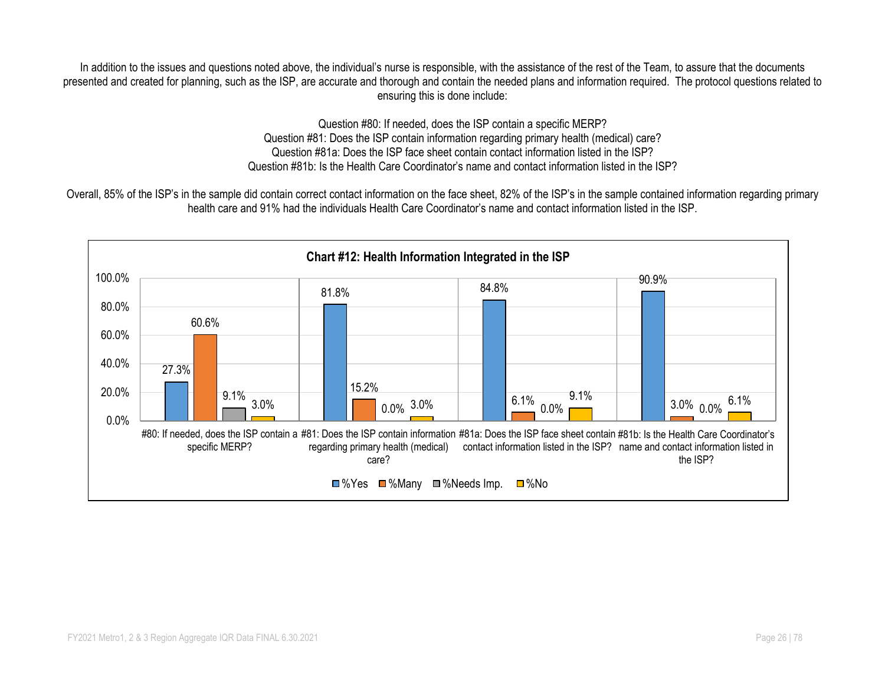In addition to the issues and questions noted above, the individual's nurse is responsible, with the assistance of the rest of the Team, to assure that the documents presented and created for planning, such as the ISP, are accurate and thorough and contain the needed plans and information required. The protocol questions related to ensuring this is done include:

> Question #80: If needed, does the ISP contain a specific MERP? Question #81: Does the ISP contain information regarding primary health (medical) care? Question #81a: Does the ISP face sheet contain contact information listed in the ISP? Question #81b: Is the Health Care Coordinator's name and contact information listed in the ISP?

Overall, 85% of the ISP's in the sample did contain correct contact information on the face sheet, 82% of the ISP's in the sample contained information regarding primary health care and 91% had the individuals Health Care Coordinator's name and contact information listed in the ISP.

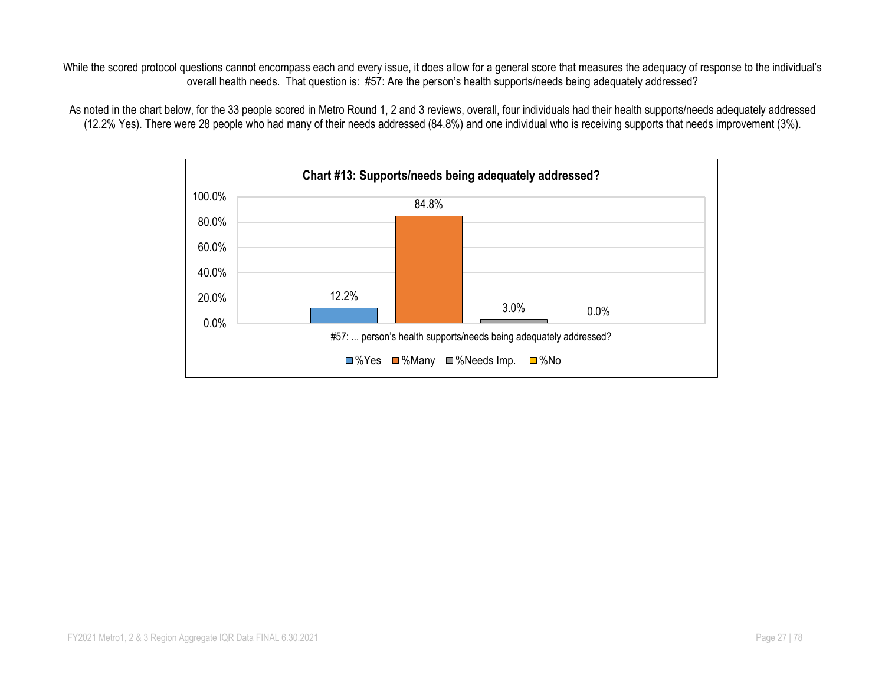While the scored protocol questions cannot encompass each and every issue, it does allow for a general score that measures the adequacy of response to the individual's overall health needs. That question is: #57: Are the person's health supports/needs being adequately addressed?

As noted in the chart below, for the 33 people scored in Metro Round 1, 2 and 3 reviews, overall, four individuals had their health supports/needs adequately addressed (12.2% Yes). There were 28 people who had many of their needs addressed (84.8%) and one individual who is receiving supports that needs improvement (3%).

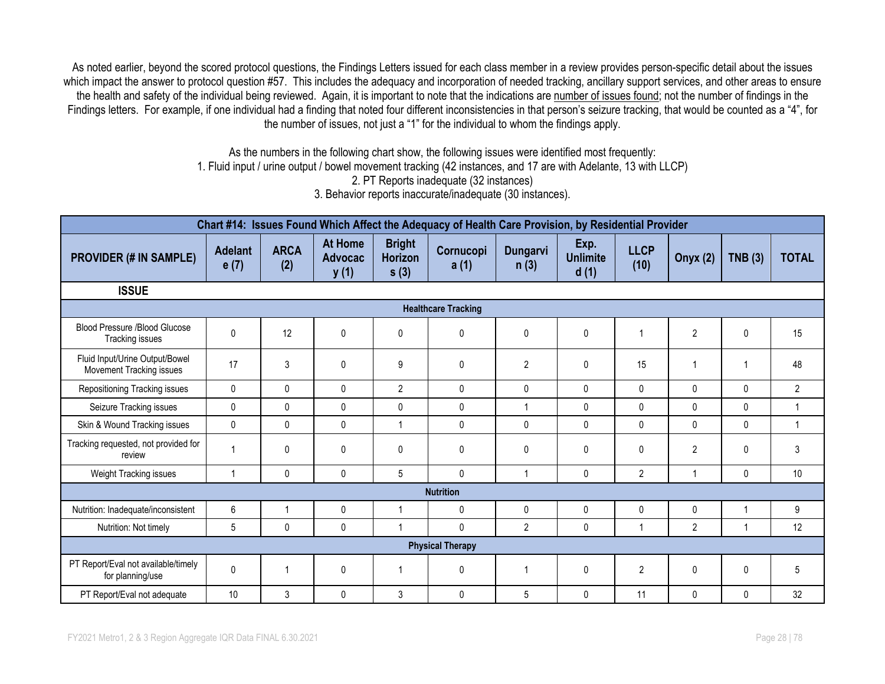As noted earlier, beyond the scored protocol questions, the Findings Letters issued for each class member in a review provides person-specific detail about the issues which impact the answer to protocol question #57. This includes the adequacy and incorporation of needed tracking, ancillary support services, and other areas to ensure the health and safety of the individual being reviewed. Again, it is important to note that the indications are number of issues found; not the number of findings in the Findings letters. For example, if one individual had a finding that noted four different inconsistencies in that person's seizure tracking, that would be counted as a "4", for the number of issues, not just a "1" for the individual to whom the findings apply.

> As the numbers in the following chart show, the following issues were identified most frequently: 1. Fluid input / urine output / bowel movement tracking (42 instances, and 17 are with Adelante, 13 with LLCP) 2. PT Reports inadequate (32 instances) 3. Behavior reports inaccurate/inadequate (30 instances).

| Chart #14: Issues Found Which Affect the Adequacy of Health Care Provision, by Residential Provider |                        |                    |                                          |                                  |                            |                         |                                 |                     |                 |              |                |  |
|-----------------------------------------------------------------------------------------------------|------------------------|--------------------|------------------------------------------|----------------------------------|----------------------------|-------------------------|---------------------------------|---------------------|-----------------|--------------|----------------|--|
| <b>PROVIDER (# IN SAMPLE)</b>                                                                       | <b>Adelant</b><br>e(7) | <b>ARCA</b><br>(2) | <b>At Home</b><br><b>Advocac</b><br>y(1) | <b>Bright</b><br>Horizon<br>s(3) | Cornucopi<br>a(1)          | <b>Dungarvi</b><br>n(3) | Exp.<br><b>Unlimite</b><br>d(1) | <b>LLCP</b><br>(10) | <b>Onyx (2)</b> | TNB(3)       | <b>TOTAL</b>   |  |
| <b>ISSUE</b>                                                                                        |                        |                    |                                          |                                  |                            |                         |                                 |                     |                 |              |                |  |
|                                                                                                     |                        |                    |                                          |                                  | <b>Healthcare Tracking</b> |                         |                                 |                     |                 |              |                |  |
| Blood Pressure /Blood Glucose<br>Tracking issues                                                    | $\Omega$               | 12                 | 0                                        | $\mathbf{0}$                     | $\mathbf{0}$               | $\pmb{0}$               | 0                               |                     | $\overline{2}$  | $\mathbf{0}$ | 15             |  |
| Fluid Input/Urine Output/Bowel<br>Movement Tracking issues                                          | 17                     | 3                  | 0                                        | 9                                | 0                          | $\overline{2}$          | 0                               | 15                  |                 |              | 48             |  |
| Repositioning Tracking issues                                                                       | $\mathbf{0}$           | 0                  | $\mathbf{0}$                             | $\overline{2}$                   | $\mathbf 0$                | $\mathbf 0$             | $\mathbf{0}$                    | $\mathbf{0}$        | $\Omega$        | $\mathbf{0}$ | $\overline{2}$ |  |
| Seizure Tracking issues                                                                             | $\mathbf{0}$           | $\mathbf{0}$       | 0                                        | $\mathbf{0}$                     | $\mathbf{0}$               |                         | 0                               | $\mathbf{0}$        | $\mathbf{0}$    | $\Omega$     | $\overline{1}$ |  |
| Skin & Wound Tracking issues                                                                        | $\mathbf{0}$           | 0                  | $\mathbf{0}$                             | $\overline{1}$                   | $\mathbf{0}$               | $\mathbf{0}$            | 0                               | $\mathbf{0}$        | $\mathbf{0}$    | $\mathbf{0}$ | $\mathbf{1}$   |  |
| Tracking requested, not provided for<br>review                                                      | 1                      | 0                  | $\mathbf{0}$                             | $\mathbf{0}$                     | $\mathbf{0}$               | $\mathbf 0$             | 0                               | $\mathbf{0}$        | $\overline{2}$  | $\Omega$     | 3              |  |
| Weight Tracking issues                                                                              | 1                      | 0                  | 0                                        | 5                                | 0                          | $\overline{1}$          | 0                               | $\overline{2}$      |                 | 0            | 10             |  |
|                                                                                                     |                        |                    |                                          |                                  | <b>Nutrition</b>           |                         |                                 |                     |                 |              |                |  |
| Nutrition: Inadequate/inconsistent                                                                  | 6                      | 1                  | 0                                        |                                  | $\mathbf{0}$               | $\mathbf 0$             | 0                               | 0                   | $\mathbf{0}$    | 1            | 9              |  |
| Nutrition: Not timely                                                                               | 5                      | 0                  | $\mathbf{0}$                             |                                  | $\Omega$                   | $\overline{2}$          | 0                               |                     | $\overline{2}$  |              | 12             |  |
|                                                                                                     |                        |                    |                                          |                                  | <b>Physical Therapy</b>    |                         |                                 |                     |                 |              |                |  |
| PT Report/Eval not available/timely<br>for planning/use                                             | $\Omega$               | 1                  | $\mathbf{0}$                             |                                  | $\mathbf{0}$               |                         | 0                               | $\overline{2}$      | 0               | 0            | 5              |  |
| PT Report/Eval not adequate                                                                         | 10                     | 3                  | $\mathbf{0}$                             | 3                                | $\mathbf{0}$               | $5\phantom{.0}$         | 0                               | 11                  | $\mathbf{0}$    | $\Omega$     | 32             |  |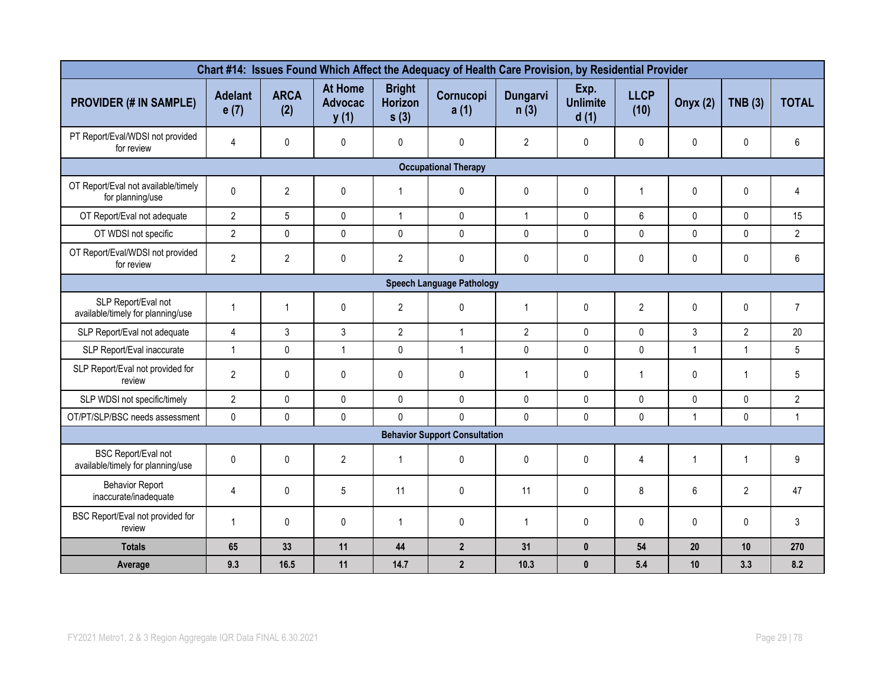| Chart #14: Issues Found Which Affect the Adequacy of Health Care Provision, by Residential Provider |                        |                    |                                          |                                         |                             |                  |                                 |                         |                 |                |                |
|-----------------------------------------------------------------------------------------------------|------------------------|--------------------|------------------------------------------|-----------------------------------------|-----------------------------|------------------|---------------------------------|-------------------------|-----------------|----------------|----------------|
| <b>PROVIDER (# IN SAMPLE)</b>                                                                       | <b>Adelant</b><br>e(7) | <b>ARCA</b><br>(2) | <b>At Home</b><br><b>Advocac</b><br>y(1) | <b>Bright</b><br><b>Horizon</b><br>s(3) | Cornucopi<br>a(1)           | Dungarvi<br>n(3) | Exp.<br><b>Unlimite</b><br>d(1) | <b>LLCP</b><br>(10)     | <b>Onyx (2)</b> | TNB(3)         | <b>TOTAL</b>   |
| PT Report/Eval/WDSI not provided<br>for review                                                      | 4                      | 0                  | $\mathbf{0}$                             | 0                                       | $\mathbf 0$                 | $\overline{2}$   | $\mathsf{O}$                    | $\mathbf{0}$            | $\mathbf{0}$    | 0              | 6              |
|                                                                                                     |                        |                    |                                          |                                         | <b>Occupational Therapy</b> |                  |                                 |                         |                 |                |                |
| OT Report/Eval not available/timely<br>for planning/use                                             | $\Omega$               | $\overline{2}$     | $\mathbf{0}$                             | $\mathbf{1}$                            | 0                           | $\mathbf{0}$     | $\pmb{0}$                       | $\overline{\mathbf{1}}$ | 0               | 0              | 4              |
| OT Report/Eval not adequate                                                                         | $\overline{2}$         | $5\overline{)}$    | $\mathbf 0$                              | $\mathbf{1}$                            | $\mathbf 0$                 | $\mathbf{1}$     | $\mathbf 0$                     | 6                       | $\pmb{0}$       | 0              | 15             |
| OT WDSI not specific                                                                                | $\overline{2}$         | $\pmb{0}$          | $\pmb{0}$                                | $\pmb{0}$                               | $\mathsf{0}$                | $\pmb{0}$        | 0                               | 0                       | $\pmb{0}$       | $\pmb{0}$      | $\overline{2}$ |
| OT Report/Eval/WDSI not provided<br>for review                                                      | $\overline{2}$         | $\overline{2}$     | $\pmb{0}$                                | $\overline{2}$                          | $\mathsf{0}$                | $\pmb{0}$        | 0                               | 0                       | 0               | 0              | 6              |
| <b>Speech Language Pathology</b>                                                                    |                        |                    |                                          |                                         |                             |                  |                                 |                         |                 |                |                |
| SLP Report/Eval not<br>available/timely for planning/use                                            | $\mathbf{1}$           | $\mathbf{1}$       | $\pmb{0}$                                | $\overline{2}$                          | $\mathsf{0}$                | $\mathbf{1}$     | $\pmb{0}$                       | $\overline{2}$          | 0               | 0              | $\overline{7}$ |
| SLP Report/Eval not adequate                                                                        | $\overline{4}$         | 3                  | 3                                        | $\overline{2}$                          | $\mathbf{1}$                | $\overline{2}$   | $\mathbf 0$                     | $\Omega$                | 3               | $\overline{2}$ | 20             |
| SLP Report/Eval inaccurate                                                                          | $\mathbf{1}$           | 0                  | $\mathbf{1}$                             | $\mathbf 0$                             | $\mathbf{1}$                | 0                | $\pmb{0}$                       | 0                       | $\mathbf{1}$    | 1              | 5              |
| SLP Report/Eval not provided for<br>review                                                          | $\overline{2}$         | $\pmb{0}$          | $\pmb{0}$                                | $\pmb{0}$                               | $\pmb{0}$                   | $\mathbf{1}$     | $\pmb{0}$                       | $\overline{1}$          | 0               | $\mathbf{1}$   | 5              |
| SLP WDSI not specific/timely                                                                        | $\overline{2}$         | $\pmb{0}$          | 0                                        | $\pmb{0}$                               | $\mathsf{0}$                | $\mathbf 0$      | $\pmb{0}$                       | $\mathbf 0$             | 0               | $\pmb{0}$      | $\overline{2}$ |
| OT/PT/SLP/BSC needs assessment                                                                      | $\pmb{0}$              | $\pmb{0}$          | $\pmb{0}$                                | $\mathbf 0$                             | $\mathbf 0$                 | $\mathbf 0$      | $\pmb{0}$                       | 0                       | $\mathbf{1}$    | 0              | $\mathbf{1}$   |
| <b>Behavior Support Consultation</b>                                                                |                        |                    |                                          |                                         |                             |                  |                                 |                         |                 |                |                |
| <b>BSC Report/Eval not</b><br>available/timely for planning/use                                     | $\mathbf{0}$           | $\mathbf{0}$       | $\overline{2}$                           | $\mathbf{1}$                            | 0                           | $\mathbf{0}$     | 0                               | 4                       | $\mathbf 1$     | 1              | 9              |
| <b>Behavior Report</b><br>inaccurate/inadequate                                                     | 4                      | $\mathbf{0}$       | 5                                        | 11                                      | $\mathbf{0}$                | 11               | 0                               | 8                       | 6               | $\overline{2}$ | 47             |
| BSC Report/Eval not provided for<br>review                                                          | $\overline{1}$         | 0                  | $\pmb{0}$                                | $\mathbf{1}$                            | 0                           | $\mathbf{1}$     | $\pmb{0}$                       | 0                       | 0               | $\mathbf{0}$   | 3              |
| <b>Totals</b>                                                                                       | 65                     | 33                 | 11                                       | 44                                      | $2^{\circ}$                 | 31               | $\mathbf{0}$                    | 54                      | 20              | 10             | 270            |
| Average                                                                                             | 9.3                    | 16.5               | 11                                       | 14.7                                    | $\overline{2}$              | 10.3             | $\mathbf{0}$                    | 5.4                     | 10              | 3.3            | 8.2            |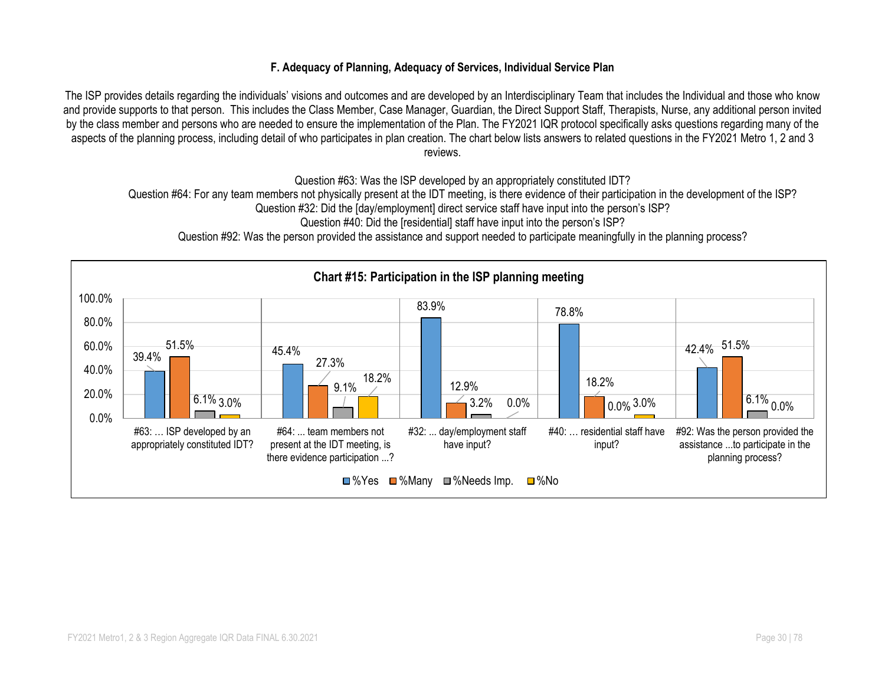#### **F. Adequacy of Planning, Adequacy of Services, Individual Service Plan**

The ISP provides details regarding the individuals' visions and outcomes and are developed by an Interdisciplinary Team that includes the Individual and those who know and provide supports to that person. This includes the Class Member, Case Manager, Guardian, the Direct Support Staff, Therapists, Nurse, any additional person invited by the class member and persons who are needed to ensure the implementation of the Plan. The FY2021 IQR protocol specifically asks questions regarding many of the aspects of the planning process, including detail of who participates in plan creation. The chart below lists answers to related questions in the FY2021 Metro 1, 2 and 3 reviews.

Question #63: Was the ISP developed by an appropriately constituted IDT?

Question #64: For any team members not physically present at the IDT meeting, is there evidence of their participation in the development of the ISP?

Question #32: Did the [day/employment] direct service staff have input into the person's ISP?

Question #40: Did the [residential] staff have input into the person's ISP?

Question #92: Was the person provided the assistance and support needed to participate meaningfully in the planning process?

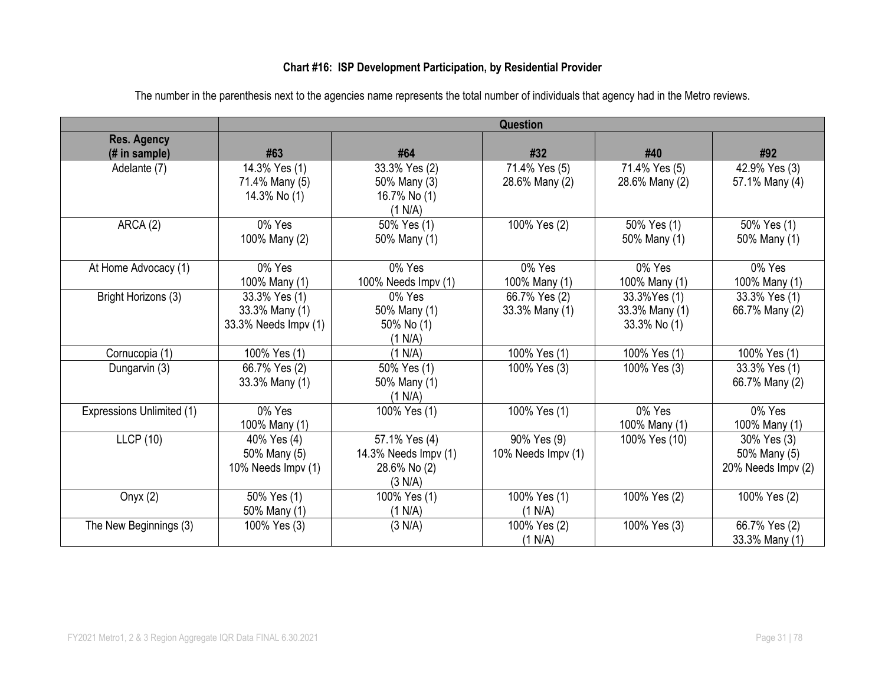### **Chart #16: ISP Development Participation, by Residential Provider**

|                           | Question             |                      |                    |                |                    |  |  |
|---------------------------|----------------------|----------------------|--------------------|----------------|--------------------|--|--|
| <b>Res. Agency</b>        |                      |                      |                    |                |                    |  |  |
| (# in sample)             | #63                  | #64                  | #32                | #40            | #92                |  |  |
| Adelante (7)              | 14.3% Yes (1)        | 33.3% Yes (2)        | 71.4% Yes (5)      | 71.4% Yes (5)  | 42.9% Yes (3)      |  |  |
|                           | 71.4% Many (5)       | 50% Many (3)         | 28.6% Many (2)     | 28.6% Many (2) | 57.1% Many (4)     |  |  |
|                           | 14.3% No (1)         | 16.7% No (1)         |                    |                |                    |  |  |
|                           |                      | (1 N/A)              |                    |                |                    |  |  |
| ARCA (2)                  | 0% Yes               | 50% Yes (1)          | 100% Yes (2)       | 50% Yes (1)    | 50% Yes (1)        |  |  |
|                           | 100% Many (2)        | 50% Many (1)         |                    | 50% Many (1)   | 50% Many (1)       |  |  |
|                           |                      |                      |                    |                |                    |  |  |
| At Home Advocacy (1)      | 0% Yes               | 0% Yes               | 0% Yes             | 0% Yes         | 0% Yes             |  |  |
|                           | 100% Many (1)        | 100% Needs Impv (1)  | 100% Many (1)      | 100% Many (1)  | 100% Many (1)      |  |  |
| Bright Horizons (3)       | 33.3% Yes (1)        | 0% Yes               | 66.7% Yes (2)      | 33.3% Yes (1)  | 33.3% Yes (1)      |  |  |
|                           | 33.3% Many (1)       | 50% Many (1)         | 33.3% Many (1)     | 33.3% Many (1) | 66.7% Many (2)     |  |  |
|                           | 33.3% Needs Impv (1) | 50% No (1)           |                    | 33.3% No (1)   |                    |  |  |
|                           |                      | (1 N/A)              |                    |                |                    |  |  |
| Cornucopia (1)            | 100% Yes (1)         | (1 N/A)              | 100% Yes (1)       | 100% Yes (1)   | 100% Yes (1)       |  |  |
| Dungarvin (3)             | 66.7% Yes (2)        | 50% Yes (1)          | 100% Yes (3)       | 100% Yes (3)   | 33.3% Yes (1)      |  |  |
|                           | 33.3% Many (1)       | 50% Many (1)         |                    |                | 66.7% Many (2)     |  |  |
|                           |                      | (1 N/A)              |                    |                |                    |  |  |
| Expressions Unlimited (1) | 0% Yes               | 100% Yes (1)         | 100% Yes (1)       | 0% Yes         | 0% Yes             |  |  |
|                           | 100% Many (1)        |                      |                    | 100% Many (1)  | 100% Many (1)      |  |  |
| <b>LLCP</b> (10)          | 40% Yes (4)          | 57.1% Yes (4)        | 90% Yes (9)        | 100% Yes (10)  | 30% Yes (3)        |  |  |
|                           | 50% Many (5)         | 14.3% Needs Impv (1) | 10% Needs Impv (1) |                | 50% Many (5)       |  |  |
|                           | 10% Needs Impv (1)   | 28.6% No (2)         |                    |                | 20% Needs Impv (2) |  |  |
|                           |                      | (3 N/A)              |                    |                |                    |  |  |
| Onyx $(2)$                | 50% Yes (1)          | 100% Yes (1)         | 100% Yes (1)       | 100% Yes (2)   | 100% Yes (2)       |  |  |
|                           | 50% Many (1)         | (1 N/A)              | (1 N/A)            |                |                    |  |  |
| The New Beginnings (3)    | 100% Yes (3)         | (3 N/A)              | 100% Yes (2)       | 100% Yes (3)   | 66.7% Yes (2)      |  |  |
|                           |                      |                      | (1 N/A)            |                | 33.3% Many (1)     |  |  |

The number in the parenthesis next to the agencies name represents the total number of individuals that agency had in the Metro reviews.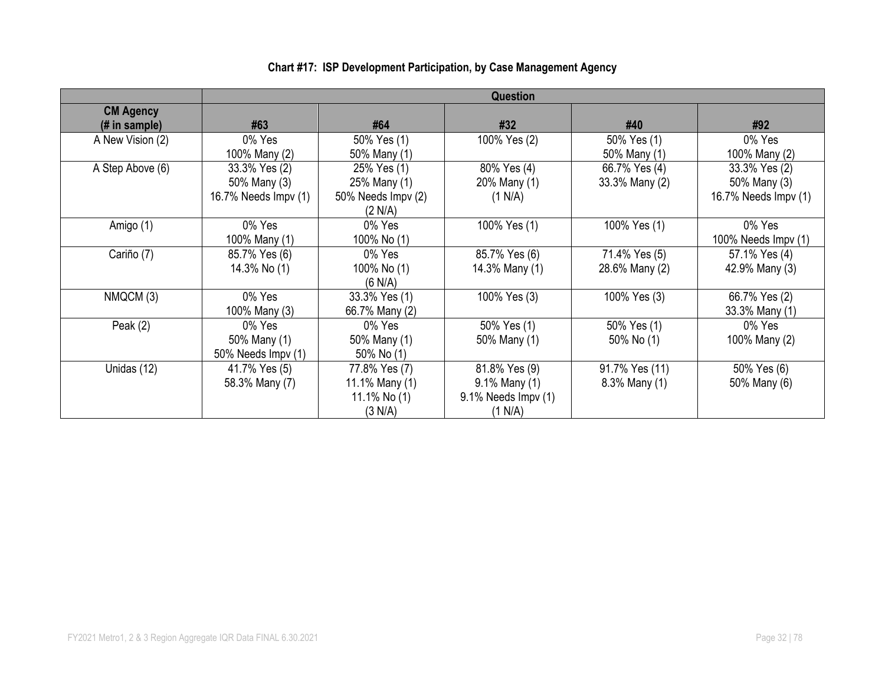|                                    | Question                                              |                                                              |                                                                  |                                 |                                                       |  |  |
|------------------------------------|-------------------------------------------------------|--------------------------------------------------------------|------------------------------------------------------------------|---------------------------------|-------------------------------------------------------|--|--|
| <b>CM Agency</b><br>$#$ in sample) | #63                                                   | #64                                                          | #32                                                              | #40                             | #92                                                   |  |  |
| A New Vision (2)                   | 0% Yes<br>100% Many (2)                               | 50% Yes (1)<br>50% Many (1)                                  | 100% Yes (2)                                                     | 50% Yes (1)<br>50% Many (1)     | 0% Yes<br>100% Many (2)                               |  |  |
| A Step Above (6)                   | 33.3% Yes (2)<br>50% Many (3)<br>16.7% Needs Impv (1) | 25% Yes (1)<br>25% Many (1)<br>50% Needs Impv (2)<br>(2 N/A) | 80% Yes (4)<br>20% Many (1)<br>(1 N/A)                           | 66.7% Yes (4)<br>33.3% Many (2) | 33.3% Yes (2)<br>50% Many (3)<br>16.7% Needs Impv (1) |  |  |
| Amigo (1)                          | 0% Yes<br>100% Many (1)                               | 0% Yes<br>100% No (1)                                        | 100% Yes (1)                                                     | 100% Yes (1)                    | 0% Yes<br>100% Needs $Impv(1)$                        |  |  |
| Cariño (7)                         | 85.7% Yes (6)<br>14.3% No (1)                         | 0% Yes<br>100% No (1)<br>(6 N/A)                             | 85.7% Yes (6)<br>14.3% Many (1)                                  | 71.4% Yes (5)<br>28.6% Many (2) | 57.1% Yes (4)<br>42.9% Many (3)                       |  |  |
| NMQCM (3)                          | 0% Yes<br>100% Many (3)                               | 33.3% Yes (1)<br>66.7% Many (2)                              | 100% Yes (3)                                                     | 100% Yes (3)                    | 66.7% Yes (2)<br>33.3% Many (1)                       |  |  |
| Peak $(2)$                         | 0% Yes<br>50% Many (1)<br>50% Needs Impv (1)          | 0% Yes<br>50% Many (1)<br>50% No (1)                         | 50% Yes (1)<br>50% Many (1)                                      | 50% Yes (1)<br>50% No (1)       | 0% Yes<br>100% Many (2)                               |  |  |
| Unidas (12)                        | 41.7% Yes (5)<br>58.3% Many (7)                       | 77.8% Yes (7)<br>11.1% Many (1)<br>11.1% No $(1)$<br>(3 N/A) | 81.8% Yes (9)<br>9.1% Many (1)<br>9.1% Needs Impv (1)<br>(1 N/A) | 91.7% Yes (11)<br>8.3% Many (1) | 50% Yes (6)<br>50% Many (6)                           |  |  |

# **Chart #17: ISP Development Participation, by Case Management Agency**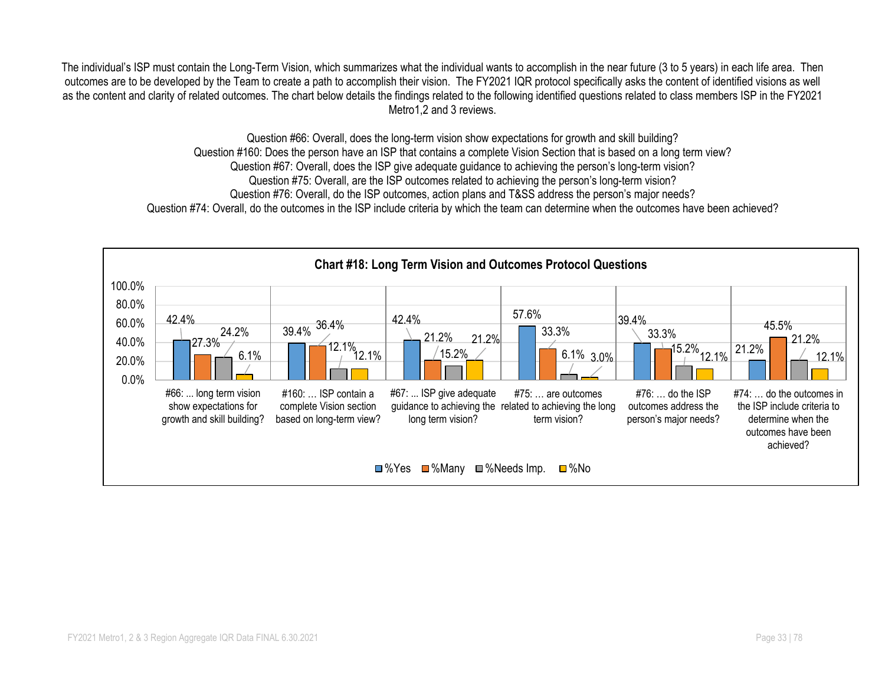The individual's ISP must contain the Long-Term Vision, which summarizes what the individual wants to accomplish in the near future (3 to 5 years) in each life area. Then outcomes are to be developed by the Team to create a path to accomplish their vision. The FY2021 IQR protocol specifically asks the content of identified visions as well as the content and clarity of related outcomes. The chart below details the findings related to the following identified questions related to class members ISP in the FY2021 Metro1,2 and 3 reviews.

> Question #66: Overall, does the long-term vision show expectations for growth and skill building? Question #160: Does the person have an ISP that contains a complete Vision Section that is based on a long term view? Question #67: Overall, does the ISP give adequate guidance to achieving the person's long-term vision? Question #75: Overall, are the ISP outcomes related to achieving the person's long-term vision? Question #76: Overall, do the ISP outcomes, action plans and T&SS address the person's major needs? Question #74: Overall, do the outcomes in the ISP include criteria by which the team can determine when the outcomes have been achieved?

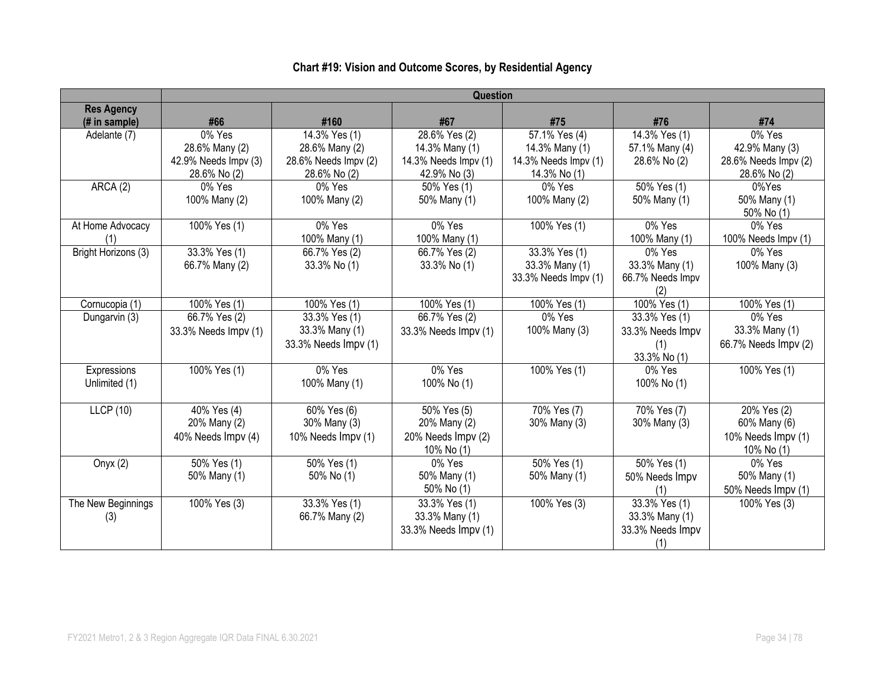# **Chart #19: Vision and Outcome Scores, by Residential Agency**

|                                    | <b>Question</b>                                                  |                                                                         |                                                                           |                                                                         |                                                          |                                                                  |  |  |
|------------------------------------|------------------------------------------------------------------|-------------------------------------------------------------------------|---------------------------------------------------------------------------|-------------------------------------------------------------------------|----------------------------------------------------------|------------------------------------------------------------------|--|--|
| <b>Res Agency</b><br>(# in sample) | #66                                                              | #160                                                                    | #67                                                                       | #75                                                                     | #76                                                      | #74                                                              |  |  |
| Adelante (7)                       | 0% Yes<br>28.6% Many (2)<br>42.9% Needs Impv (3)<br>28.6% No (2) | 14.3% Yes (1)<br>28.6% Many (2)<br>28.6% Needs Impv (2)<br>28.6% No (2) | $28.6%$ Yes (2)<br>14.3% Many (1)<br>14.3% Needs Impv (1)<br>42.9% No (3) | 57.1% Yes (4)<br>14.3% Many (1)<br>14.3% Needs Impv (1)<br>14.3% No (1) | 14.3% Yes (1)<br>57.1% Many (4)<br>28.6% No (2)          | 0% Yes<br>42.9% Many (3)<br>28.6% Needs Impv (2)<br>28.6% No (2) |  |  |
| ARCA(2)                            | 0% Yes<br>100% Many (2)                                          | 0% Yes<br>100% Many (2)                                                 | 50% Yes (1)<br>50% Many (1)                                               | 0% Yes<br>100% Many (2)                                                 | $\sqrt{50\% \text{ Yes}}$ (1)<br>50% Many (1)            | 0%Yes<br>50% Many (1)<br>50% No (1)                              |  |  |
| At Home Advocacy<br>(1)            | 100% Yes (1)                                                     | 0% Yes<br>100% Many (1)                                                 | 0% Yes<br>100% Many (1)                                                   | 100% Yes (1)                                                            | 0% Yes<br>100% Many (1)                                  | 0% Yes<br>100% Needs Impv (1)                                    |  |  |
| Bright Horizons (3)                | $33.3%$ Yes (1)<br>66.7% Many (2)                                | 66.7% Yes (2)<br>33.3% No (1)                                           | 66.7% Yes (2)<br>33.3% No (1)                                             | 33.3% Yes (1)<br>33.3% Many (1)<br>33.3% Needs Impv (1)                 | 0% Yes<br>33.3% Many (1)<br>66.7% Needs Impv<br>(2)      | 0% Yes<br>100% Many (3)                                          |  |  |
| Cornucopia (1)                     | 100% Yes (1)                                                     | 100% Yes (1)                                                            | $\sqrt{100\% \text{ Yes}}$ (1)                                            | 100% Yes (1)                                                            | 100% Yes (1)                                             | 100% Yes (1)                                                     |  |  |
| Dungarvin (3)                      | 66.7% Yes (2)<br>33.3% Needs Impv (1)                            | 33.3% Yes (1)<br>33.3% Many (1)<br>33.3% Needs Impv (1)                 | 66.7% Yes (2)<br>33.3% Needs Impv (1)                                     | 0% Yes<br>100% Many (3)                                                 | 33.3% Yes (1)<br>33.3% Needs Impv<br>(1)<br>33.3% No (1) | 0% Yes<br>33.3% Many (1)<br>66.7% Needs Impv (2)                 |  |  |
| Expressions<br>Unlimited (1)       | 100% Yes (1)                                                     | 0% Yes<br>100% Many (1)                                                 | 0% Yes<br>100% No (1)                                                     | 100% Yes (1)                                                            | 0% Yes<br>100% No (1)                                    | 100% Yes (1)                                                     |  |  |
| <b>LLCP</b> (10)                   | 40% Yes (4)<br>20% Many (2)<br>40% Needs Impv (4)                | 60% Yes (6)<br>30% Many (3)<br>10% Needs Impv (1)                       | 50% Yes (5)<br>20% Many (2)<br>20% Needs Impv (2)<br>10% No (1)           | 70% Yes (7)<br>30% Many (3)                                             | 70% Yes (7)<br>30% Many (3)                              | 20% Yes (2)<br>60% Many (6)<br>10% Needs Impv (1)<br>10% No (1)  |  |  |
| Onyx $(2)$                         | $\sqrt{50\%}$ Yes (1)<br>50% Many (1)                            | 50% Yes (1)<br>50% No (1)                                               | 0% Yes<br>50% Many (1)<br>50% No (1)                                      | $\sqrt{50\% \text{ Yes}}$ (1)<br>50% Many (1)                           | 50% Yes (1)<br>50% Needs Impv<br>(1)                     | 0% Yes<br>50% Many (1)<br>50% Needs Impv (1)                     |  |  |
| The New Beginnings<br>(3)          | 100% Yes (3)                                                     | 33.3% Yes (1)<br>66.7% Many (2)                                         | 33.3% Yes (1)<br>33.3% Many (1)<br>33.3% Needs Impv (1)                   | 100% Yes (3)                                                            | 33.3% Yes (1)<br>33.3% Many (1)<br>33.3% Needs Impv      | 100% Yes (3)                                                     |  |  |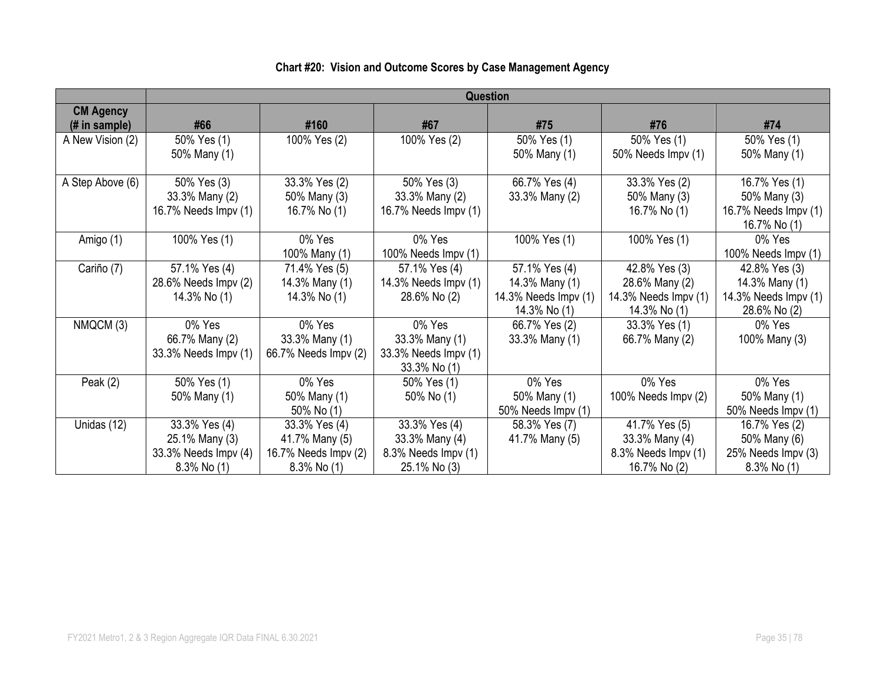|                  | Question             |                      |                      |                      |                      |                      |  |  |  |
|------------------|----------------------|----------------------|----------------------|----------------------|----------------------|----------------------|--|--|--|
| <b>CM Agency</b> |                      |                      |                      |                      |                      |                      |  |  |  |
| (# in sample)    | #66                  | #160                 | #67                  | #75                  | #76                  | #74                  |  |  |  |
| A New Vision (2) | 50% Yes (1)          | 100% Yes (2)         | 100% Yes (2)         | 50% Yes (1)          | 50% Yes (1)          | 50% Yes (1)          |  |  |  |
|                  | 50% Many (1)         |                      |                      | 50% Many (1)         | 50% Needs Impv (1)   | 50% Many (1)         |  |  |  |
|                  |                      |                      |                      |                      |                      |                      |  |  |  |
| A Step Above (6) | 50% Yes (3)          | 33.3% Yes (2)        | 50% Yes (3)          | 66.7% Yes (4)        | 33.3% Yes (2)        | 16.7% Yes (1)        |  |  |  |
|                  | 33.3% Many (2)       | 50% Many (3)         | 33.3% Many (2)       | 33.3% Many (2)       | 50% Many (3)         | 50% Many (3)         |  |  |  |
|                  | 16.7% Needs Impv (1) | 16.7% No (1)         | 16.7% Needs Impv (1) |                      | 16.7% No (1)         | 16.7% Needs Impv (1) |  |  |  |
|                  |                      |                      |                      |                      |                      | 16.7% No (1)         |  |  |  |
| Amigo (1)        | 100% Yes (1)         | 0% Yes               | 0% Yes               | 100% Yes (1)         | 100% Yes (1)         | 0% Yes               |  |  |  |
|                  |                      | 100% Many (1)        | 100% Needs $Impv(1)$ |                      |                      | 100% Needs Impv (1)  |  |  |  |
| Cariño (7)       | 57.1% Yes (4)        | 71.4% Yes (5)        | 57.1% Yes (4)        | 57.1% Yes (4)        | 42.8% Yes (3)        | 42.8% Yes (3)        |  |  |  |
|                  | 28.6% Needs Impv (2) | 14.3% Many (1)       | 14.3% Needs Impv (1) | 14.3% Many (1)       | 28.6% Many (2)       | 14.3% Many (1)       |  |  |  |
|                  | 14.3% No (1)         | 14.3% No (1)         | 28.6% No (2)         | 14.3% Needs Impv (1) | 14.3% Needs Impv (1) | 14.3% Needs Impv (1) |  |  |  |
|                  |                      |                      |                      | 14.3% No (1)         | 14.3% No (1)         | 28.6% No (2)         |  |  |  |
| NMQCM (3)        | 0% Yes               | 0% Yes               | 0% Yes               | 66.7% Yes (2)        | 33.3% Yes (1)        | 0% Yes               |  |  |  |
|                  | 66.7% Many (2)       | 33.3% Many (1)       | 33.3% Many (1)       | 33.3% Many (1)       | 66.7% Many (2)       | 100% Many (3)        |  |  |  |
|                  | 33.3% Needs Impv (1) | 66.7% Needs Impv (2) | 33.3% Needs Impv (1) |                      |                      |                      |  |  |  |
|                  |                      |                      | 33.3% No (1)         |                      |                      |                      |  |  |  |
| Peak $(2)$       | 50% Yes (1)          | 0% Yes               | 50% Yes (1)          | 0% Yes               | 0% Yes               | 0% Yes               |  |  |  |
|                  | 50% Many (1)         | 50% Many (1)         | 50% No (1)           | 50% Many (1)         | 100% Needs Impv (2)  | 50% Many (1)         |  |  |  |
|                  |                      | 50% No (1)           |                      | 50% Needs Impv (1)   |                      | 50% Needs Impv (1)   |  |  |  |
| Unidas (12)      | 33.3% Yes (4)        | 33.3% Yes (4)        | 33.3% Yes (4)        | 58.3% Yes (7)        | 41.7% Yes (5)        | 16.7% Yes (2)        |  |  |  |
|                  | 25.1% Many (3)       | 41.7% Many (5)       | 33.3% Many (4)       | 41.7% Many (5)       | 33.3% Many (4)       | 50% Many (6)         |  |  |  |
|                  | 33.3% Needs Impv (4) | 16.7% Needs Impv (2) | 8.3% Needs Impv (1)  |                      | 8.3% Needs Impv (1)  | 25% Needs Impv (3)   |  |  |  |
|                  | $8.3\%$ No (1)       | $8.3\%$ No $(1)$     | 25.1% No (3)         |                      | 16.7% No (2)         | $8.3\%$ No $(1)$     |  |  |  |

# **Chart #20: Vision and Outcome Scores by Case Management Agency**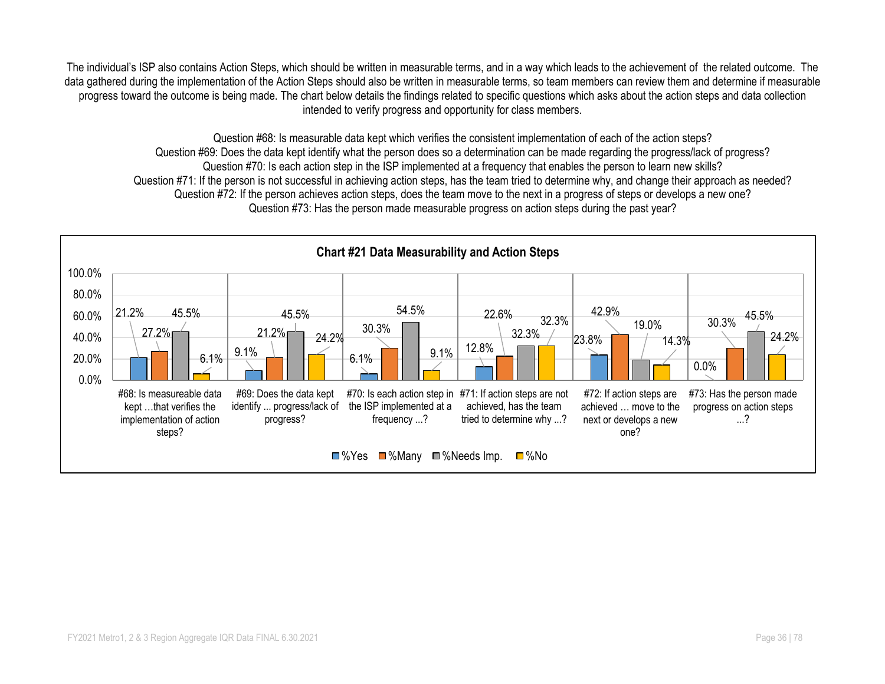The individual's ISP also contains Action Steps, which should be written in measurable terms, and in a way which leads to the achievement of the related outcome. The data gathered during the implementation of the Action Steps should also be written in measurable terms, so team members can review them and determine if measurable progress toward the outcome is being made. The chart below details the findings related to specific questions which asks about the action steps and data collection intended to verify progress and opportunity for class members.

Question #68: Is measurable data kept which verifies the consistent implementation of each of the action steps? Question #69: Does the data kept identify what the person does so a determination can be made regarding the progress/lack of progress? Question #70: Is each action step in the ISP implemented at a frequency that enables the person to learn new skills? Question #71: If the person is not successful in achieving action steps, has the team tried to determine why, and change their approach as needed? Question #72: If the person achieves action steps, does the team move to the next in a progress of steps or develops a new one? Question #73: Has the person made measurable progress on action steps during the past year?

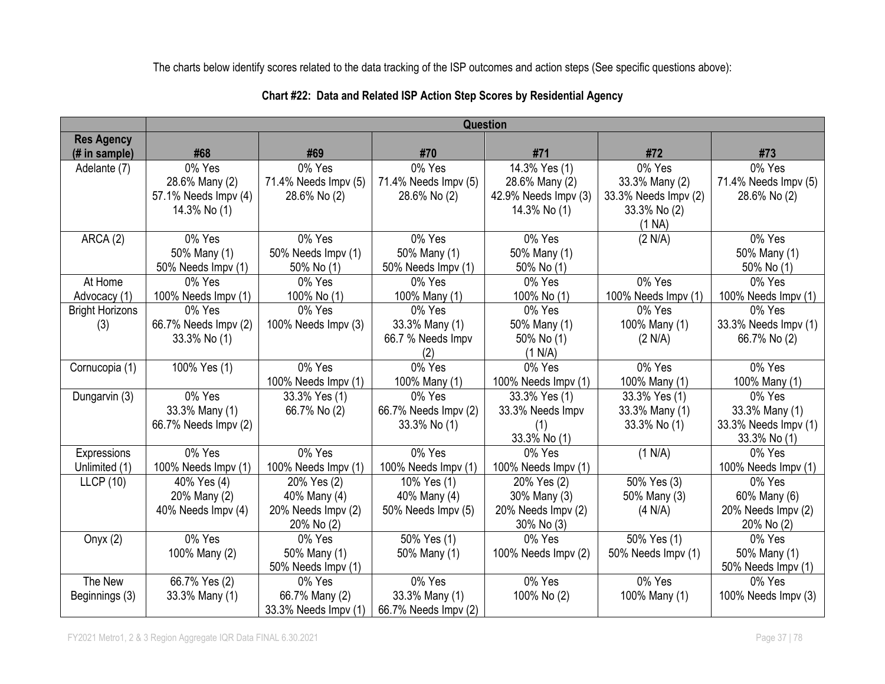The charts below identify scores related to the data tracking of the ISP outcomes and action steps (See specific questions above):

|                        | <b>Question</b>      |                      |                      |                      |                      |                      |
|------------------------|----------------------|----------------------|----------------------|----------------------|----------------------|----------------------|
| <b>Res Agency</b>      |                      |                      |                      |                      |                      |                      |
| (# in sample)          | #68                  | #69                  | #70                  | #71                  | #72                  | #73                  |
| Adelante (7)           | 0% Yes               | 0% Yes               | 0% Yes               | 14.3% Yes (1)        | 0% Yes               | 0% Yes               |
|                        | 28.6% Many (2)       | 71.4% Needs Impv (5) | 71.4% Needs Impv (5) | 28.6% Many (2)       | 33.3% Many (2)       | 71.4% Needs Impv (5) |
|                        | 57.1% Needs Impv (4) | 28.6% No (2)         | 28.6% No (2)         | 42.9% Needs Impv (3) | 33.3% Needs Impv (2) | 28.6% No (2)         |
|                        | 14.3% No (1)         |                      |                      | 14.3% No (1)         | 33.3% No (2)         |                      |
|                        |                      |                      |                      |                      | (1 NA)               |                      |
| ARCA (2)               | 0% Yes               | 0% Yes               | 0% Yes               | 0% Yes               | (2 N/A)              | 0% Yes               |
|                        | 50% Many (1)         | 50% Needs Impv (1)   | 50% Many (1)         | 50% Many (1)         |                      | 50% Many (1)         |
|                        | 50% Needs Impv (1)   | 50% No (1)           | 50% Needs Impv (1)   | 50% No (1)           |                      | 50% No (1)           |
| At Home                | 0% Yes               | 0% Yes               | 0% Yes               | 0% Yes               | 0% Yes               | 0% Yes               |
| Advocacy (1)           | 100% Needs Impv (1)  | 100% No (1)          | 100% Many (1)        | 100% No (1)          | 100% Needs Impv (1)  | 100% Needs Impv (1)  |
| <b>Bright Horizons</b> | 0% Yes               | 0% Yes               | 0% Yes               | 0% Yes               | 0% Yes               | 0% Yes               |
| (3)                    | 66.7% Needs Impv (2) | 100% Needs Impv (3)  | 33.3% Many (1)       | 50% Many (1)         | 100% Many (1)        | 33.3% Needs Impv (1) |
|                        | 33.3% No (1)         |                      | 66.7 % Needs Impv    | 50% No (1)           | (2 N/A)              | 66.7% No (2)         |
|                        |                      |                      | (2)                  | (1 N/A)              |                      |                      |
| Cornucopia (1)         | 100% Yes (1)         | 0% Yes               | $0\%$ Yes            | 0% Yes               | 0% Yes               | 0% Yes               |
|                        |                      | 100% Needs Impv (1)  | 100% Many (1)        | 100% Needs Impv (1)  | 100% Many (1)        | 100% Many (1)        |
| Dungarvin (3)          | 0% Yes               | 33.3% Yes (1)        | 0% Yes               | 33.3% Yes (1)        | 33.3% Yes (1)        | 0% Yes               |
|                        | 33.3% Many (1)       | 66.7% No (2)         | 66.7% Needs Impv (2) | 33.3% Needs Impv     | 33.3% Many (1)       | 33.3% Many (1)       |
|                        | 66.7% Needs Impv (2) |                      | 33.3% No (1)         | (1)                  | $33.3\%$ No $(1)$    | 33.3% Needs Impv (1) |
|                        |                      |                      |                      | 33.3% No (1)         |                      | 33.3% No (1)         |
| Expressions            | 0% Yes               | 0% Yes               | 0% Yes               | 0% Yes               | (1 N/A)              | 0% Yes               |
| Unlimited (1)          | 100% Needs Impv (1)  | 100% Needs Impv (1)  | 100% Needs Impv (1)  | 100% Needs Impv (1)  |                      | 100% Needs Impv (1)  |
| <b>LLCP</b> (10)       | 40% Yes (4)          | 20% Yes (2)          | 10% Yes (1)          | 20% Yes (2)          | 50% Yes (3)          | 0% Yes               |
|                        | 20% Many (2)         | 40% Many (4)         | 40% Many (4)         | 30% Many (3)         | 50% Many (3)         | 60% Many (6)         |
|                        | 40% Needs Impv (4)   | 20% Needs Impv (2)   | 50% Needs Impv (5)   | 20% Needs Impv (2)   | (4 N/A)              | 20% Needs Impv (2)   |
|                        |                      | 20% No (2)           |                      | 30% No (3)           |                      | 20% No (2)           |
| Onyx $(2)$             | 0% Yes               | 0% Yes               | 50% Yes (1)          | 0% Yes               | 50% Yes (1)          | 0% Yes               |
|                        | 100% Many (2)        | 50% Many (1)         | 50% Many (1)         | 100% Needs Impv (2)  | 50% Needs Impv (1)   | 50% Many (1)         |
|                        |                      | 50% Needs Impv (1)   |                      |                      |                      | 50% Needs Impv (1)   |
| The New                | 66.7% Yes (2)        | 0% Yes               | 0% Yes               | 0% Yes               | 0% Yes               | 0% Yes               |
| Beginnings (3)         | 33.3% Many (1)       | 66.7% Many (2)       | 33.3% Many (1)       | 100% No (2)          | 100% Many (1)        | 100% Needs Impv (3)  |
|                        |                      | 33.3% Needs Impv (1) | 66.7% Needs Impv (2) |                      |                      |                      |

### **Chart #22: Data and Related ISP Action Step Scores by Residential Agency**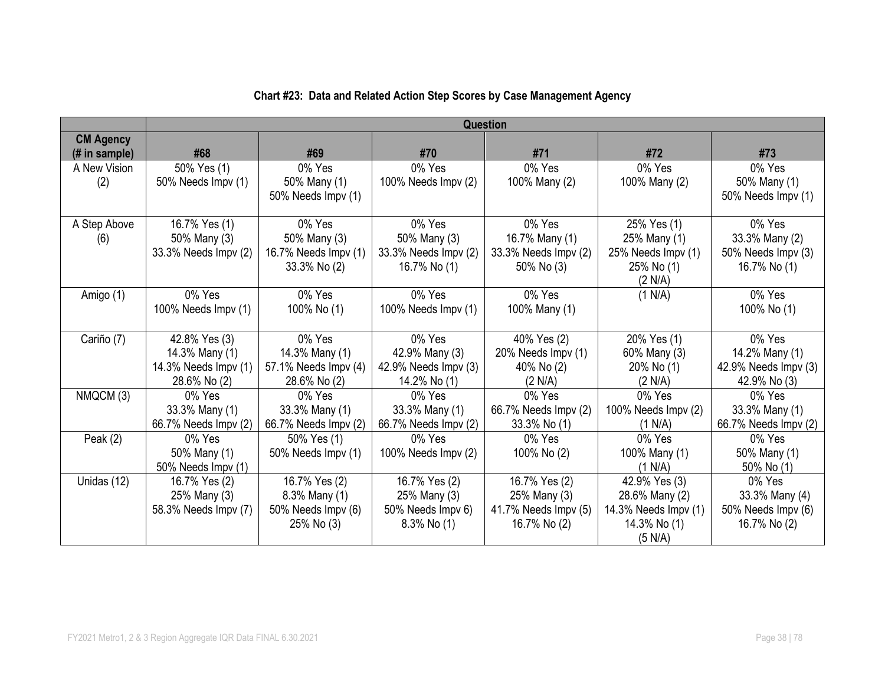|                  | Question             |                      |                      |                      |                      |                      |  |
|------------------|----------------------|----------------------|----------------------|----------------------|----------------------|----------------------|--|
| <b>CM Agency</b> |                      |                      |                      |                      |                      |                      |  |
| $#$ in sample)   | #68                  | #69                  | #70                  | #71                  | #72                  | #73                  |  |
| A New Vision     | 50% Yes (1)          | 0% Yes               | 0% Yes               | 0% Yes               | 0% Yes               | 0% Yes               |  |
| (2)              | 50% Needs Impv (1)   | 50% Many (1)         | 100% Needs Impv (2)  | 100% Many (2)        | 100% Many (2)        | 50% Many (1)         |  |
|                  |                      | 50% Needs Impv (1)   |                      |                      |                      | 50% Needs Impv (1)   |  |
|                  |                      |                      |                      |                      |                      |                      |  |
| A Step Above     | 16.7% Yes (1)        | 0% Yes               | 0% Yes               | 0% Yes               | 25% Yes (1)          | 0% Yes               |  |
| (6)              | 50% Many (3)         | 50% Many (3)         | 50% Many (3)         | 16.7% Many (1)       | 25% Many (1)         | 33.3% Many (2)       |  |
|                  | 33.3% Needs Impv (2) | 16.7% Needs Impv (1) | 33.3% Needs Impv (2) | 33.3% Needs Impv (2) | 25% Needs Impv (1)   | 50% Needs Impv (3)   |  |
|                  |                      | 33.3% No (2)         | 16.7% No (1)         | 50% No (3)           | 25% No (1)           | 16.7% No (1)         |  |
|                  |                      |                      |                      |                      | (2 N/A)              |                      |  |
| Amigo (1)        | 0% Yes               | 0% Yes               | 0% Yes               | 0% Yes               | (1 N/A)              | 0% Yes               |  |
|                  | 100% Needs Impv (1)  | 100% No (1)          | 100% Needs Impv (1)  | 100% Many (1)        |                      | 100% No (1)          |  |
|                  |                      |                      |                      |                      |                      |                      |  |
| Cariño (7)       | 42.8% Yes (3)        | 0% Yes               | 0% Yes               | 40% Yes (2)          | 20% Yes (1)          | 0% Yes               |  |
|                  | 14.3% Many (1)       | 14.3% Many (1)       | 42.9% Many (3)       | 20% Needs Impv (1)   | 60% Many (3)         | 14.2% Many (1)       |  |
|                  | 14.3% Needs Impv (1) | 57.1% Needs Impv (4) | 42.9% Needs Impv (3) | 40% No (2)           | 20% No (1)           | 42.9% Needs Impv (3) |  |
|                  | 28.6% No (2)         | 28.6% No (2)         | 14.2% No (1)         | (2 N/A)              | (2 N/A)              | 42.9% No (3)         |  |
| NMQCM (3)        | 0% Yes               | 0% Yes               | 0% Yes               | 0% Yes               | 0% Yes               | 0% Yes               |  |
|                  | 33.3% Many (1)       | 33.3% Many (1)       | 33.3% Many (1)       | 66.7% Needs Impv (2) | 100% Needs Impv (2)  | 33.3% Many (1)       |  |
|                  | 66.7% Needs Impv (2) | 66.7% Needs Impv (2) | 66.7% Needs Impv (2) | 33.3% No (1)         | (1 N/A)              | 66.7% Needs Impv (2) |  |
| Peak $(2)$       | 0% Yes               | 50% Yes (1)          | $0\%$ Yes            | 0% Yes               | 0% Yes               | 0% Yes               |  |
|                  | 50% Many (1)         | 50% Needs Impv (1)   | 100% Needs Impv (2)  | 100% No (2)          | 100% Many (1)        | 50% Many (1)         |  |
|                  | 50% Needs Impv (1)   |                      |                      |                      | (1 N/A)              | 50% No (1)           |  |
| Unidas (12)      | 16.7% Yes (2)        | 16.7% Yes (2)        | 16.7% Yes (2)        | 16.7% Yes (2)        | 42.9% Yes (3)        | 0% Yes               |  |
|                  | 25% Many (3)         | 8.3% Many (1)        | 25% Many (3)         | 25% Many (3)         | 28.6% Many (2)       | 33.3% Many (4)       |  |
|                  | 58.3% Needs Impv (7) | 50% Needs Impv (6)   | 50% Needs Impv 6)    | 41.7% Needs Impv (5) | 14.3% Needs Impv (1) | 50% Needs Impv (6)   |  |
|                  |                      | 25% No (3)           | $8.3\%$ No $(1)$     | 16.7% No (2)         | 14.3% No (1)         | 16.7% No (2)         |  |
|                  |                      |                      |                      |                      | (5 N/A)              |                      |  |

## **Chart #23: Data and Related Action Step Scores by Case Management Agency**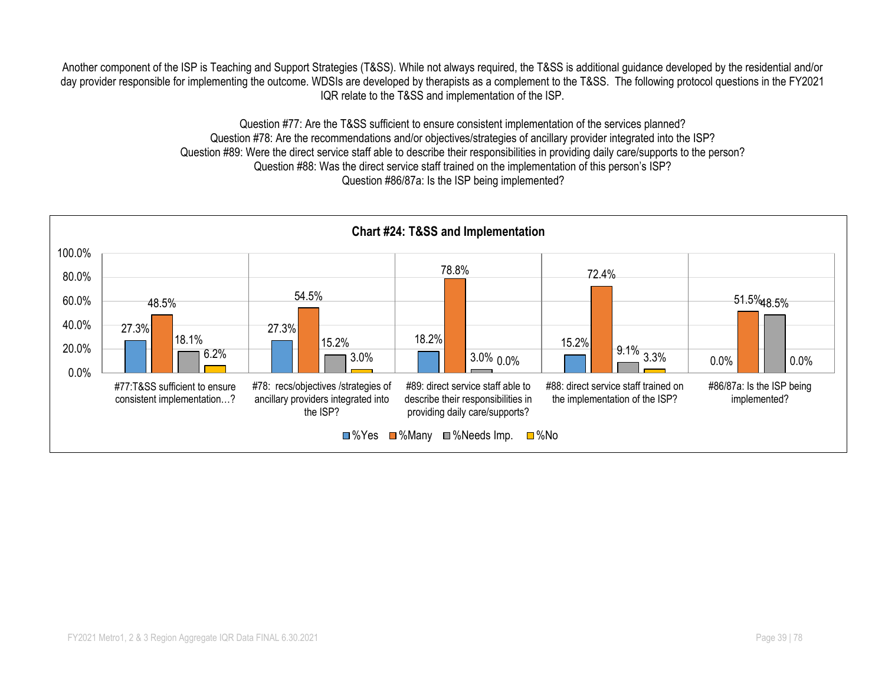Another component of the ISP is Teaching and Support Strategies (T&SS). While not always required, the T&SS is additional guidance developed by the residential and/or day provider responsible for implementing the outcome. WDSIs are developed by therapists as a complement to the T&SS. The following protocol questions in the FY2021 IQR relate to the T&SS and implementation of the ISP.

> Question #77: Are the T&SS sufficient to ensure consistent implementation of the services planned? Question #78: Are the recommendations and/or objectives/strategies of ancillary provider integrated into the ISP? Question #89: Were the direct service staff able to describe their responsibilities in providing daily care/supports to the person? Question #88: Was the direct service staff trained on the implementation of this person's ISP? Question #86/87a: Is the ISP being implemented?

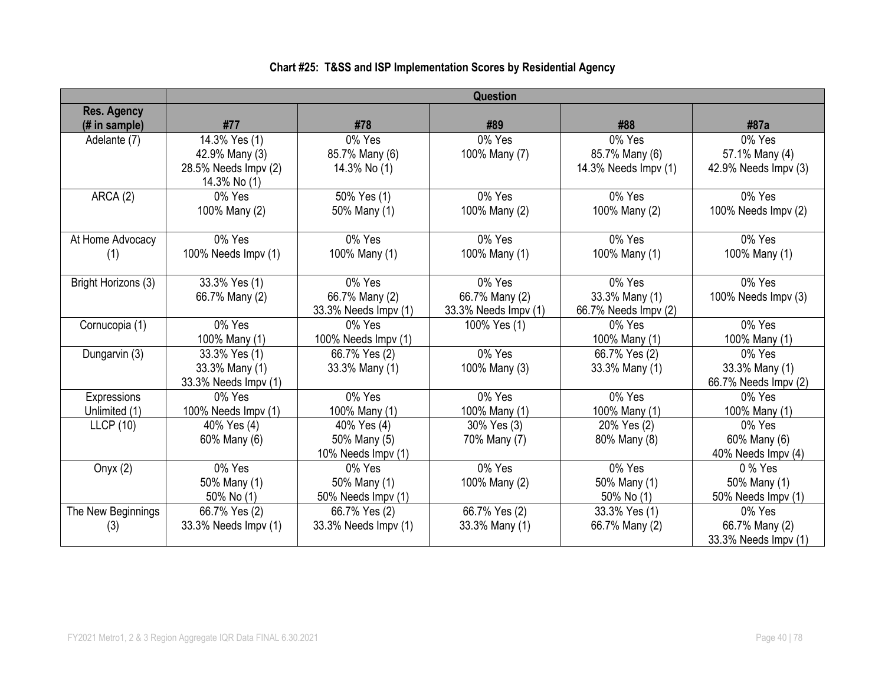|                                     | <b>Question</b>      |                          |                      |                      |                      |  |  |  |
|-------------------------------------|----------------------|--------------------------|----------------------|----------------------|----------------------|--|--|--|
| <b>Res. Agency</b><br>(# in sample) | #77                  | #78                      | #89                  | #88                  | #87a                 |  |  |  |
| Adelante (7)                        | 14.3% Yes (1)        | 0% Yes                   | 0% Yes               | 0% Yes               | 0% Yes               |  |  |  |
|                                     | 42.9% Many (3)       | 85.7% Many (6)           | 100% Many (7)        | 85.7% Many (6)       | 57.1% Many (4)       |  |  |  |
|                                     | 28.5% Needs Impv (2) | 14.3% No (1)             |                      | 14.3% Needs Impv (1) | 42.9% Needs Impv (3) |  |  |  |
|                                     | 14.3% No (1)         |                          |                      |                      |                      |  |  |  |
| ARCA(2)                             | 0% Yes               | $\frac{1}{50\%}$ Yes (1) | $\overline{0}$ % Yes | 0% Yes               | 0% Yes               |  |  |  |
|                                     | 100% Many (2)        | 50% Many (1)             | 100% Many (2)        | 100% Many (2)        | 100% Needs Impv (2)  |  |  |  |
|                                     |                      |                          |                      |                      |                      |  |  |  |
| At Home Advocacy                    | 0% Yes               | 0% Yes                   | 0% Yes               | 0% Yes               | 0% Yes               |  |  |  |
| (1)                                 | 100% Needs Impv (1)  | 100% Many (1)            | 100% Many (1)        | 100% Many (1)        | 100% Many (1)        |  |  |  |
| Bright Horizons (3)                 | 33.3% Yes (1)        | 0% Yes                   | 0% Yes               | 0% Yes               | 0% Yes               |  |  |  |
|                                     | 66.7% Many (2)       | 66.7% Many (2)           | 66.7% Many (2)       | 33.3% Many (1)       | 100% Needs Impv (3)  |  |  |  |
|                                     |                      | 33.3% Needs Impv (1)     | 33.3% Needs Impv (1) | 66.7% Needs Impv (2) |                      |  |  |  |
| Cornucopia (1)                      | 0% Yes               | 0% Yes                   | 100% Yes (1)         | 0% Yes               | 0% Yes               |  |  |  |
|                                     | 100% Many (1)        | 100% Needs Impv (1)      |                      | 100% Many (1)        | 100% Many (1)        |  |  |  |
| Dungarvin (3)                       | 33.3% Yes (1)        | 66.7% Yes (2)            | 0% Yes               | 66.7% Yes (2)        | 0% Yes               |  |  |  |
|                                     | 33.3% Many (1)       | 33.3% Many (1)           | 100% Many (3)        | 33.3% Many (1)       | 33.3% Many (1)       |  |  |  |
|                                     | 33.3% Needs Impv (1) |                          |                      |                      | 66.7% Needs Impv (2) |  |  |  |
| Expressions                         | 0% Yes               | 0% Yes                   | 0% Yes               | 0% Yes               | 0% Yes               |  |  |  |
| Unlimited (1)                       | 100% Needs Impv (1)  | 100% Many (1)            | 100% Many (1)        | 100% Many (1)        | 100% Many (1)        |  |  |  |
| LLCP(10)                            | 40% Yes (4)          | 40% Yes (4)              | 30% Yes (3)          | 20% Yes (2)          | 0% Yes               |  |  |  |
|                                     | 60% Many (6)         | 50% Many (5)             | 70% Many (7)         | 80% Many (8)         | 60% Many (6)         |  |  |  |
|                                     |                      | 10% Needs Impv (1)       |                      |                      | 40% Needs Impv (4)   |  |  |  |
| Onyx $(2)$                          | 0% Yes               | 0% Yes                   | 0% Yes               | 0% Yes               | 0 % Yes              |  |  |  |
|                                     | 50% Many (1)         | 50% Many (1)             | 100% Many (2)        | 50% Many (1)         | 50% Many (1)         |  |  |  |
|                                     | 50% No (1)           | 50% Needs Impv (1)       |                      | 50% No (1)           | 50% Needs Impv (1)   |  |  |  |
| The New Beginnings                  | 66.7% Yes (2)        | 66.7% Yes (2)            | 66.7% Yes (2)        | 33.3% Yes (1)        | 0% Yes               |  |  |  |
| (3)                                 | 33.3% Needs Impv (1) | 33.3% Needs Impv (1)     | 33.3% Many (1)       | 66.7% Many (2)       | 66.7% Many (2)       |  |  |  |
|                                     |                      |                          |                      |                      | 33.3% Needs Impv (1) |  |  |  |

### **Chart #25: T&SS and ISP Implementation Scores by Residential Agency**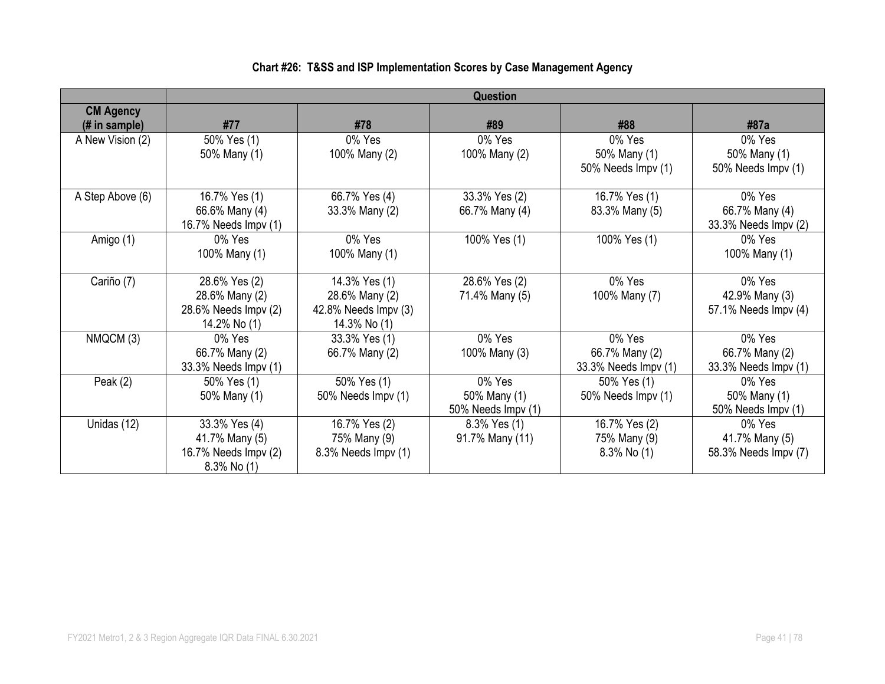#### **Question CM Agency (# in sample) #77 #78 #89 #88 #87a** A New Vision (2) 50% Yes (1) 50% Many (1) 0% Yes 100% Many (2) 0% Yes 100% Many (2) 0% Yes 50% Many (1) 50% Needs Impv (1) 0% Yes 50% Many (1) 50% Needs Impv (1) A Step Above (6) 16.7% Yes (1) 66.6% Many (4) 16.7% Needs Impv (1) 66.7% Yes (4) 33.3% Many (2) 33.3% Yes (2) 66.7% Many (4) 16.7% Yes (1) 83.3% Many (5) 0% Yes 66.7% Many (4) 33.3% Needs Impv (2) Amigo (1) 0% Yes 100% Many (1) 0% Yes 100% Many (1) 100% Yes (1) 100% Yes (1) 0% Yes 100% Many (1) Cariño (7) 28.6% Yes (2) 28.6% Many (2) 28.6% Needs Impv (2) 14.2% No (1) 14.3% Yes (1) 28.6% Many (2) 42.8% Needs Impv (3) 14.3% No (1) 28.6% Yes (2) 71.4% Many (5) 0% Yes 100% Many (7) 0% Yes 42.9% Many (3) 57.1% Needs Impv (4)  $NMQCM(3)$   $\qquad$  0% Yes 66.7% Many (2) 33.3% Needs Impv (1) 33.3% Yes (1) 66.7% Many (2) 0% Yes 100% Many (3) 0% Yes 66.7% Many (2) 33.3% Needs Impv (1) 0% Yes 66.7% Many (2) 33.3% Needs Impv (1) Peak  $(2)$  50% Yes  $(1)$ 50% Many (1) 50% Yes (1) 50% Needs Impv (1) 0% Yes 50% Many (1) 50% Needs Impv (1) 50% Yes (1) 50% Needs Impv (1) 0% Yes 50% Many (1) 50% Needs Impv (1) Unidas (12)  $\vert$  33.3% Yes (4) 41.7% Many (5) 16.7% Needs Impv (2) 8.3% No (1) 16.7% Yes (2) 75% Many (9) 8.3% Needs Impv (1) 8.3% Yes (1) 91.7% Many (11) 16.7% Yes (2) 75% Many (9) 8.3% No (1) 0% Yes 41.7% Many (5) 58.3% Needs Impv (7)

#### **Chart #26: T&SS and ISP Implementation Scores by Case Management Agency**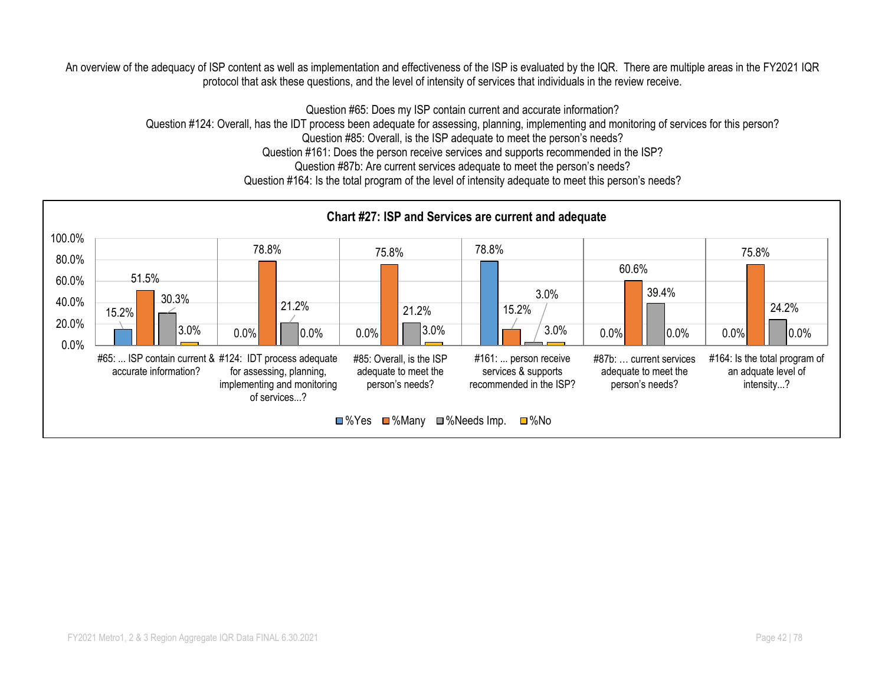An overview of the adequacy of ISP content as well as implementation and effectiveness of the ISP is evaluated by the IQR. There are multiple areas in the FY2021 IQR protocol that ask these questions, and the level of intensity of services that individuals in the review receive.

Question #65: Does my ISP contain current and accurate information?

Question #124: Overall, has the IDT process been adequate for assessing, planning, implementing and monitoring of services for this person?

Question #85: Overall, is the ISP adequate to meet the person's needs?

Question #161: Does the person receive services and supports recommended in the ISP?

Question #87b: Are current services adequate to meet the person's needs?

Question #164: Is the total program of the level of intensity adequate to meet this person's needs?

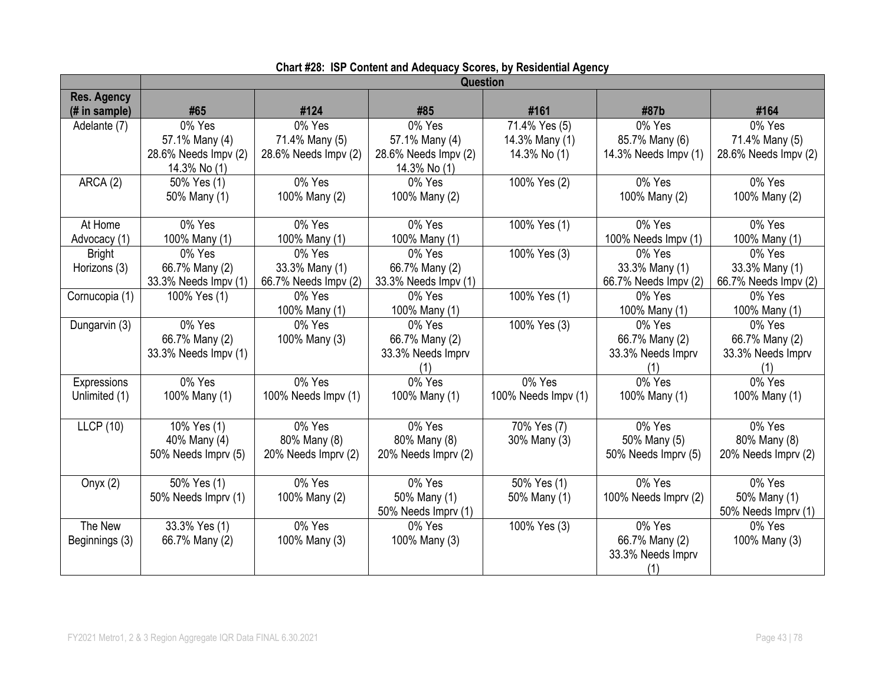|                                     | <b>Question</b>      |                      |                      |                     |                      |                      |
|-------------------------------------|----------------------|----------------------|----------------------|---------------------|----------------------|----------------------|
| <b>Res. Agency</b><br>(# in sample) | #65                  | #124                 | #85                  | #161                | #87b                 | #164                 |
| Adelante (7)                        | 0% Yes               | 0% Yes               | 0% Yes               | 71.4% Yes (5)       | 0% Yes               | 0% Yes               |
|                                     | 57.1% Many (4)       | 71.4% Many (5)       | 57.1% Many (4)       | 14.3% Many (1)      | 85.7% Many (6)       | 71.4% Many (5)       |
|                                     | 28.6% Needs Impv (2) | 28.6% Needs Impv (2) | 28.6% Needs Impv (2) | 14.3% No (1)        | 14.3% Needs Impv (1) | 28.6% Needs Impv (2) |
|                                     | 14.3% No (1)         |                      | 14.3% No (1)         |                     |                      |                      |
| ARCA (2)                            | 50% Yes (1)          | 0% Yes               | 0% Yes               | 100% Yes (2)        | $\overline{0}$ % Yes | 0% Yes               |
|                                     | 50% Many (1)         | 100% Many (2)        | 100% Many (2)        |                     | 100% Many (2)        | 100% Many (2)        |
| At Home                             | 0% Yes               | 0% Yes               | 0% Yes               | 100% Yes (1)        | 0% Yes               | 0% Yes               |
| Advocacy (1)                        | 100% Many (1)        | 100% Many (1)        | 100% Many (1)        |                     | 100% Needs Impv (1)  | 100% Many (1)        |
| <b>Bright</b>                       | 0% Yes               | 0% Yes               | 0% Yes               | 100% Yes (3)        | 0% Yes               | 0% Yes               |
| Horizons (3)                        | 66.7% Many (2)       | 33.3% Many (1)       | 66.7% Many (2)       |                     | 33.3% Many (1)       | 33.3% Many (1)       |
|                                     | 33.3% Needs Impv (1) | 66.7% Needs Impv (2) | 33.3% Needs Impv (1) |                     | 66.7% Needs Impv (2) | 66.7% Needs Impv (2) |
| Cornucopia (1)                      | 100% Yes (1)         | 0% Yes               | 0% Yes               | 100% Yes (1)        | 0% Yes               | 0% Yes               |
|                                     |                      | 100% Many (1)        | 100% Many (1)        |                     | 100% Many (1)        | 100% Many (1)        |
| Dungarvin (3)                       | 0% Yes               | 0% Yes               | 0% Yes               | 100% Yes (3)        | 0% Yes               | 0% Yes               |
|                                     | 66.7% Many (2)       | 100% Many (3)        | 66.7% Many (2)       |                     | 66.7% Many (2)       | 66.7% Many (2)       |
|                                     | 33.3% Needs Impv (1) |                      | 33.3% Needs Imprv    |                     | 33.3% Needs Imprv    | 33.3% Needs Imprv    |
|                                     |                      |                      | (1)                  | 0% Yes              | (1)                  | (1)                  |
| Expressions                         | 0% Yes               | 0% Yes               | 0% Yes               |                     | 0% Yes               | 0% Yes               |
| Unlimited (1)                       | 100% Many (1)        | 100% Needs Impv (1)  | 100% Many (1)        | 100% Needs Impv (1) | 100% Many (1)        | 100% Many (1)        |
| LLCP(10)                            | 10% Yes (1)          | 0% Yes               | 0% Yes               | 70% Yes (7)         | 0% Yes               | 0% Yes               |
|                                     | 40% Many (4)         | 80% Many (8)         | 80% Many (8)         | 30% Many (3)        | 50% Many (5)         | 80% Many (8)         |
|                                     | 50% Needs Imprv (5)  | 20% Needs Imprv (2)  | 20% Needs Imprv (2)  |                     | 50% Needs Imprv (5)  | 20% Needs Imprv (2)  |
| Onyx $(2)$                          | 50% Yes (1)          | $\overline{0}$ % Yes | 0% Yes               | 50% Yes (1)         | 0% Yes               | 0% Yes               |
|                                     | 50% Needs Imprv (1)  | 100% Many (2)        | 50% Many (1)         | 50% Many (1)        | 100% Needs Imprv (2) | 50% Many (1)         |
|                                     |                      |                      | 50% Needs Imprv (1)  |                     |                      | 50% Needs Imprv (1)  |
| The New                             | 33.3% Yes (1)        | 0% Yes               | 0% Yes               | 100% Yes (3)        | 0% Yes               | 0% Yes               |
| Beginnings (3)                      | 66.7% Many (2)       | 100% Many (3)        | 100% Many (3)        |                     | 66.7% Many (2)       | 100% Many (3)        |
|                                     |                      |                      |                      |                     | 33.3% Needs Imprv    |                      |
|                                     |                      |                      |                      |                     | (1)                  |                      |

|  | Chart #28: ISP Content and Adequacy Scores, by Residential Agency |  |  |
|--|-------------------------------------------------------------------|--|--|
|--|-------------------------------------------------------------------|--|--|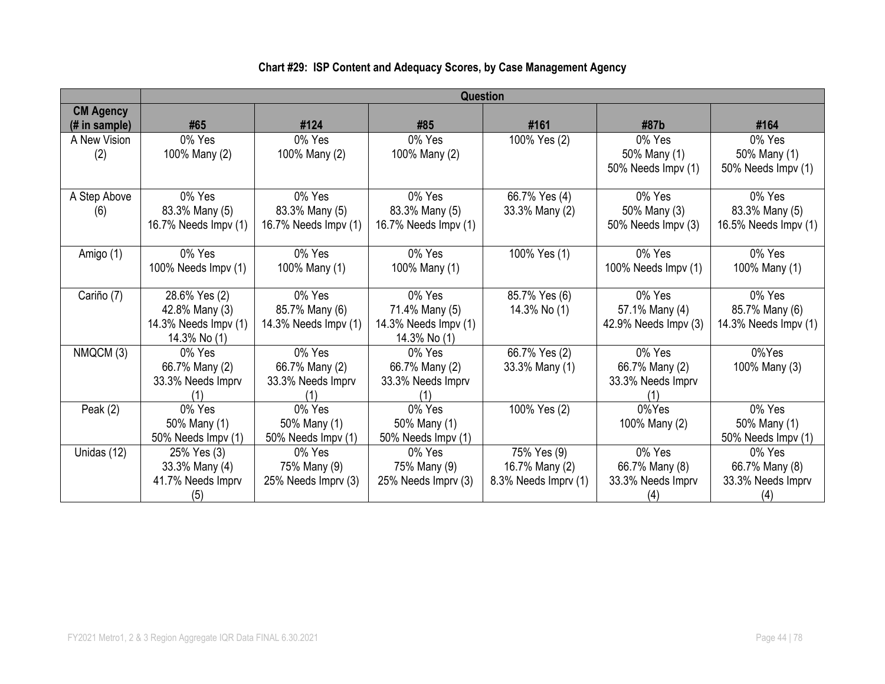|                  | Question             |                      |                      |                      |                      |                      |  |  |  |
|------------------|----------------------|----------------------|----------------------|----------------------|----------------------|----------------------|--|--|--|
|                  |                      |                      |                      |                      |                      |                      |  |  |  |
| <b>CM Agency</b> |                      |                      |                      |                      |                      |                      |  |  |  |
| (# in sample)    | #65                  | #124                 | #85                  | #161                 | #87b                 | #164                 |  |  |  |
| A New Vision     | 0% Yes               | 0% Yes               | 0% Yes               | 100% Yes (2)         | 0% Yes               | 0% Yes               |  |  |  |
| (2)              | 100% Many (2)        | 100% Many (2)        | 100% Many (2)        |                      | 50% Many (1)         | 50% Many (1)         |  |  |  |
|                  |                      |                      |                      |                      | 50% Needs Impv (1)   | 50% Needs Impv (1)   |  |  |  |
|                  |                      |                      |                      |                      |                      |                      |  |  |  |
| A Step Above     | 0% Yes               | 0% Yes               | 0% Yes               | 66.7% Yes (4)        | 0% Yes               | 0% Yes               |  |  |  |
| (6)              | 83.3% Many (5)       | 83.3% Many (5)       | 83.3% Many (5)       | 33.3% Many (2)       | 50% Many (3)         | 83.3% Many (5)       |  |  |  |
|                  | 16.7% Needs Impv (1) | 16.7% Needs Impv (1) | 16.7% Needs Impv (1) |                      | 50% Needs Impv (3)   | 16.5% Needs Impv (1) |  |  |  |
|                  |                      |                      |                      |                      |                      |                      |  |  |  |
| Amigo (1)        | 0% Yes               | 0% Yes               | 0% Yes               | 100% Yes (1)         | 0% Yes               | 0% Yes               |  |  |  |
|                  | 100% Needs Impv (1)  | 100% Many (1)        | 100% Many (1)        |                      | 100% Needs Impv (1)  | 100% Many (1)        |  |  |  |
|                  |                      |                      |                      |                      |                      |                      |  |  |  |
| Cariño (7)       | 28.6% Yes (2)        | 0% Yes               | 0% Yes               | 85.7% Yes (6)        | 0% Yes               | 0% Yes               |  |  |  |
|                  | 42.8% Many (3)       | 85.7% Many (6)       | 71.4% Many (5)       | 14.3% No (1)         | 57.1% Many (4)       | 85.7% Many (6)       |  |  |  |
|                  | 14.3% Needs Impv (1) | 14.3% Needs Impv (1) | 14.3% Needs Impv (1) |                      | 42.9% Needs Impv (3) | 14.3% Needs Impv (1) |  |  |  |
|                  | 14.3% No (1)         |                      | 14.3% No (1)         |                      |                      |                      |  |  |  |
| NMQCM (3)        | 0% Yes               | 0% Yes               | 0% Yes               | 66.7% Yes (2)        | 0% Yes               | 0%Yes                |  |  |  |
|                  | 66.7% Many (2)       | 66.7% Many (2)       | 66.7% Many (2)       | 33.3% Many (1)       | 66.7% Many (2)       | 100% Many (3)        |  |  |  |
|                  | 33.3% Needs Imprv    | 33.3% Needs Imprv    | 33.3% Needs Imprv    |                      | 33.3% Needs Imprv    |                      |  |  |  |
|                  |                      |                      |                      |                      |                      |                      |  |  |  |
| Peak $(2)$       | 0% Yes               | 0% Yes               | 0% Yes               | 100% Yes (2)         | 0%Yes                | 0% Yes               |  |  |  |
|                  | 50% Many (1)         | 50% Many (1)         | 50% Many (1)         |                      | 100% Many (2)        | 50% Many (1)         |  |  |  |
|                  | 50% Needs Impv (1)   | 50% Needs Impv (1)   | 50% Needs Impv (1)   |                      |                      | 50% Needs Impv (1)   |  |  |  |
| Unidas (12)      | 25% Yes (3)          | 0% Yes               | 0% Yes               | 75% Yes (9)          | 0% Yes               | 0% Yes               |  |  |  |
|                  | 33.3% Many (4)       | 75% Many (9)         | 75% Many (9)         | 16.7% Many (2)       | 66.7% Many (8)       | 66.7% Many (8)       |  |  |  |
|                  | 41.7% Needs Imprv    | 25% Needs Imprv (3)  | 25% Needs Imprv (3)  | 8.3% Needs Imprv (1) | 33.3% Needs Imprv    | 33.3% Needs Imprv    |  |  |  |
|                  | (5)                  |                      |                      |                      | (4)                  |                      |  |  |  |

# **Chart #29: ISP Content and Adequacy Scores, by Case Management Agency**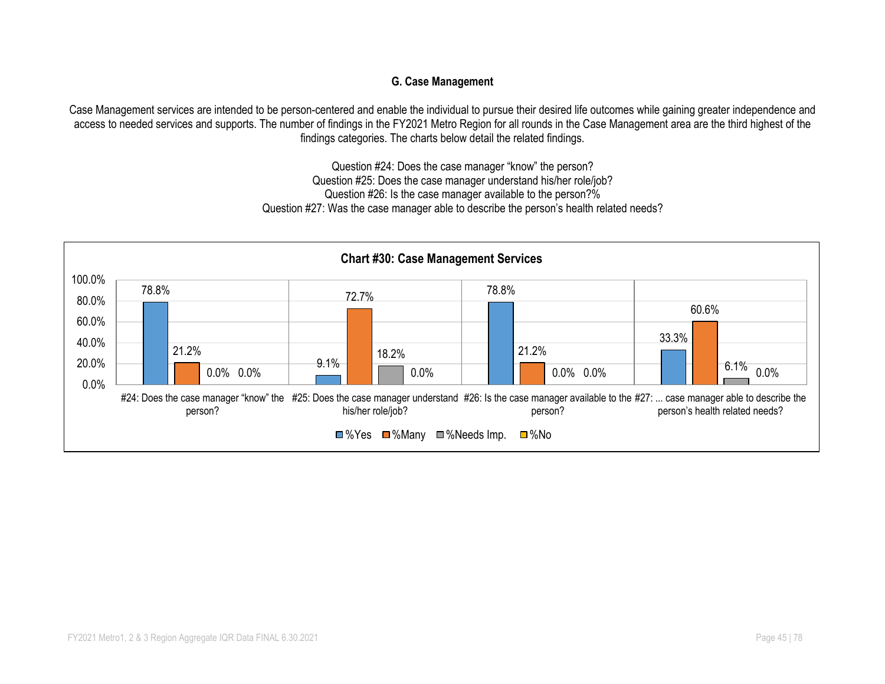#### **G. Case Management**

Case Management services are intended to be person-centered and enable the individual to pursue their desired life outcomes while gaining greater independence and access to needed services and supports. The number of findings in the FY2021 Metro Region for all rounds in the Case Management area are the third highest of the findings categories. The charts below detail the related findings.

> Question #24: Does the case manager "know" the person? Question #25: Does the case manager understand his/her role/job? Question #26: Is the case manager available to the person?% Question #27: Was the case manager able to describe the person's health related needs?

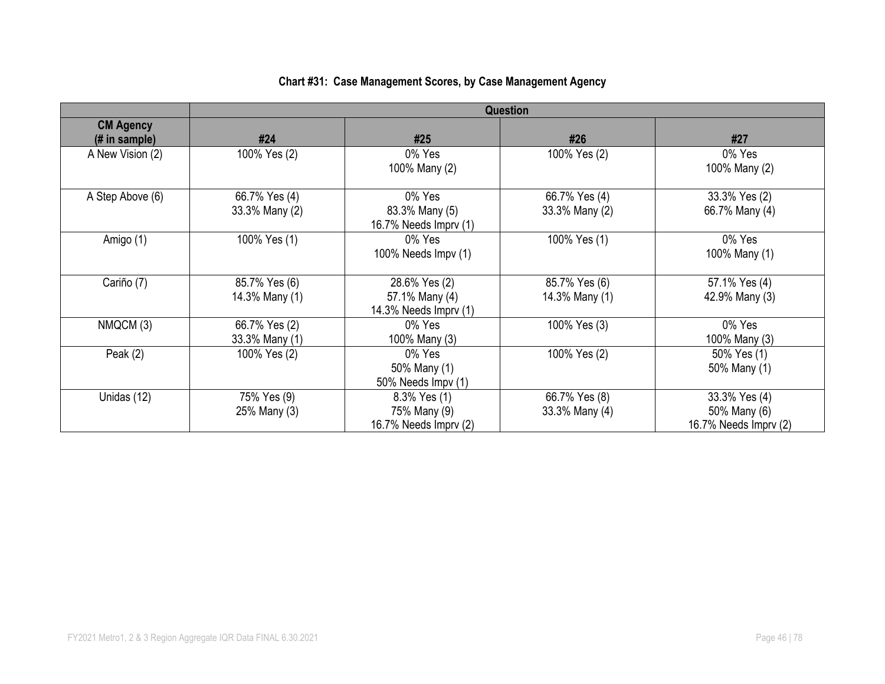|  |  |  |  |  |  | Chart #31: Case Management Scores, by Case Management Agency |  |
|--|--|--|--|--|--|--------------------------------------------------------------|--|
|--|--|--|--|--|--|--------------------------------------------------------------|--|

|                                    | Question                        |                                                          |                                 |                                                        |  |  |
|------------------------------------|---------------------------------|----------------------------------------------------------|---------------------------------|--------------------------------------------------------|--|--|
| <b>CM Agency</b><br>$#$ in sample) | #24                             | #25                                                      | #26                             | #27                                                    |  |  |
| A New Vision (2)                   | 100% Yes (2)                    | 0% Yes<br>100% Many (2)                                  | 100% Yes (2)                    | 0% Yes<br>100% Many (2)                                |  |  |
| A Step Above (6)                   | 66.7% Yes (4)<br>33.3% Many (2) | 0% Yes<br>83.3% Many (5)<br>16.7% Needs Imprv (1)        | 66.7% Yes (4)<br>33.3% Many (2) | 33.3% Yes (2)<br>66.7% Many (4)                        |  |  |
| Amigo (1)                          | 100% Yes (1)                    | 0% Yes<br>100% Needs Impv (1)                            | 100% Yes (1)                    | 0% Yes<br>100% Many (1)                                |  |  |
| Cariño (7)                         | 85.7% Yes (6)<br>14.3% Many (1) | 28.6% Yes (2)<br>57.1% Many (4)<br>14.3% Needs Imprv (1) | 85.7% Yes (6)<br>14.3% Many (1) | 57.1% Yes (4)<br>42.9% Many (3)                        |  |  |
| NMQCM (3)                          | 66.7% Yes (2)<br>33.3% Many (1) | 0% Yes<br>100% Many (3)                                  | 100% Yes (3)                    | 0% Yes<br>100% Many (3)                                |  |  |
| Peak $(2)$                         | 100% Yes (2)                    | 0% Yes<br>50% Many (1)<br>50% Needs Impv (1)             | 100% Yes (2)                    | 50% Yes (1)<br>50% Many (1)                            |  |  |
| Unidas (12)                        | 75% Yes (9)<br>25% Many (3)     | 8.3% Yes (1)<br>75% Many (9)<br>16.7% Needs Imprv (2)    | 66.7% Yes (8)<br>33.3% Many (4) | 33.3% Yes (4)<br>50% Many (6)<br>16.7% Needs Imprv (2) |  |  |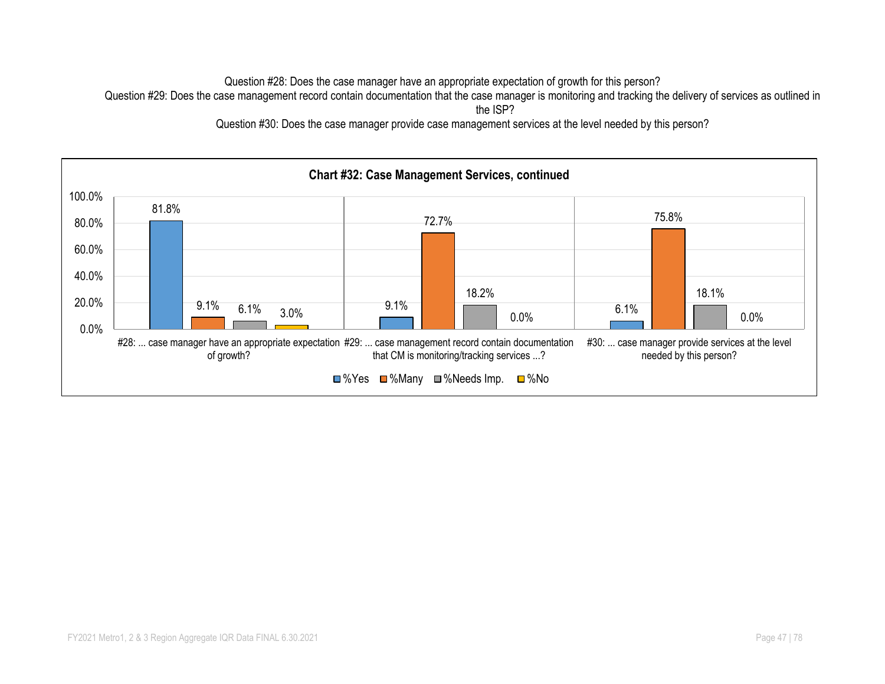Question #28: Does the case manager have an appropriate expectation of growth for this person?

Question #29: Does the case management record contain documentation that the case manager is monitoring and tracking the delivery of services as outlined in

the ISP?

Question #30: Does the case manager provide case management services at the level needed by this person?

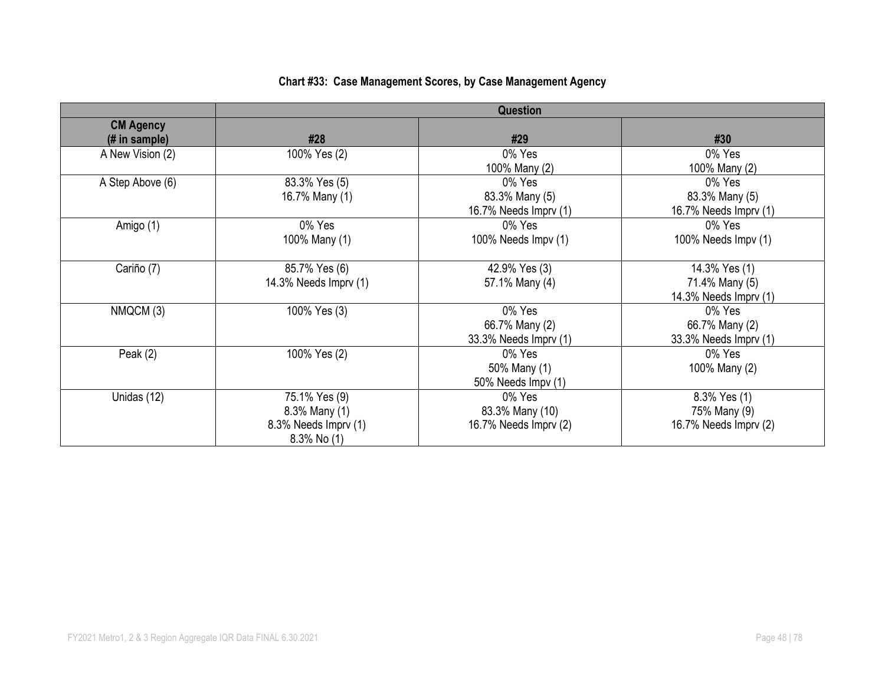# **Chart #33: Case Management Scores, by Case Management Agency**

|                                    | Question                                                              |                                                    |                                                          |  |  |  |  |
|------------------------------------|-----------------------------------------------------------------------|----------------------------------------------------|----------------------------------------------------------|--|--|--|--|
| <b>CM Agency</b><br>$#$ in sample) | #28                                                                   | #29                                                | #30                                                      |  |  |  |  |
| A New Vision (2)                   | 100% Yes (2)                                                          | 0% Yes<br>100% Many (2)                            | 0% Yes<br>100% Many (2)                                  |  |  |  |  |
| A Step Above (6)                   | 83.3% Yes (5)<br>16.7% Many (1)                                       | 0% Yes<br>83.3% Many (5)<br>16.7% Needs Imprv (1)  | 0% Yes<br>83.3% Many (5)<br>16.7% Needs Imprv (1)        |  |  |  |  |
| Amigo (1)                          | 0% Yes<br>100% Many (1)                                               | 0% Yes<br>100% Needs Impv (1)                      | 0% Yes<br>100% Needs Impv (1)                            |  |  |  |  |
| Cariño (7)                         | 85.7% Yes (6)<br>14.3% Needs Imprv (1)                                | 42.9% Yes (3)<br>57.1% Many (4)                    | 14.3% Yes (1)<br>71.4% Many (5)<br>14.3% Needs Imprv (1) |  |  |  |  |
| NMQCM (3)                          | 100% Yes (3)                                                          | 0% Yes<br>66.7% Many (2)<br>33.3% Needs Imprv (1)  | 0% Yes<br>66.7% Many (2)<br>33.3% Needs Imprv (1)        |  |  |  |  |
| Peak $(2)$                         | 100% Yes (2)                                                          | 0% Yes<br>50% Many (1)<br>50% Needs Impv (1)       | 0% Yes<br>100% Many (2)                                  |  |  |  |  |
| Unidas (12)                        | 75.1% Yes (9)<br>8.3% Many (1)<br>8.3% Needs Imprv (1)<br>8.3% No (1) | 0% Yes<br>83.3% Many (10)<br>16.7% Needs Imprv (2) | 8.3% Yes (1)<br>75% Many (9)<br>16.7% Needs Imprv (2)    |  |  |  |  |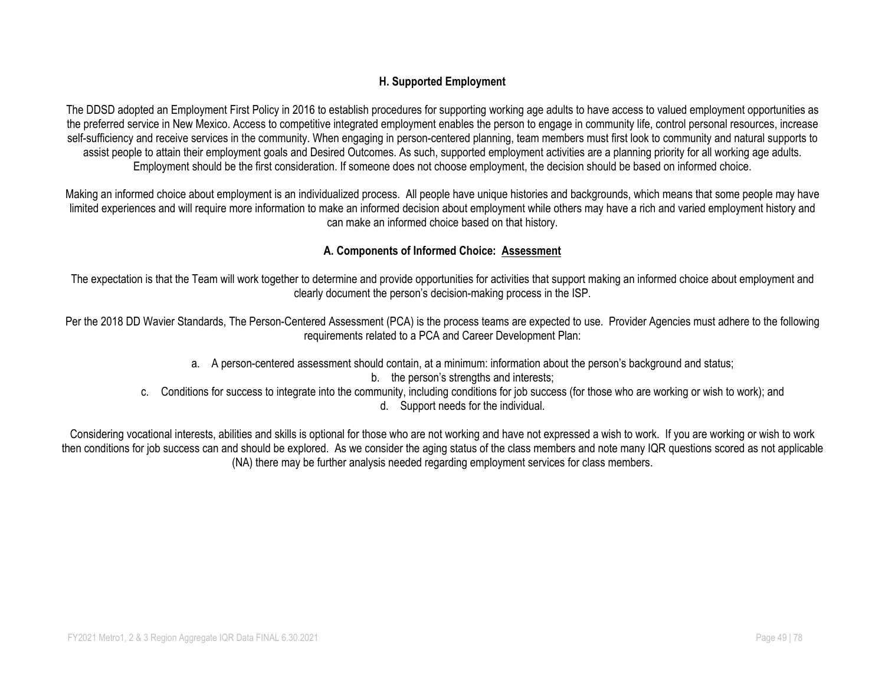#### **H. Supported Employment**

The DDSD adopted an Employment First Policy in 2016 to establish procedures for supporting working age adults to have access to valued employment opportunities as the preferred service in New Mexico. Access to competitive integrated employment enables the person to engage in community life, control personal resources, increase self-sufficiency and receive services in the community. When engaging in person-centered planning, team members must first look to community and natural supports to assist people to attain their employment goals and Desired Outcomes. As such, supported employment activities are a planning priority for all working age adults. Employment should be the first consideration. If someone does not choose employment, the decision should be based on informed choice.

Making an informed choice about employment is an individualized process. All people have unique histories and backgrounds, which means that some people may have limited experiences and will require more information to make an informed decision about employment while others may have a rich and varied employment history and can make an informed choice based on that history.

#### **A. Components of Informed Choice: Assessment**

The expectation is that the Team will work together to determine and provide opportunities for activities that support making an informed choice about employment and clearly document the person's decision-making process in the ISP.

Per the 2018 DD Wavier Standards, The Person-Centered Assessment (PCA) is the process teams are expected to use. Provider Agencies must adhere to the following requirements related to a PCA and Career Development Plan:

- a. A person-centered assessment should contain, at a minimum: information about the person's background and status;
	- b. the person's strengths and interests:
- c. Conditions for success to integrate into the community, including conditions for job success (for those who are working or wish to work); and
	- d. Support needs for the individual.

Considering vocational interests, abilities and skills is optional for those who are not working and have not expressed a wish to work. If you are working or wish to work then conditions for job success can and should be explored. As we consider the aging status of the class members and note many IQR questions scored as not applicable (NA) there may be further analysis needed regarding employment services for class members.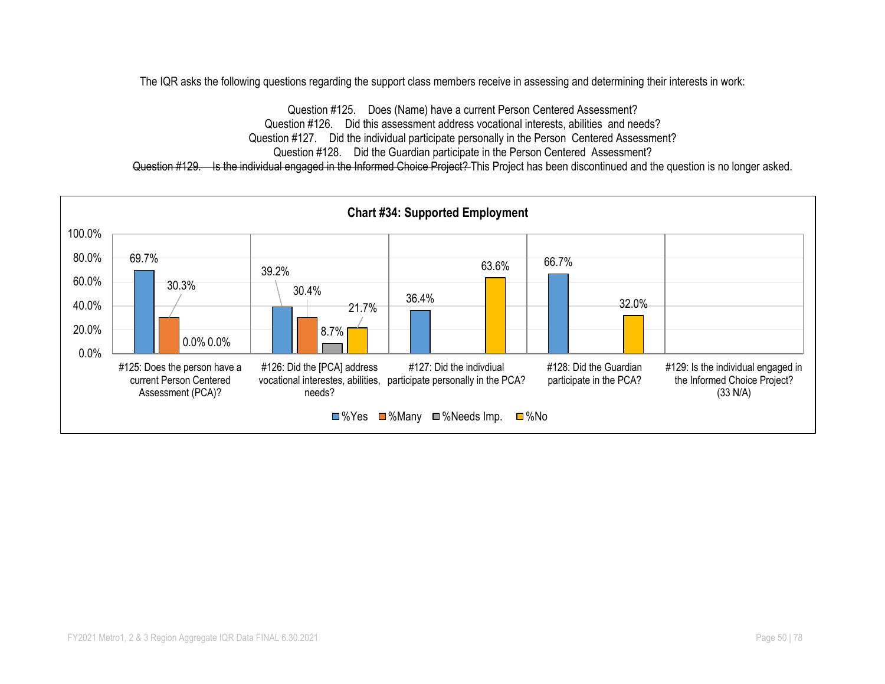The IQR asks the following questions regarding the support class members receive in assessing and determining their interests in work:

Question #125. Does (Name) have a current Person Centered Assessment? Question #126. Did this assessment address vocational interests, abilities and needs? Question #127. Did the individual participate personally in the Person Centered Assessment? Question #128. Did the Guardian participate in the Person Centered Assessment? Question #129. Is the individual engaged in the Informed Choice Project? This Project has been discontinued and the question is no longer asked.

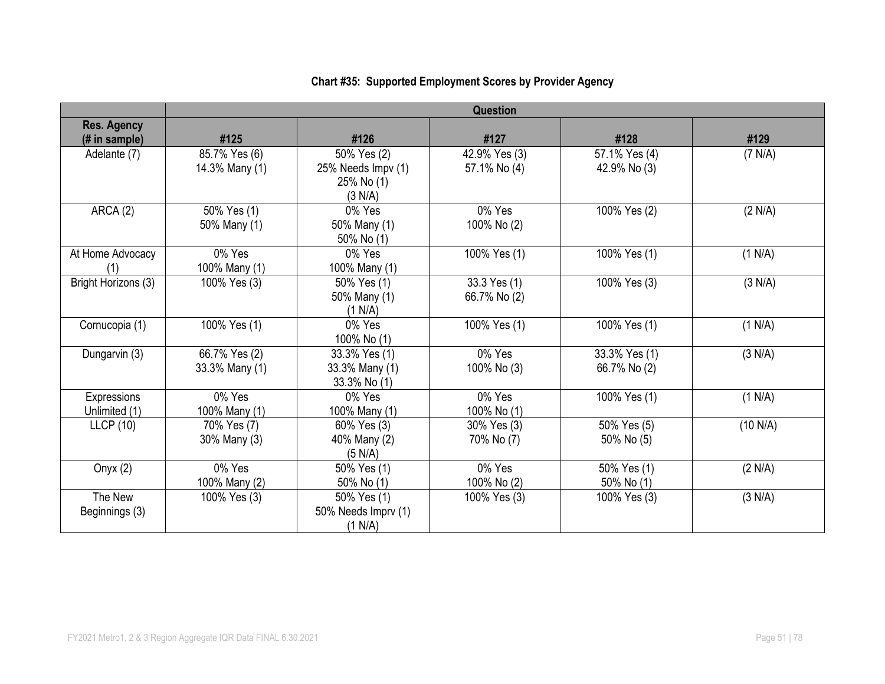|                     | Question       |                     |               |               |          |  |  |  |
|---------------------|----------------|---------------------|---------------|---------------|----------|--|--|--|
| <b>Res. Agency</b>  |                |                     |               |               |          |  |  |  |
| (# in sample)       | #125           | #126                | #127          | #128          | #129     |  |  |  |
| Adelante (7)        | 85.7% Yes (6)  | 50% Yes (2)         | 42.9% Yes (3) | 57.1% Yes (4) | (7 N/A)  |  |  |  |
|                     | 14.3% Many (1) | 25% Needs Impv (1)  | 57.1% No (4)  | 42.9% No (3)  |          |  |  |  |
|                     |                | 25% No (1)          |               |               |          |  |  |  |
|                     |                | (3 N/A)             |               |               |          |  |  |  |
| ARCA (2)            | 50% Yes (1)    | 0% Yes              | 0% Yes        | 100% Yes (2)  | (2 N/A)  |  |  |  |
|                     | 50% Many (1)   | 50% Many (1)        | 100% No (2)   |               |          |  |  |  |
|                     |                | 50% No (1)          |               |               |          |  |  |  |
| At Home Advocacy    | 0% Yes         | 0% Yes              | 100% Yes (1)  | 100% Yes (1)  | (1 N/A)  |  |  |  |
|                     | 100% Many (1)  | 100% Many (1)       |               |               |          |  |  |  |
| Bright Horizons (3) | 100% Yes (3)   | 50% Yes (1)         | 33.3 Yes (1)  | 100% Yes (3)  | (3 N/A)  |  |  |  |
|                     |                | 50% Many (1)        | 66.7% No (2)  |               |          |  |  |  |
|                     |                | (1 N/A)             |               |               |          |  |  |  |
| Cornucopia (1)      | 100% Yes (1)   | 0% Yes              | 100% Yes (1)  | 100% Yes (1)  | (1 N/A)  |  |  |  |
|                     |                | 100% No (1)         |               |               |          |  |  |  |
| Dungarvin (3)       | 66.7% Yes (2)  | 33.3% Yes (1)       | 0% Yes        | 33.3% Yes (1) | (3 N/A)  |  |  |  |
|                     | 33.3% Many (1) | 33.3% Many (1)      | 100% No (3)   | 66.7% No (2)  |          |  |  |  |
|                     |                | 33.3% No (1)        |               |               |          |  |  |  |
| Expressions         | 0% Yes         | 0% Yes              | 0% Yes        | 100% Yes (1)  | (1 N/A)  |  |  |  |
| Unlimited (1)       | 100% Many (1)  | 100% Many (1)       | 100% No (1)   |               |          |  |  |  |
| LLCP(10)            | 70% Yes (7)    | 60% Yes (3)         | 30% Yes (3)   | 50% Yes (5)   | (10 N/A) |  |  |  |
|                     | 30% Many (3)   | 40% Many (2)        | 70% No (7)    | 50% No (5)    |          |  |  |  |
|                     |                | (5 N/A)             |               |               |          |  |  |  |
| Onyx $(2)$          | 0% Yes         | 50% Yes (1)         | 0% Yes        | 50% Yes (1)   | (2 N/A)  |  |  |  |
|                     | 100% Many (2)  | 50% No (1)          | 100% No (2)   | 50% No (1)    |          |  |  |  |
| The New             | 100% Yes (3)   | 50% Yes (1)         | 100% Yes (3)  | 100% Yes (3)  | (3 N/A)  |  |  |  |
| Beginnings (3)      |                | 50% Needs Imprv (1) |               |               |          |  |  |  |
|                     |                | (1 N/A)             |               |               |          |  |  |  |

# **Chart #35: Supported Employment Scores by Provider Agency**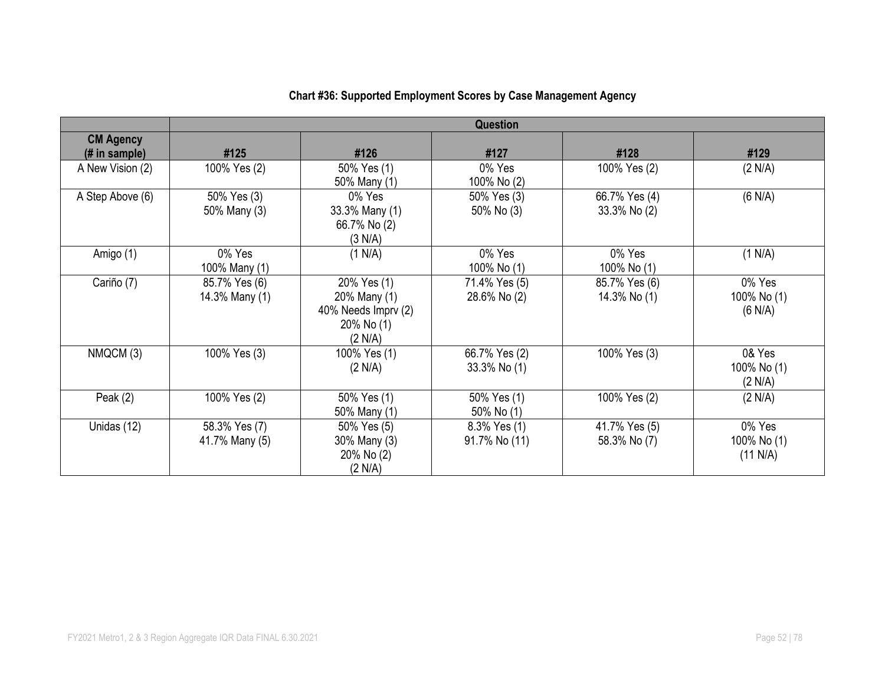|                                   | <b>Question</b>                 |                                                                             |                               |                               |                                   |  |  |  |
|-----------------------------------|---------------------------------|-----------------------------------------------------------------------------|-------------------------------|-------------------------------|-----------------------------------|--|--|--|
| <b>CM Agency</b><br>(# in sample) | #125                            | #126                                                                        | #127                          | #128                          | #129                              |  |  |  |
| A New Vision (2)                  | 100% Yes (2)                    | 50% Yes (1)<br>50% Many (1)                                                 | 0% Yes<br>100% No (2)         | 100% Yes (2)                  | (2 N/A)                           |  |  |  |
| A Step Above (6)                  | 50% Yes (3)<br>50% Many (3)     | 0% Yes<br>33.3% Many (1)<br>66.7% No (2)<br>(3 N/A)                         | 50% Yes (3)<br>50% No (3)     | 66.7% Yes (4)<br>33.3% No (2) | (6 N/A)                           |  |  |  |
| Amigo (1)                         | 0% Yes<br>100% Many (1)         | (1 N/A)                                                                     | 0% Yes<br>100% No (1)         | 0% Yes<br>100% No (1)         | (1 N/A)                           |  |  |  |
| Cariño (7)                        | 85.7% Yes (6)<br>14.3% Many (1) | 20% Yes (1)<br>20% Many (1)<br>40% Needs Imprv (2)<br>20% No (1)<br>(2 N/A) | 71.4% Yes (5)<br>28.6% No (2) | 85.7% Yes (6)<br>14.3% No (1) | 0% Yes<br>100% No (1)<br>(6 N/A)  |  |  |  |
| NMQCM (3)                         | 100% Yes (3)                    | 100% Yes (1)<br>(2 N/A)                                                     | 66.7% Yes (2)<br>33.3% No (1) | 100% Yes (3)                  | 0& Yes<br>100% No (1)<br>(2 N/A)  |  |  |  |
| Peak $(2)$                        | 100% Yes (2)                    | 50% Yes (1)<br>50% Many (1)                                                 | 50% Yes (1)<br>50% No (1)     | 100% Yes (2)                  | (2 N/A)                           |  |  |  |
| Unidas (12)                       | 58.3% Yes (7)<br>41.7% Many (5) | 50% Yes (5)<br>30% Many (3)<br>20% No (2)<br>(2 N/A)                        | 8.3% Yes (1)<br>91.7% No (11) | 41.7% Yes (5)<br>58.3% No (7) | 0% Yes<br>100% No (1)<br>(11 N/A) |  |  |  |

## **Chart #36: Supported Employment Scores by Case Management Agency**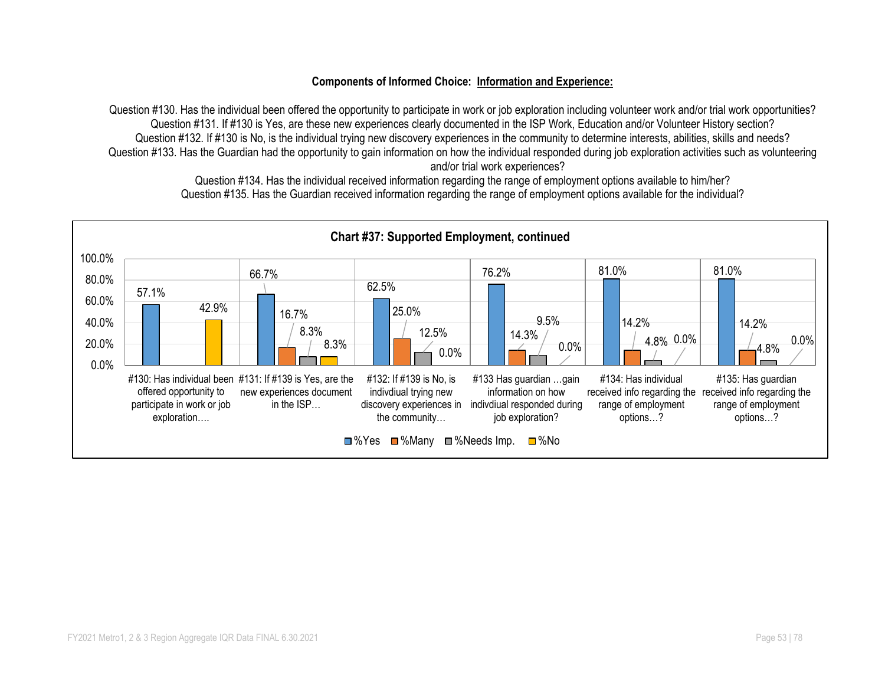#### **Components of Informed Choice: Information and Experience:**

Question #130. Has the individual been offered the opportunity to participate in work or job exploration including volunteer work and/or trial work opportunities? Question #131. If #130 is Yes, are these new experiences clearly documented in the ISP Work, Education and/or Volunteer History section? Question #132. If #130 is No, is the individual trying new discovery experiences in the community to determine interests, abilities, skills and needs? Question #133. Has the Guardian had the opportunity to gain information on how the individual responded during job exploration activities such as volunteering and/or trial work experiences?

57.1% 66.7% 62.5% 76.2% 81.0% 81.0% 16.7% | 25.0% 14.3%  $\frac{14.2\%}{8.3\%}$  14.2% 12.5% 14.3% 14.3% 14.2% 14.2% 14.2% 9.5%  $4.8\%$  0.0% 4.8% 42.9% 8.3% 0.0% 0.0% 0.0% 0.0% 0.0% 20.0% 40.0% 60.0% 80.0% 100.0% #130: Has individual been #131: If #139 is Yes, are the offered opportunity to participate in work or job exploration…. new experiences document in the ISP… #132: If #139 is No, is indivdiual trying new discovery experiences in indivdiual responded during the community… #133 Has guardian …gain information on how job exploration? #134: Has individual received info regarding the received info regarding the range of employment options…? #135: Has guardian range of employment options…? **Chart #37: Supported Employment, continued** ■%Yes ■%Many ■%Needs Imp. ■%No

Question #134. Has the individual received information regarding the range of employment options available to him/her? Question #135. Has the Guardian received information regarding the range of employment options available for the individual?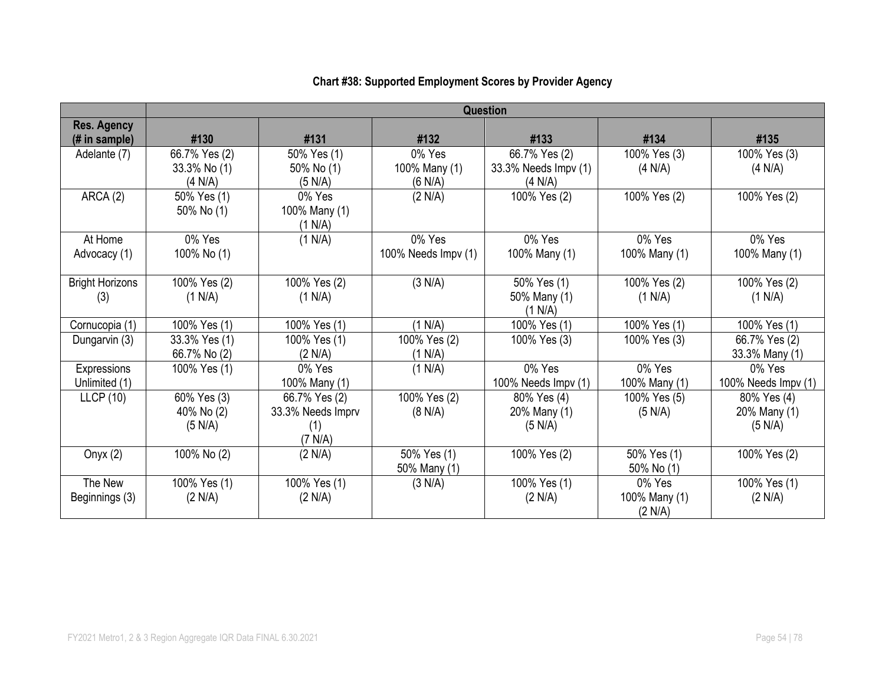|                        | <b>Question</b> |                   |                     |                      |               |                     |  |
|------------------------|-----------------|-------------------|---------------------|----------------------|---------------|---------------------|--|
| <b>Res. Agency</b>     |                 |                   |                     |                      |               |                     |  |
| (# in sample)          | #130            | #131              | #132                | #133                 | #134          | #135                |  |
| Adelante (7)           | 66.7% Yes (2)   | 50% Yes (1)       | 0% Yes              | 66.7% Yes (2)        | 100% Yes (3)  | 100% Yes (3)        |  |
|                        | 33.3% No (1)    | 50% No (1)        | 100% Many (1)       | 33.3% Needs Impv (1) | (4 N/A)       | (4 N/A)             |  |
|                        | (4 N/A)         | (5 N/A)           | (6 N/A)             | (4 N/A)              |               |                     |  |
| ARCA (2)               | 50% Yes (1)     | 0% Yes            | (2 N/A)             | 100% Yes (2)         | 100% Yes (2)  | 100% Yes (2)        |  |
|                        | 50% No (1)      | 100% Many (1)     |                     |                      |               |                     |  |
|                        |                 | (1 N/A)           |                     |                      |               |                     |  |
| At Home                | 0% Yes          | (1 N/A)           | 0% Yes              | 0% Yes               | 0% Yes        | 0% Yes              |  |
| Advocacy (1)           | 100% No (1)     |                   | 100% Needs Impv (1) | 100% Many (1)        | 100% Many (1) | 100% Many (1)       |  |
|                        |                 |                   |                     |                      |               |                     |  |
| <b>Bright Horizons</b> | 100% Yes (2)    | 100% Yes (2)      | (3 N/A)             | 50% Yes (1)          | 100% Yes (2)  | 100% Yes (2)        |  |
| (3)                    | (1 N/A)         | (1 N/A)           |                     | 50% Many (1)         | (1 N/A)       | (1 N/A)             |  |
|                        |                 |                   |                     | (1 N/A)              |               |                     |  |
| Cornucopia (1)         | 100% Yes (1)    | 100% Yes (1)      | (1 N/A)             | 100% Yes (1)         | 100% Yes (1)  | 100% Yes (1)        |  |
| Dungarvin (3)          | 33.3% Yes (1)   | 100% Yes (1)      | 100% Yes (2)        | 100% Yes (3)         | 100% Yes (3)  | 66.7% Yes (2)       |  |
|                        | 66.7% No (2)    | (2 N/A)           | (1 N/A)             |                      |               | 33.3% Many (1)      |  |
| Expressions            | 100% Yes (1)    | 0% Yes            | (1 N/A)             | 0% Yes               | 0% Yes        | 0% Yes              |  |
| Unlimited (1)          |                 | 100% Many (1)     |                     | 100% Needs Impv (1)  | 100% Many (1) | 100% Needs Impv (1) |  |
| LLCP(10)               | 60% Yes (3)     | 66.7% Yes (2)     | 100% Yes (2)        | 80% Yes (4)          | 100% Yes (5)  | 80% Yes (4)         |  |
|                        | 40% No (2)      | 33.3% Needs Imprv | (8 N/A)             | 20% Many (1)         | (5 N/A)       | 20% Many (1)        |  |
|                        | (5 N/A)         | (1)               |                     | (5 N/A)              |               | (5 N/A)             |  |
|                        |                 | (7 N/A)           |                     |                      |               |                     |  |
| Onyx $(2)$             | 100% No (2)     | (2 N/A)           | 50% Yes (1)         | 100% Yes (2)         | 50% Yes (1)   | 100% Yes (2)        |  |
|                        |                 |                   | 50% Many (1)        |                      | 50% No (1)    |                     |  |
| The New                | 100% Yes (1)    | 100% Yes (1)      | (3 N/A)             | 100% Yes (1)         | 0% Yes        | 100% Yes (1)        |  |
| Beginnings (3)         | (2 N/A)         | (2 N/A)           |                     | (2 N/A)              | 100% Many (1) | (2 N/A)             |  |
|                        |                 |                   |                     |                      | (2 N/A)       |                     |  |

# **Chart #38: Supported Employment Scores by Provider Agency**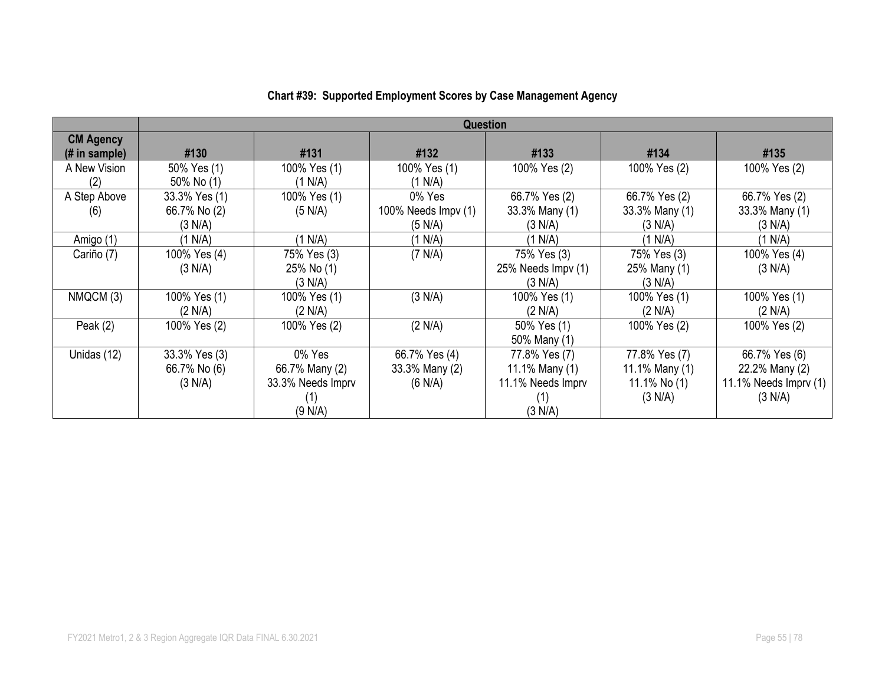|                                   | <b>Question</b>                          |                                                                 |                                            |                                                                        |                                                              |                                                                      |
|-----------------------------------|------------------------------------------|-----------------------------------------------------------------|--------------------------------------------|------------------------------------------------------------------------|--------------------------------------------------------------|----------------------------------------------------------------------|
| <b>CM Agency</b><br>(# in sample) | #130                                     | #131                                                            | #132                                       | #133                                                                   | #134                                                         | #135                                                                 |
| A New Vision<br>(2)               | 50% Yes (1)<br>50% No (1)                | 100% Yes (1)<br>(1 N/A)                                         | 100% Yes (1)<br>(1 N/A)                    | 100% Yes (2)                                                           | 100% Yes (2)                                                 | 100% Yes (2)                                                         |
| A Step Above<br>(6)               | 33.3% Yes (1)<br>66.7% No (2)<br>(3 N/A) | 100% Yes (1)<br>(5 N/A)                                         | 0% Yes<br>100% Needs Impv (1)<br>(5 N/A)   | 66.7% Yes (2)<br>33.3% Many (1)<br>(3 N/A)                             | 66.7% Yes (2)<br>33.3% Many (1)<br>(3 N/A)                   | 66.7% Yes (2)<br>33.3% Many (1)<br>(3 N/A)                           |
| Amigo (1)                         | (1 N/A)                                  | (1 N/A)                                                         | (1 N/A)                                    | (1 N/A)                                                                | (1 N/A)                                                      | (1 N/A)                                                              |
| Cariño (7)                        | 100% Yes (4)<br>(3 N/A)                  | 75% Yes (3)<br>25% No (1)<br>(3 N/A)                            | (7 N/A)                                    | 75% Yes (3)<br>25% Needs Impv (1)<br>(3 N/A)                           | 75% Yes (3)<br>25% Many (1)<br>(3 N/A)                       | 100% Yes (4)<br>(3 N/A)                                              |
| NMQCM (3)                         | 100% Yes (1)<br>(2 N/A)                  | 100% Yes (1)<br>(2 N/A)                                         | (3 N/A)                                    | 100% Yes (1)<br>(2 N/A)                                                | 100% Yes (1)<br>(2 N/A)                                      | 100% Yes (1)<br>(2 N/A)                                              |
| Peak $(2)$                        | 100% Yes (2)                             | 100% Yes (2)                                                    | (2 N/A)                                    | 50% Yes (1)<br>50% Many (1)                                            | 100% Yes (2)                                                 | 100% Yes (2)                                                         |
| Unidas (12)                       | 33.3% Yes (3)<br>66.7% No (6)<br>(3 N/A) | 0% Yes<br>66.7% Many (2)<br>33.3% Needs Imprv<br>(1)<br>(9 N/A) | 66.7% Yes (4)<br>33.3% Many (2)<br>(6 N/A) | 77.8% Yes (7)<br>11.1% Many (1)<br>11.1% Needs Imprv<br>(1)<br>(3 N/A) | 77.8% Yes (7)<br>11.1% Many (1)<br>11.1% No $(1)$<br>(3 N/A) | 66.7% Yes (6)<br>22.2% Many (2)<br>11.1% Needs $Imprv(1)$<br>(3 N/A) |

## **Chart #39: Supported Employment Scores by Case Management Agency**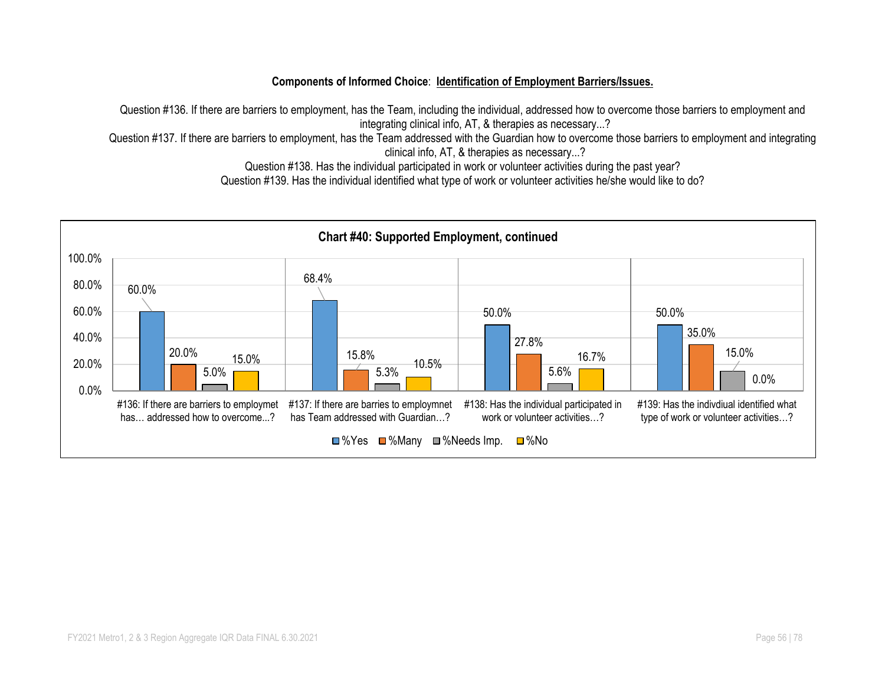#### **Components of Informed Choice**: **Identification of Employment Barriers/Issues.**

Question #136. If there are barriers to employment, has the Team, including the individual, addressed how to overcome those barriers to employment and integrating clinical info, AT, & therapies as necessary...?

Question #137. If there are barriers to employment, has the Team addressed with the Guardian how to overcome those barriers to employment and integrating clinical info, AT, & therapies as necessary...?

Question #138. Has the individual participated in work or volunteer activities during the past year?

Question #139. Has the individual identified what type of work or volunteer activities he/she would like to do?

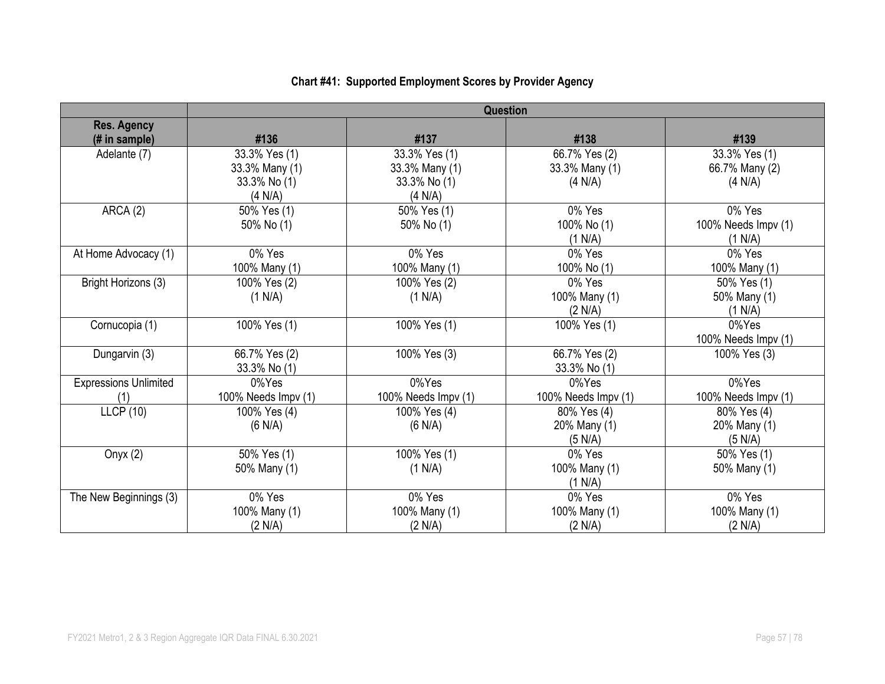|                                     | <b>Question</b>     |                     |                     |                     |  |
|-------------------------------------|---------------------|---------------------|---------------------|---------------------|--|
| <b>Res. Agency</b><br>(# in sample) | #136                | #137                | #138                | #139                |  |
| Adelante (7)                        | 33.3% Yes (1)       | 33.3% Yes (1)       | 66.7% Yes (2)       | 33.3% Yes (1)       |  |
|                                     | 33.3% Many (1)      | 33.3% Many (1)      | 33.3% Many (1)      | 66.7% Many (2)      |  |
|                                     | 33.3% No (1)        | 33.3% No (1)        | (4 N/A)             | (4 N/A)             |  |
|                                     | (4 N/A)             | (4 N/A)             |                     |                     |  |
| ARCA (2)                            | 50% Yes (1)         | 50% Yes (1)         | 0% Yes              | 0% Yes              |  |
|                                     | 50% No (1)          | 50% No (1)          | 100% No (1)         | 100% Needs Impv (1) |  |
|                                     |                     |                     | (1 N/A)             | (1 N/A)             |  |
| At Home Advocacy (1)                | 0% Yes              | 0% Yes              | 0% Yes              | 0% Yes              |  |
|                                     | 100% Many (1)       | 100% Many (1)       | 100% No (1)         | 100% Many (1)       |  |
| Bright Horizons (3)                 | 100% Yes (2)        | 100% Yes (2)        | 0% Yes              | 50% Yes (1)         |  |
|                                     | (1 N/A)             | (1 N/A)             | 100% Many (1)       | 50% Many (1)        |  |
|                                     |                     |                     | (2 N/A)             | (1 N/A)             |  |
| Cornucopia (1)                      | 100% Yes (1)        | 100% Yes (1)        | 100% Yes (1)        | 0%Yes               |  |
|                                     |                     |                     |                     | 100% Needs Impv (1) |  |
| Dungarvin (3)                       | 66.7% Yes (2)       | 100% Yes (3)        | 66.7% Yes (2)       | 100% Yes (3)        |  |
|                                     | 33.3% No (1)        |                     | 33.3% No (1)        |                     |  |
| <b>Expressions Unlimited</b>        | 0%Yes               | 0%Yes               | 0%Yes               | 0%Yes               |  |
| (1)                                 | 100% Needs Impv (1) | 100% Needs Impv (1) | 100% Needs Impv (1) | 100% Needs Impv (1) |  |
| <b>LLCP (10)</b>                    | 100% Yes (4)        | 100% Yes (4)        | 80% Yes (4)         | 80% Yes (4)         |  |
|                                     | (6 N/A)             | (6 N/A)             | 20% Many (1)        | 20% Many (1)        |  |
|                                     |                     |                     | (5 N/A)             | (5 N/A)             |  |
| Onyx $(2)$                          | 50% Yes (1)         | 100% Yes (1)        | 0% Yes              | 50% Yes (1)         |  |
|                                     | 50% Many (1)        | (1 N/A)             | 100% Many (1)       | 50% Many (1)        |  |
|                                     |                     |                     | (1 N/A)             |                     |  |
| The New Beginnings (3)              | 0% Yes              | 0% Yes              | 0% Yes              | 0% Yes              |  |
|                                     | 100% Many (1)       | 100% Many (1)       | 100% Many (1)       | 100% Many (1)       |  |
|                                     | (2 N/A)             | (2 N/A)             | (2 N/A)             | (2 N/A)             |  |

# **Chart #41: Supported Employment Scores by Provider Agency**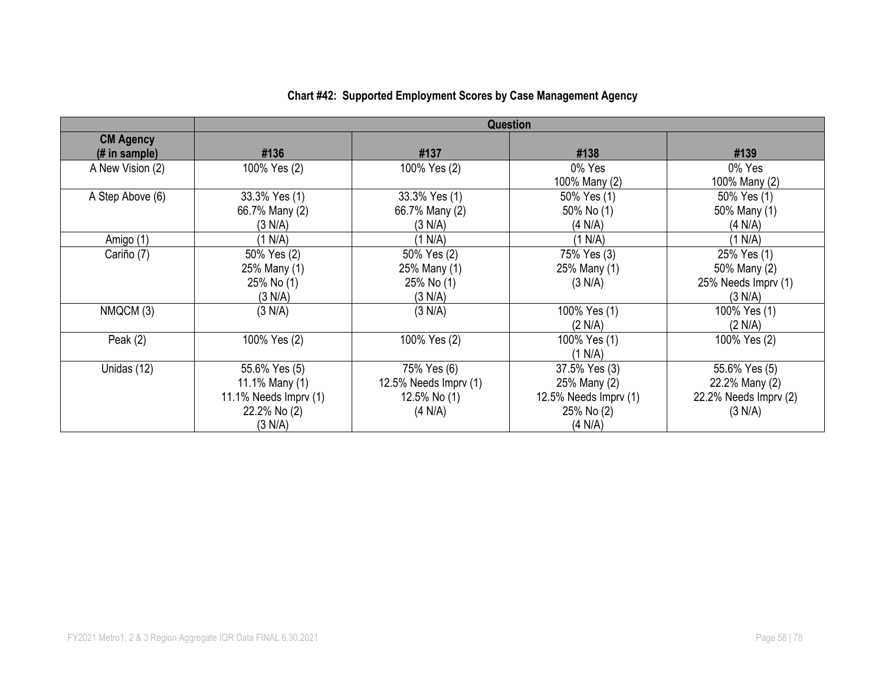|                                   | <b>Question</b>                                                                       |                                                                 |                                                                                 |                                                                          |  |
|-----------------------------------|---------------------------------------------------------------------------------------|-----------------------------------------------------------------|---------------------------------------------------------------------------------|--------------------------------------------------------------------------|--|
| <b>CM Agency</b><br>(# in sample) | #136                                                                                  | #137                                                            | #138                                                                            | #139                                                                     |  |
| A New Vision (2)                  | 100% Yes (2)                                                                          | 100% Yes (2)                                                    | 0% Yes<br>100% Many (2)                                                         | 0% Yes<br>100% Many (2)                                                  |  |
| A Step Above (6)                  | 33.3% Yes (1)<br>66.7% Many (2)<br>(3 N/A)                                            | 33.3% Yes (1)<br>66.7% Many (2)<br>(3 N/A)                      | 50% Yes (1)<br>50% No (1)<br>(4 N/A)                                            | 50% Yes (1)<br>50% Many (1)<br>(4 N/A)                                   |  |
| Amigo (1)                         | (1 N/A)                                                                               | (1 N/A)                                                         | (1 N/A)                                                                         | (1 N/A)                                                                  |  |
| Cariño (7)                        | 50% Yes (2)<br>25% Many (1)<br>25% No (1)<br>(3 N/A)                                  | 50% Yes (2)<br>25% Many (1)<br>25% No (1)<br>(3 N/A)            | 75% Yes (3)<br>25% Many (1)<br>(3 N/A)                                          | 25% Yes (1)<br>50% Many (2)<br>25% Needs Imprv (1)<br>(3 N/A)            |  |
| NMQCM (3)                         | (3 N/A)                                                                               | (3 N/A)                                                         | 100% Yes (1)<br>(2 N/A)                                                         | 100% Yes (1)<br>(2 N/A)                                                  |  |
| Peak $(2)$                        | 100% Yes (2)                                                                          | 100% Yes (2)                                                    | 100% Yes (1)<br>(1 N/A)                                                         | 100% Yes (2)                                                             |  |
| Unidas (12)                       | 55.6% Yes (5)<br>11.1% Many (1)<br>11.1% Needs Imprv $(1)$<br>22.2% No (2)<br>(3 N/A) | 75% Yes (6)<br>12.5% Needs Imprv (1)<br>12.5% No (1)<br>(4 N/A) | 37.5% Yes (3)<br>25% Many (2)<br>12.5% Needs Imprv (1)<br>25% No (2)<br>(4 N/A) | 55.6% Yes (5)<br>22.2% Many (2)<br>$22.2\%$ Needs Imprv $(2)$<br>(3 N/A) |  |

## **Chart #42: Supported Employment Scores by Case Management Agency**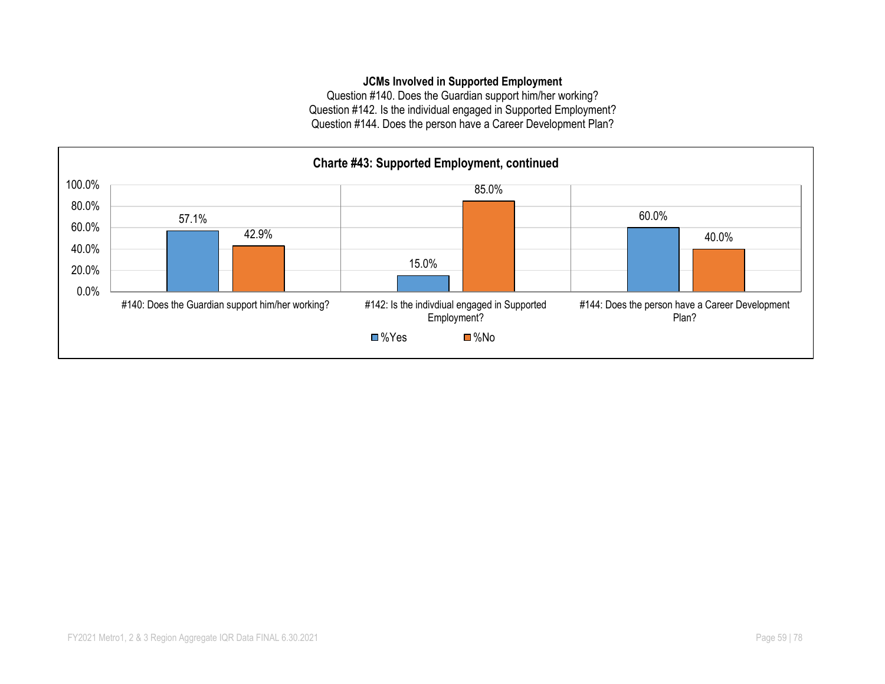#### **JCMs Involved in Supported Employment**

Question #140. Does the Guardian support him/her working? Question #142. Is the individual engaged in Supported Employment? Question #144. Does the person have a Career Development Plan?

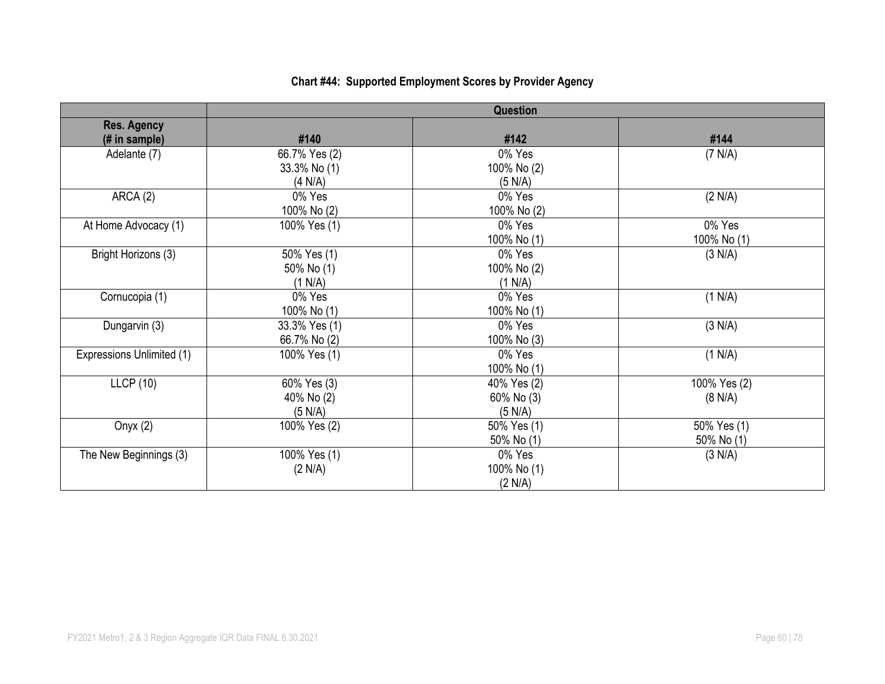# **Chart #44: Supported Employment Scores by Provider Agency**

|                           |               | Question    |              |
|---------------------------|---------------|-------------|--------------|
| <b>Res. Agency</b>        |               |             |              |
| (# in sample)             | #140          | #142        | #144         |
| Adelante (7)              | 66.7% Yes (2) | 0% Yes      | (7 N/A)      |
|                           | 33.3% No (1)  | 100% No (2) |              |
|                           | (4 N/A)       | (5 N/A)     |              |
| ARCA(2)                   | 0% Yes        | 0% Yes      | (2 N/A)      |
|                           | 100% No (2)   | 100% No (2) |              |
| At Home Advocacy (1)      | 100% Yes (1)  | 0% Yes      | 0% Yes       |
|                           |               | 100% No (1) | 100% No (1)  |
| Bright Horizons (3)       | 50% Yes (1)   | 0% Yes      | (3 N/A)      |
|                           | 50% No (1)    | 100% No (2) |              |
|                           | (1 N/A)       | (1 N/A)     |              |
| Cornucopia (1)            | 0% Yes        | 0% Yes      | (1 N/A)      |
|                           | 100% No (1)   | 100% No (1) |              |
| Dungarvin (3)             | 33.3% Yes (1) | 0% Yes      | (3 N/A)      |
|                           | 66.7% No (2)  | 100% No (3) |              |
| Expressions Unlimited (1) | 100% Yes (1)  | 0% Yes      | (1 N/A)      |
|                           |               | 100% No (1) |              |
| <b>LLCP</b> (10)          | 60% Yes (3)   | 40% Yes (2) | 100% Yes (2) |
|                           | 40% No (2)    | 60% No (3)  | (8 N/A)      |
|                           | (5 N/A)       | (5 N/A)     |              |
| Onyx $(2)$                | 100% Yes (2)  | 50% Yes (1) | 50% Yes (1)  |
|                           |               | 50% No (1)  | 50% No (1)   |
| The New Beginnings (3)    | 100% Yes (1)  | 0% Yes      | (3 N/A)      |
|                           | (2 N/A)       | 100% No (1) |              |
|                           |               | (2 N/A)     |              |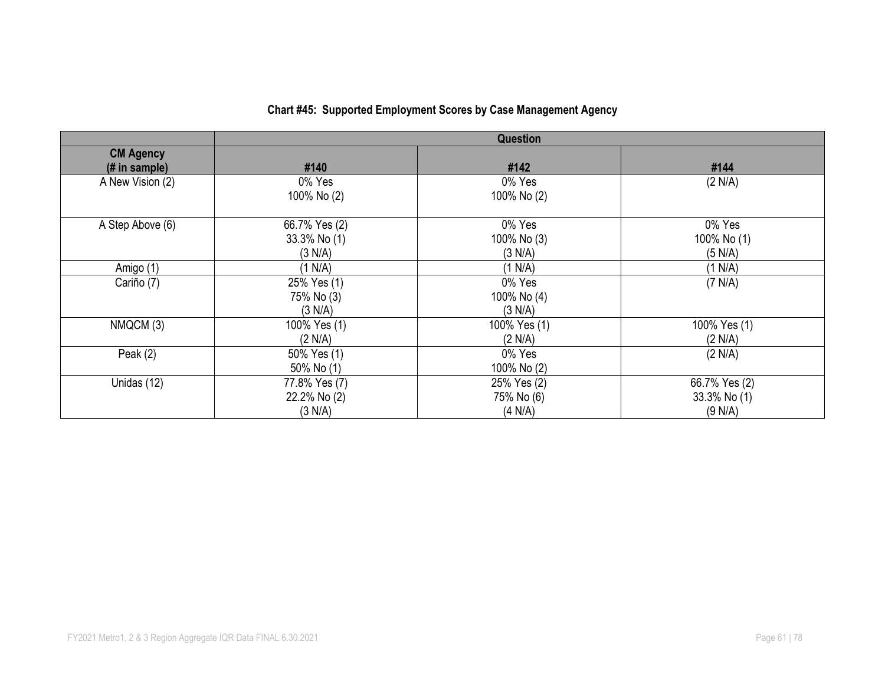|                                   | Question                                 |                                      |                                          |  |  |
|-----------------------------------|------------------------------------------|--------------------------------------|------------------------------------------|--|--|
| <b>CM Agency</b><br>(# in sample) | #140                                     | #142                                 | #144                                     |  |  |
| A New Vision (2)                  | 0% Yes<br>100% No (2)                    | 0% Yes<br>100% No (2)                | (2 N/A)                                  |  |  |
| A Step Above (6)                  | 66.7% Yes (2)<br>33.3% No (1)<br>(3 N/A) | 0% Yes<br>100% No (3)<br>(3 N/A)     | 0% Yes<br>100% No (1)<br>(5 N/A)         |  |  |
| Amigo (1)                         | (1 N/A)                                  | (1 N/A)                              | (1 N/A)                                  |  |  |
| Cariño (7)                        | 25% Yes (1)<br>75% No (3)<br>(3 N/A)     | 0% Yes<br>100% No (4)<br>(3 N/A)     | (7 N/A)                                  |  |  |
| NMQCM (3)                         | 100% Yes (1)<br>(2 N/A)                  | 100% Yes (1)<br>(2 N/A)              | 100% Yes (1)<br>(2 N/A)                  |  |  |
| Peak $(2)$                        | 50% Yes (1)<br>50% No (1)                | 0% Yes<br>100% No (2)                | (2 N/A)                                  |  |  |
| Unidas (12)                       | 77.8% Yes (7)<br>22.2% No (2)<br>(3 N/A) | 25% Yes (2)<br>75% No (6)<br>(4 N/A) | 66.7% Yes (2)<br>33.3% No (1)<br>(9 N/A) |  |  |

## **Chart #45: Supported Employment Scores by Case Management Agency**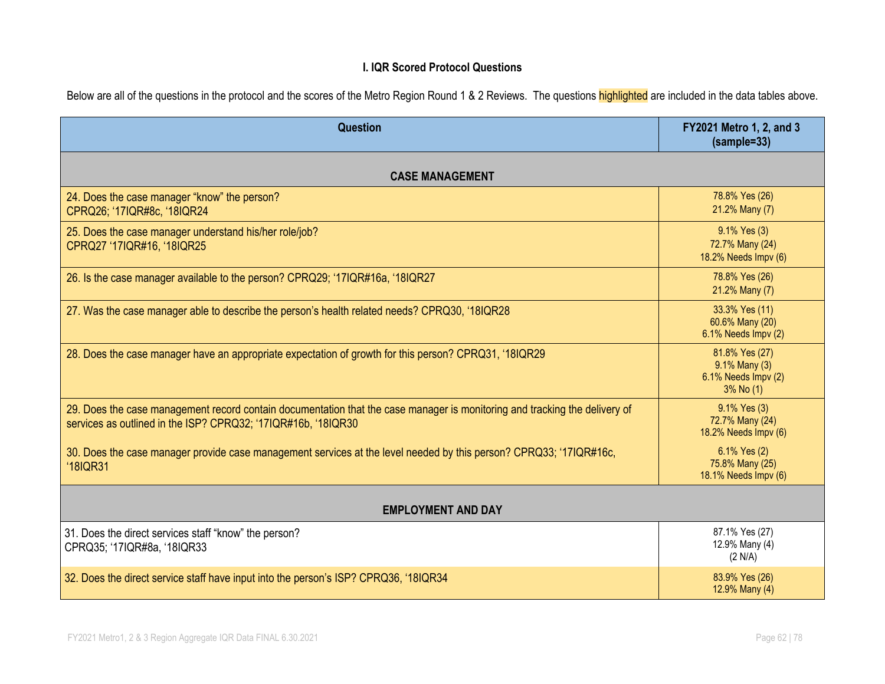#### **I. IQR Scored Protocol Questions**

| Below are all of the questions in the protocol and the scores of the Metro Region Round 1 & 2 Reviews. The questions highlighted are included in the data tables above. |  |  |  |  |  |
|-------------------------------------------------------------------------------------------------------------------------------------------------------------------------|--|--|--|--|--|

| Question                                                                                                                                                                                    | FY2021 Metro 1, 2, and 3<br>(sample=33)                             |  |  |
|---------------------------------------------------------------------------------------------------------------------------------------------------------------------------------------------|---------------------------------------------------------------------|--|--|
| <b>CASE MANAGEMENT</b>                                                                                                                                                                      |                                                                     |  |  |
| 24. Does the case manager "know" the person?<br>CPRQ26; '17IQR#8c, '18IQR24                                                                                                                 | 78.8% Yes (26)<br>21.2% Many (7)                                    |  |  |
| 25. Does the case manager understand his/her role/job?<br>CPRQ27 '17IQR#16, '18IQR25                                                                                                        | 9.1% Yes (3)<br>72.7% Many (24)<br>18.2% Needs Impv (6)             |  |  |
| 26. Is the case manager available to the person? CPRQ29; '17IQR#16a, '18IQR27                                                                                                               | 78.8% Yes (26)<br>21.2% Many (7)                                    |  |  |
| 27. Was the case manager able to describe the person's health related needs? CPRQ30, '18IQR28                                                                                               | 33.3% Yes (11)<br>60.6% Many (20)<br>6.1% Needs Impv (2)            |  |  |
| 28. Does the case manager have an appropriate expectation of growth for this person? CPRQ31, '18IQR29                                                                                       | 81.8% Yes (27)<br>9.1% Many (3)<br>6.1% Needs Impv (2)<br>3% No (1) |  |  |
| 29. Does the case management record contain documentation that the case manager is monitoring and tracking the delivery of<br>services as outlined in the ISP? CPRQ32; '17IQR#16b, '18IQR30 | 9.1% Yes (3)<br>72.7% Many (24)<br>18.2% Needs Impv (6)             |  |  |
| 30. Does the case manager provide case management services at the level needed by this person? CPRQ33; '17IQR#16c,<br>'18IQR31                                                              | 6.1% Yes (2)<br>75.8% Many (25)<br>18.1% Needs Impv (6)             |  |  |
| <b>EMPLOYMENT AND DAY</b>                                                                                                                                                                   |                                                                     |  |  |
| 31. Does the direct services staff "know" the person?<br>CPRQ35; '17IQR#8a, '18IQR33                                                                                                        | 87.1% Yes (27)<br>12.9% Many (4)<br>(2 N/A)                         |  |  |
| 32. Does the direct service staff have input into the person's ISP? CPRQ36, '18IQR34                                                                                                        | 83.9% Yes (26)<br>12.9% Many (4)                                    |  |  |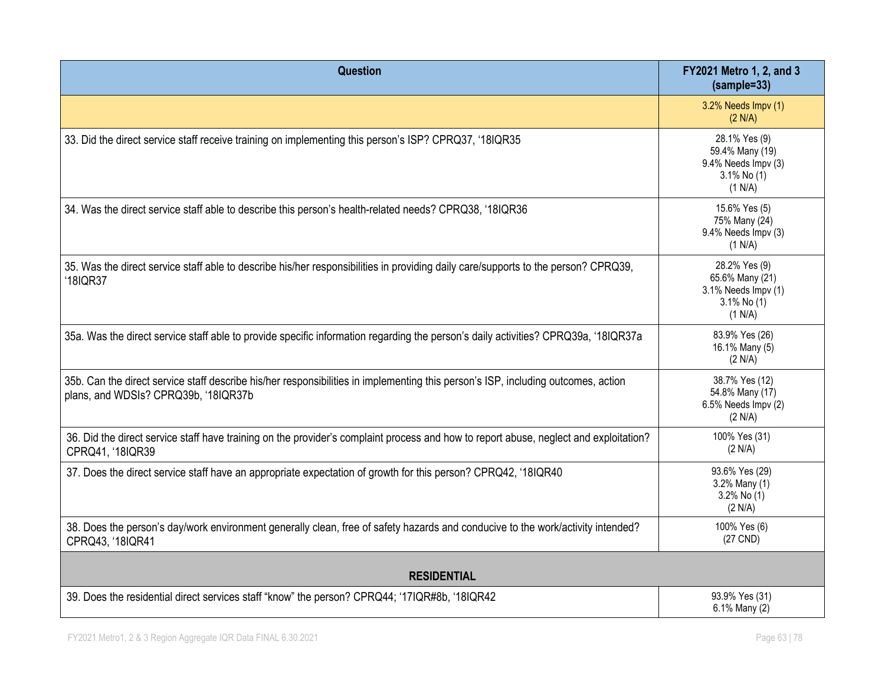| <b>Question</b>                                                                                                                                                           | FY2021 Metro 1, 2, and 3<br>$(sample=33)$                                            |  |  |  |
|---------------------------------------------------------------------------------------------------------------------------------------------------------------------------|--------------------------------------------------------------------------------------|--|--|--|
|                                                                                                                                                                           | 3.2% Needs Impv (1)<br>(2 N/A)                                                       |  |  |  |
| 33. Did the direct service staff receive training on implementing this person's ISP? CPRQ37, '18IQR35                                                                     | 28.1% Yes (9)<br>59.4% Many (19)<br>9.4% Needs Impv (3)<br>3.1% No (1)<br>(1 N/A)    |  |  |  |
| 34. Was the direct service staff able to describe this person's health-related needs? CPRQ38, '18IQR36                                                                    | 15.6% Yes (5)<br>75% Many (24)<br>9.4% Needs Impv (3)<br>(1 N/A)                     |  |  |  |
| 35. Was the direct service staff able to describe his/her responsibilities in providing daily care/supports to the person? CPRQ39,<br>'18IQR37                            | 28.2% Yes (9)<br>65.6% Many (21)<br>3.1% Needs Impv (1)<br>$3.1\%$ No (1)<br>(1 N/A) |  |  |  |
| 35a. Was the direct service staff able to provide specific information regarding the person's daily activities? CPRQ39a, '18IQR37a                                        | 83.9% Yes (26)<br>16.1% Many (5)<br>(2 N/A)                                          |  |  |  |
| 35b. Can the direct service staff describe his/her responsibilities in implementing this person's ISP, including outcomes, action<br>plans, and WDSIs? CPRQ39b, '18IQR37b | 38.7% Yes (12)<br>54.8% Many (17)<br>6.5% Needs Impv (2)<br>(2 N/A)                  |  |  |  |
| 36. Did the direct service staff have training on the provider's complaint process and how to report abuse, neglect and exploitation?<br>CPRQ41, '18IQR39                 | 100% Yes (31)<br>(2 N/A)                                                             |  |  |  |
| 37. Does the direct service staff have an appropriate expectation of growth for this person? CPRQ42, '18IQR40                                                             | 93.6% Yes (29)<br>3.2% Many (1)<br>3.2% No (1)<br>(2 N/A)                            |  |  |  |
| 38. Does the person's day/work environment generally clean, free of safety hazards and conducive to the work/activity intended?<br>CPRQ43, '18IQR41                       | 100% Yes (6)<br>(27 CND)                                                             |  |  |  |
| <b>RESIDENTIAL</b>                                                                                                                                                        |                                                                                      |  |  |  |
| 39. Does the residential direct services staff "know" the person? CPRQ44; '17IQR#8b, '18IQR42                                                                             | 93.9% Yes (31)<br>6.1% Many (2)                                                      |  |  |  |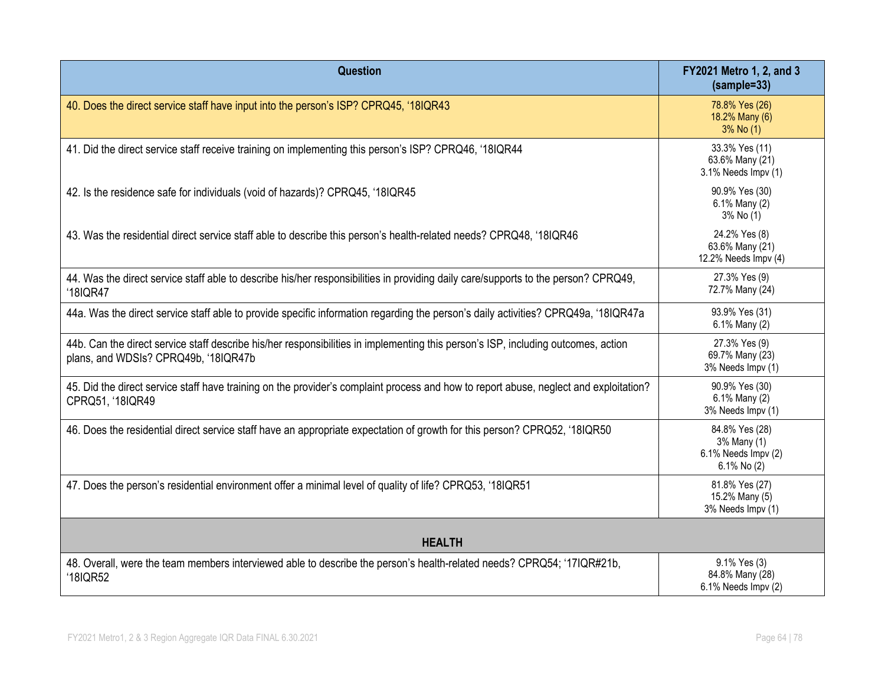| <b>Question</b>                                                                                                                                                           | FY2021 Metro 1, 2, and 3<br>$(sample=33)$                           |
|---------------------------------------------------------------------------------------------------------------------------------------------------------------------------|---------------------------------------------------------------------|
| 40. Does the direct service staff have input into the person's ISP? CPRQ45, '18IQR43                                                                                      | 78.8% Yes (26)<br>18.2% Many (6)<br>3% No (1)                       |
| 41. Did the direct service staff receive training on implementing this person's ISP? CPRQ46, '18IQR44                                                                     | 33.3% Yes (11)<br>63.6% Many (21)<br>3.1% Needs Impv (1)            |
| 42. Is the residence safe for individuals (void of hazards)? CPRQ45, '18IQR45                                                                                             | 90.9% Yes (30)<br>6.1% Many (2)<br>3% No (1)                        |
| 43. Was the residential direct service staff able to describe this person's health-related needs? CPRQ48, '18IQR46                                                        | 24.2% Yes (8)<br>63.6% Many (21)<br>12.2% Needs Impv (4)            |
| 44. Was the direct service staff able to describe his/her responsibilities in providing daily care/supports to the person? CPRQ49,<br>'18IQR47                            | 27.3% Yes (9)<br>72.7% Many (24)                                    |
| 44a. Was the direct service staff able to provide specific information regarding the person's daily activities? CPRQ49a, '18IQR47a                                        | 93.9% Yes (31)<br>6.1% Many (2)                                     |
| 44b. Can the direct service staff describe his/her responsibilities in implementing this person's ISP, including outcomes, action<br>plans, and WDSIs? CPRQ49b, '18IQR47b | 27.3% Yes (9)<br>69.7% Many (23)<br>3% Needs Impv (1)               |
| 45. Did the direct service staff have training on the provider's complaint process and how to report abuse, neglect and exploitation?<br>CPRQ51, '18IQR49                 | 90.9% Yes (30)<br>6.1% Many (2)<br>3% Needs Impv (1)                |
| 46. Does the residential direct service staff have an appropriate expectation of growth for this person? CPRQ52, '18IQR50                                                 | 84.8% Yes (28)<br>3% Many (1)<br>6.1% Needs Impv (2)<br>6.1% No (2) |
| 47. Does the person's residential environment offer a minimal level of quality of life? CPRQ53, '18IQR51                                                                  | 81.8% Yes (27)<br>15.2% Many (5)<br>3% Needs Impv (1)               |
| <b>HEALTH</b>                                                                                                                                                             |                                                                     |
| 48. Overall, were the team members interviewed able to describe the person's health-related needs? CPRQ54; '17IQR#21b,<br>'18IQR52                                        | 9.1% Yes (3)<br>84.8% Many (28)<br>6.1% Needs Impv (2)              |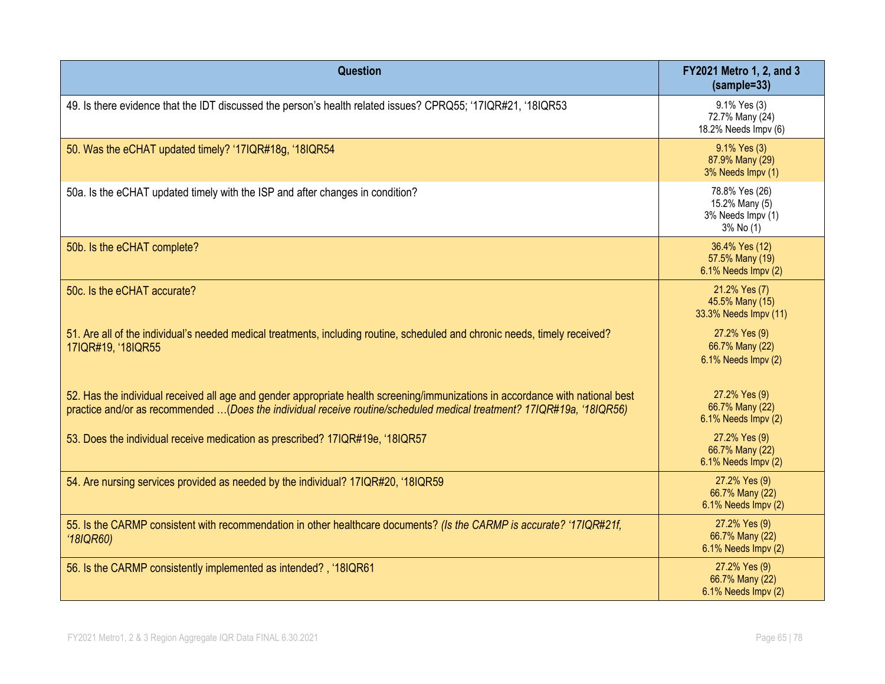| Question                                                                                                                                                                                                                                                | FY2021 Metro 1, 2, and 3<br>(sample=33)                            |
|---------------------------------------------------------------------------------------------------------------------------------------------------------------------------------------------------------------------------------------------------------|--------------------------------------------------------------------|
| 49. Is there evidence that the IDT discussed the person's health related issues? CPRQ55; '17IQR#21, '18IQR53                                                                                                                                            | 9.1% Yes (3)<br>72.7% Many (24)<br>18.2% Needs Impv (6)            |
| 50. Was the eCHAT updated timely? '17IQR#18g, '18IQR54                                                                                                                                                                                                  | 9.1% Yes (3)<br>87.9% Many (29)<br>3% Needs Impv (1)               |
| 50a. Is the eCHAT updated timely with the ISP and after changes in condition?                                                                                                                                                                           | 78.8% Yes (26)<br>15.2% Many (5)<br>3% Needs Impv (1)<br>3% No (1) |
| 50b. Is the eCHAT complete?                                                                                                                                                                                                                             | 36.4% Yes (12)<br>57.5% Many (19)<br>6.1% Needs Impv (2)           |
| 50c. Is the eCHAT accurate?                                                                                                                                                                                                                             | 21.2% Yes (7)<br>45.5% Many (15)<br>33.3% Needs Impv (11)          |
| 51. Are all of the individual's needed medical treatments, including routine, scheduled and chronic needs, timely received?<br>17IQR#19, '18IQR55                                                                                                       | 27.2% Yes (9)<br>66.7% Many (22)<br>6.1% Needs Impv (2)            |
| 52. Has the individual received all age and gender appropriate health screening/immunizations in accordance with national best<br>practice and/or as recommended (Does the individual receive routine/scheduled medical treatment? 17IQR#19a, '18IQR56) | 27.2% Yes (9)<br>66.7% Many (22)<br>6.1% Needs Impv (2)            |
| 53. Does the individual receive medication as prescribed? 17IQR#19e, '18IQR57                                                                                                                                                                           | 27.2% Yes (9)<br>66.7% Many (22)<br>6.1% Needs Impv (2)            |
| 54. Are nursing services provided as needed by the individual? 17IQR#20, '18IQR59                                                                                                                                                                       | 27.2% Yes (9)<br>66.7% Many (22)<br>6.1% Needs Impv (2)            |
| 55. Is the CARMP consistent with recommendation in other healthcare documents? (Is the CARMP is accurate? '17IQR#21f,<br>'18IQR60                                                                                                                       | 27.2% Yes (9)<br>66.7% Many (22)<br>6.1% Needs Impv (2)            |
| 56. Is the CARMP consistently implemented as intended?, '18IQR61                                                                                                                                                                                        | 27.2% Yes (9)<br>66.7% Many (22)<br>6.1% Needs Impv (2)            |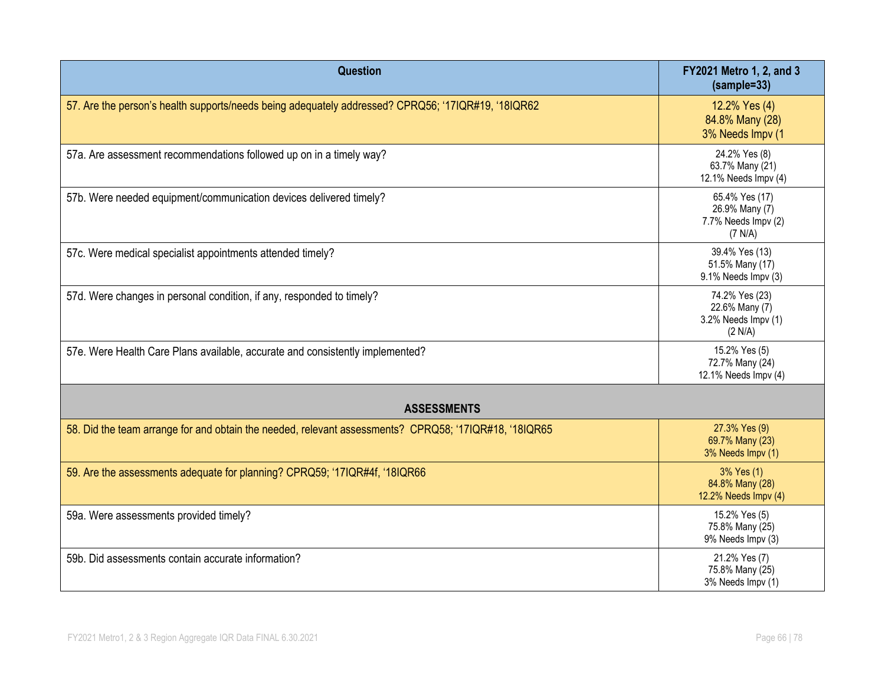| Question                                                                                              | FY2021 Metro 1, 2, and 3<br>$(sample=33)$                          |
|-------------------------------------------------------------------------------------------------------|--------------------------------------------------------------------|
| 57. Are the person's health supports/needs being adequately addressed? CPRQ56; '17IQR#19, '18IQR62    | 12.2% Yes (4)<br>84.8% Many (28)<br>3% Needs Impv (1               |
| 57a. Are assessment recommendations followed up on in a timely way?                                   | 24.2% Yes (8)<br>63.7% Many (21)<br>12.1% Needs Impv (4)           |
| 57b. Were needed equipment/communication devices delivered timely?                                    | 65.4% Yes (17)<br>26.9% Many (7)<br>7.7% Needs Impv (2)<br>(7 N/A) |
| 57c. Were medical specialist appointments attended timely?                                            | 39.4% Yes (13)<br>51.5% Many (17)<br>9.1% Needs Impv (3)           |
| 57d. Were changes in personal condition, if any, responded to timely?                                 | 74.2% Yes (23)<br>22.6% Many (7)<br>3.2% Needs Impv (1)<br>(2 N/A) |
| 57e. Were Health Care Plans available, accurate and consistently implemented?                         | 15.2% Yes (5)<br>72.7% Many (24)<br>12.1% Needs Impv (4)           |
| <b>ASSESSMENTS</b>                                                                                    |                                                                    |
| 58. Did the team arrange for and obtain the needed, relevant assessments? CPRQ58; '17IQR#18, '18IQR65 | 27.3% Yes (9)<br>69.7% Many (23)<br>3% Needs Impv (1)              |
| 59. Are the assessments adequate for planning? CPRQ59; '17IQR#4f, '18IQR66                            | 3% Yes (1)<br>84.8% Many (28)<br>12.2% Needs Impv (4)              |
| 59a. Were assessments provided timely?                                                                | 15.2% Yes (5)<br>75.8% Many (25)<br>9% Needs Impv (3)              |
| 59b. Did assessments contain accurate information?                                                    | 21.2% Yes (7)<br>75.8% Many (25)<br>3% Needs Impv (1)              |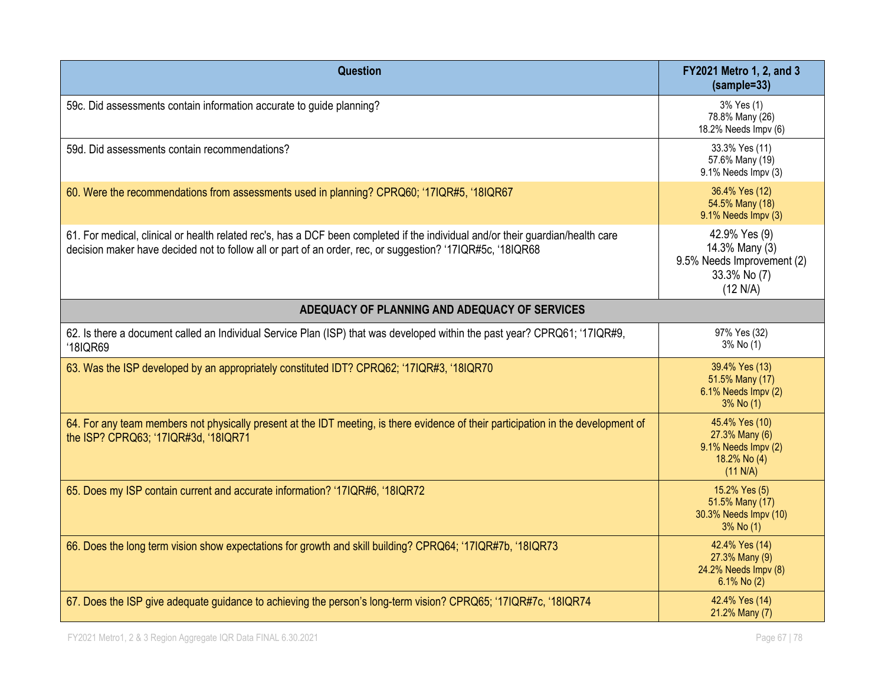| Question                                                                                                                                                                                                                                      | FY2021 Metro 1, 2, and 3<br>$(sample=33)$                                                 |  |  |
|-----------------------------------------------------------------------------------------------------------------------------------------------------------------------------------------------------------------------------------------------|-------------------------------------------------------------------------------------------|--|--|
| 59c. Did assessments contain information accurate to guide planning?                                                                                                                                                                          | 3% Yes (1)<br>78.8% Many (26)<br>18.2% Needs Impv (6)                                     |  |  |
| 59d. Did assessments contain recommendations?                                                                                                                                                                                                 | 33.3% Yes (11)<br>57.6% Many (19)<br>9.1% Needs Impv (3)                                  |  |  |
| 60. Were the recommendations from assessments used in planning? CPRQ60; '17IQR#5, '18IQR67                                                                                                                                                    | 36.4% Yes (12)<br>54.5% Many (18)<br>9.1% Needs Impv (3)                                  |  |  |
| 61. For medical, clinical or health related rec's, has a DCF been completed if the individual and/or their guardian/health care<br>decision maker have decided not to follow all or part of an order, rec, or suggestion? '17IQR#5c, '18IQR68 | 42.9% Yes (9)<br>14.3% Many (3)<br>9.5% Needs Improvement (2)<br>33.3% No (7)<br>(12 N/A) |  |  |
| ADEQUACY OF PLANNING AND ADEQUACY OF SERVICES                                                                                                                                                                                                 |                                                                                           |  |  |
| 62. Is there a document called an Individual Service Plan (ISP) that was developed within the past year? CPRQ61; '17IQR#9,<br>'18IQR69                                                                                                        | 97% Yes (32)<br>3% No (1)                                                                 |  |  |
| 63. Was the ISP developed by an appropriately constituted IDT? CPRQ62; '17IQR#3, '18IQR70                                                                                                                                                     | 39.4% Yes (13)<br>51.5% Many (17)<br>6.1% Needs Impv (2)<br>3% No (1)                     |  |  |
| 64. For any team members not physically present at the IDT meeting, is there evidence of their participation in the development of<br>the ISP? CPRQ63; '17IQR#3d, '18IQR71                                                                    | 45.4% Yes (10)<br>27.3% Many (6)<br>9.1% Needs Impv (2)<br>18.2% No (4)<br>(11 N/A)       |  |  |
| 65. Does my ISP contain current and accurate information? '17IQR#6, '18IQR72                                                                                                                                                                  | 15.2% Yes (5)<br>51.5% Many (17)<br>30.3% Needs Impv (10)<br>3% No (1)                    |  |  |
| 66. Does the long term vision show expectations for growth and skill building? CPRQ64; '17IQR#7b, '18IQR73                                                                                                                                    | 42.4% Yes (14)<br>27.3% Many (9)<br>24.2% Needs Impv (8)<br>$6.1\%$ No (2)                |  |  |
| 67. Does the ISP give adequate guidance to achieving the person's long-term vision? CPRQ65; '17IQR#7c, '18IQR74                                                                                                                               | 42.4% Yes (14)<br>21.2% Many (7)                                                          |  |  |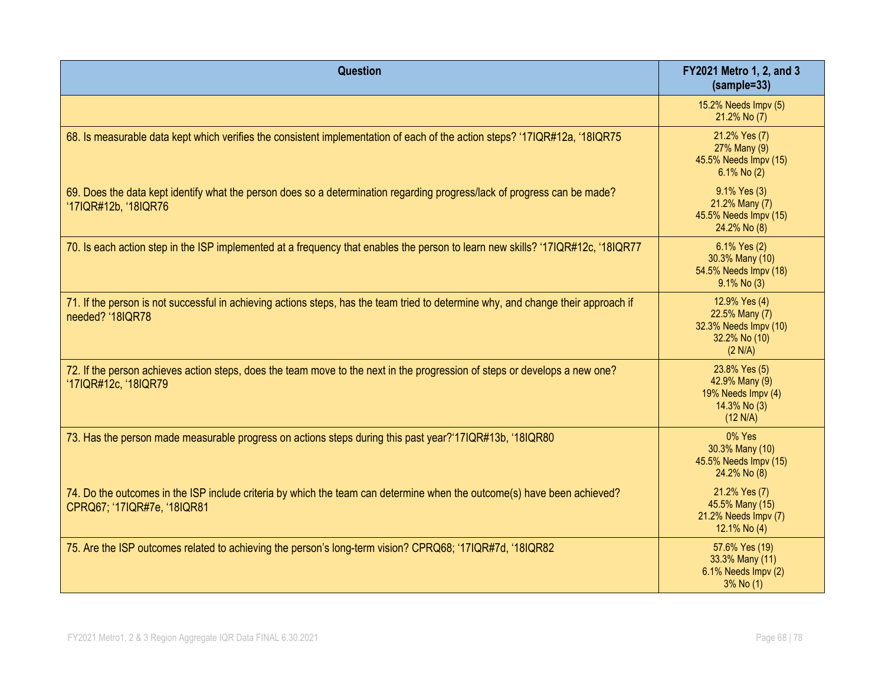| <b>Question</b>                                                                                                                                        | FY2021 Metro 1, 2, and 3<br>$(sample=33)$                                            |
|--------------------------------------------------------------------------------------------------------------------------------------------------------|--------------------------------------------------------------------------------------|
|                                                                                                                                                        | 15.2% Needs Impv (5)<br>21.2% No (7)                                                 |
| 68. Is measurable data kept which verifies the consistent implementation of each of the action steps? '17IQR#12a, '18IQR75                             | 21.2% Yes (7)<br>27% Many (9)<br>45.5% Needs Impv (15)<br>6.1% No (2)                |
| 69. Does the data kept identify what the person does so a determination regarding progress/lack of progress can be made?<br>'17IQR#12b, '18IQR76       | 9.1% Yes (3)<br>21.2% Many (7)<br>45.5% Needs Impv (15)<br>24.2% No (8)              |
| 70. Is each action step in the ISP implemented at a frequency that enables the person to learn new skills? '17IQR#12c, '18IQR77                        | 6.1% Yes (2)<br>30.3% Many (10)<br>54.5% Needs Impv (18)<br>$9.1\%$ No (3)           |
| 71. If the person is not successful in achieving actions steps, has the team tried to determine why, and change their approach if<br>needed? '18IQR78  | 12.9% Yes (4)<br>22.5% Many (7)<br>32.3% Needs Impv (10)<br>32.2% No (10)<br>(2 N/A) |
| 72. If the person achieves action steps, does the team move to the next in the progression of steps or develops a new one?<br>'17IQR#12c, '18IQR79     | 23.8% Yes (5)<br>42.9% Many (9)<br>19% Needs Impv (4)<br>14.3% No (3)<br>(12 N/A)    |
| 73. Has the person made measurable progress on actions steps during this past year?'17IQR#13b, '18IQR80                                                | 0% Yes<br>30.3% Many (10)<br>45.5% Needs Impv (15)<br>24.2% No (8)                   |
| 74. Do the outcomes in the ISP include criteria by which the team can determine when the outcome(s) have been achieved?<br>CPRQ67; '17IQR#7e, '18IQR81 | 21.2% Yes (7)<br>45.5% Many (15)<br>21.2% Needs Impv (7)<br>12.1% No (4)             |
| 75. Are the ISP outcomes related to achieving the person's long-term vision? CPRQ68; '17IQR#7d, '18IQR82                                               | 57.6% Yes (19)<br>33.3% Many (11)<br>6.1% Needs Impv (2)<br>$3%$ No $(1)$            |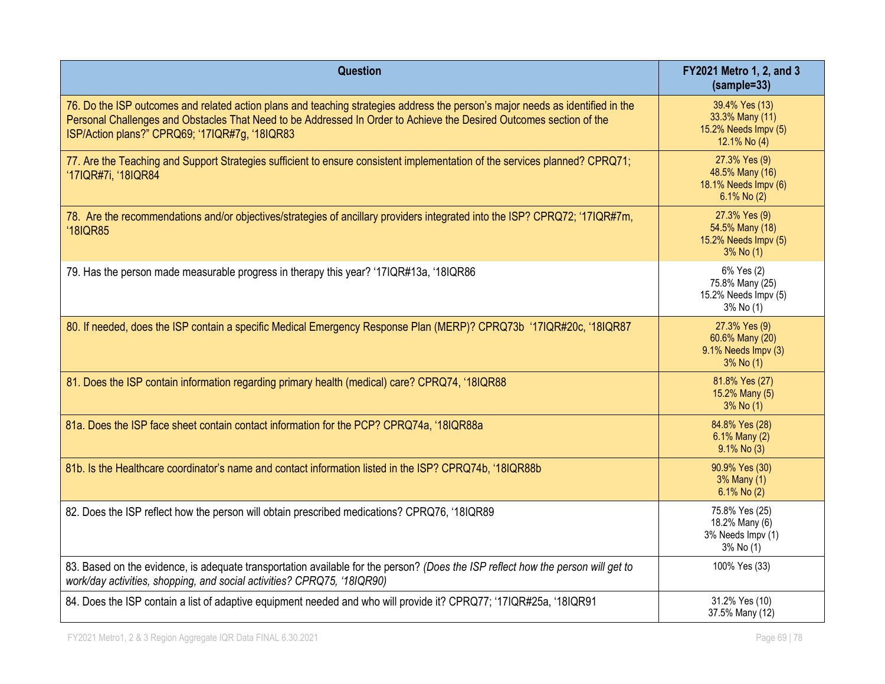| Question                                                                                                                                                                                                                                                                                                | FY2021 Metro 1, 2, and 3<br>$(sample=33)$                                  |
|---------------------------------------------------------------------------------------------------------------------------------------------------------------------------------------------------------------------------------------------------------------------------------------------------------|----------------------------------------------------------------------------|
| 76. Do the ISP outcomes and related action plans and teaching strategies address the person's major needs as identified in the<br>Personal Challenges and Obstacles That Need to be Addressed In Order to Achieve the Desired Outcomes section of the<br>ISP/Action plans?" CPRQ69; '17IQR#7g, '18IQR83 | 39.4% Yes (13)<br>33.3% Many (11)<br>15.2% Needs Impv (5)<br>12.1% No (4)  |
| 77. Are the Teaching and Support Strategies sufficient to ensure consistent implementation of the services planned? CPRQ71;<br>'17IQR#7i, '18IQR84                                                                                                                                                      | 27.3% Yes (9)<br>48.5% Many (16)<br>18.1% Needs Impv (6)<br>$6.1\%$ No (2) |
| 78. Are the recommendations and/or objectives/strategies of ancillary providers integrated into the ISP? CPRQ72; '17IQR#7m,<br>'18IQR85                                                                                                                                                                 | 27.3% Yes (9)<br>54.5% Many (18)<br>15.2% Needs Impv (5)<br>3% No (1)      |
| 79. Has the person made measurable progress in therapy this year? '17IQR#13a, '18IQR86                                                                                                                                                                                                                  | 6% Yes (2)<br>75.8% Many (25)<br>15.2% Needs Impv (5)<br>3% No (1)         |
| 80. If needed, does the ISP contain a specific Medical Emergency Response Plan (MERP)? CPRQ73b '17IQR#20c, '18IQR87                                                                                                                                                                                     | 27.3% Yes (9)<br>60.6% Many (20)<br>9.1% Needs Impv (3)<br>3% No (1)       |
| 81. Does the ISP contain information regarding primary health (medical) care? CPRQ74, '18IQR88                                                                                                                                                                                                          | 81.8% Yes (27)<br>15.2% Many (5)<br>3% No (1)                              |
| 81a. Does the ISP face sheet contain contact information for the PCP? CPRQ74a, '18IQR88a                                                                                                                                                                                                                | 84.8% Yes (28)<br>6.1% Many (2)<br>$9.1\%$ No (3)                          |
| 81b. Is the Healthcare coordinator's name and contact information listed in the ISP? CPRQ74b, '18IQR88b                                                                                                                                                                                                 | 90.9% Yes (30)<br>3% Many (1)<br>6.1% No (2)                               |
| 82. Does the ISP reflect how the person will obtain prescribed medications? CPRQ76, '18IQR89                                                                                                                                                                                                            | 75.8% Yes (25)<br>18.2% Many (6)<br>3% Needs Impv (1)<br>3% No (1)         |
| 83. Based on the evidence, is adequate transportation available for the person? (Does the ISP reflect how the person will get to<br>work/day activities, shopping, and social activities? CPRQ75, '18IQR90)                                                                                             | 100% Yes (33)                                                              |
| 84. Does the ISP contain a list of adaptive equipment needed and who will provide it? CPRQ77; '17IQR#25a, '18IQR91                                                                                                                                                                                      | 31.2% Yes (10)<br>37.5% Many (12)                                          |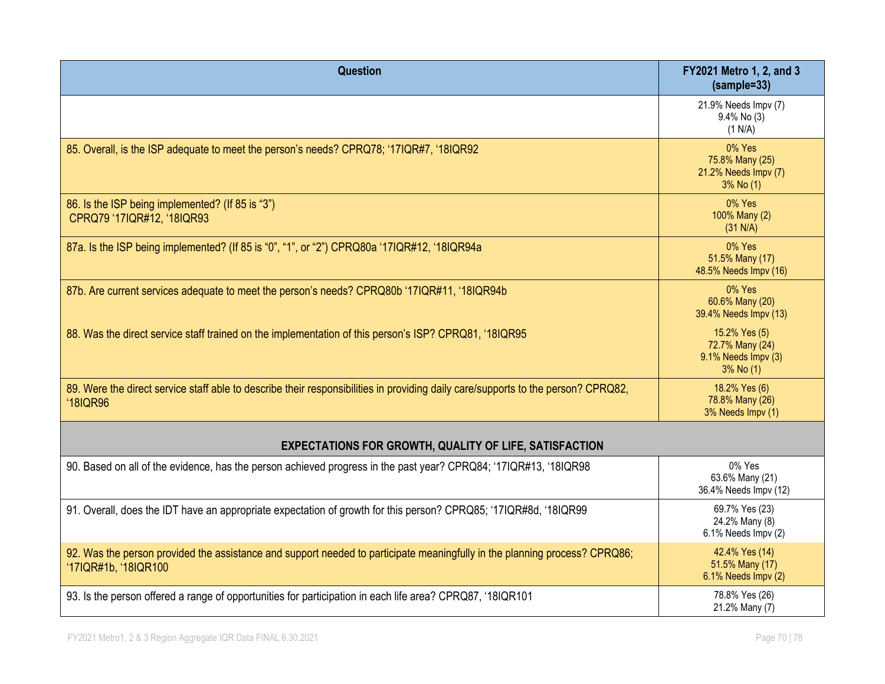| Question                                                                                                                                             | FY2021 Metro 1, 2, and 3<br>$(sample=33)$                            |  |
|------------------------------------------------------------------------------------------------------------------------------------------------------|----------------------------------------------------------------------|--|
|                                                                                                                                                      | 21.9% Needs Impv (7)<br>$9.4\%$ No (3)<br>(1 N/A)                    |  |
| 85. Overall, is the ISP adequate to meet the person's needs? CPRQ78; '17IQR#7, '18IQR92                                                              | $0\%$ Yes<br>75.8% Many (25)<br>21.2% Needs Impv (7)<br>3% No (1)    |  |
| 86. Is the ISP being implemented? (If 85 is "3")<br>CPRQ79 '17IQR#12, '18IQR93                                                                       | 0% Yes<br>100% Many (2)<br>(31 N/A)                                  |  |
| 87a. Is the ISP being implemented? (If 85 is "0", "1", or "2") CPRQ80a '17IQR#12, '18IQR94a                                                          | 0% Yes<br>51.5% Many (17)<br>48.5% Needs Impv (16)                   |  |
| 87b. Are current services adequate to meet the person's needs? CPRQ80b '17IQR#11, '18IQR94b                                                          | 0% Yes<br>60.6% Many (20)<br>39.4% Needs Impv (13)                   |  |
| 88. Was the direct service staff trained on the implementation of this person's ISP? CPRQ81, '18IQR95                                                | 15.2% Yes (5)<br>72.7% Many (24)<br>9.1% Needs Impv (3)<br>3% No (1) |  |
| 89. Were the direct service staff able to describe their responsibilities in providing daily care/supports to the person? CPRQ82,<br><b>'18IQR96</b> | 18.2% Yes (6)<br>78.8% Many (26)<br>3% Needs Impv (1)                |  |
| <b>EXPECTATIONS FOR GROWTH, QUALITY OF LIFE, SATISFACTION</b>                                                                                        |                                                                      |  |
| 90. Based on all of the evidence, has the person achieved progress in the past year? CPRQ84; '17IQR#13, '18IQR98                                     | 0% Yes<br>63.6% Many (21)<br>36.4% Needs Impv (12)                   |  |
| 91. Overall, does the IDT have an appropriate expectation of growth for this person? CPRQ85; '17IQR#8d, '18IQR99                                     | 69.7% Yes (23)<br>24.2% Many (8)<br>6.1% Needs Impv (2)              |  |
| 92. Was the person provided the assistance and support needed to participate meaningfully in the planning process? CPRQ86;<br>'17IQR#1b, '18IQR100   | 42.4% Yes (14)<br>51.5% Many (17)<br>6.1% Needs Impv (2)             |  |
| 93. Is the person offered a range of opportunities for participation in each life area? CPRQ87, '18IQR101                                            | 78.8% Yes (26)<br>21.2% Many (7)                                     |  |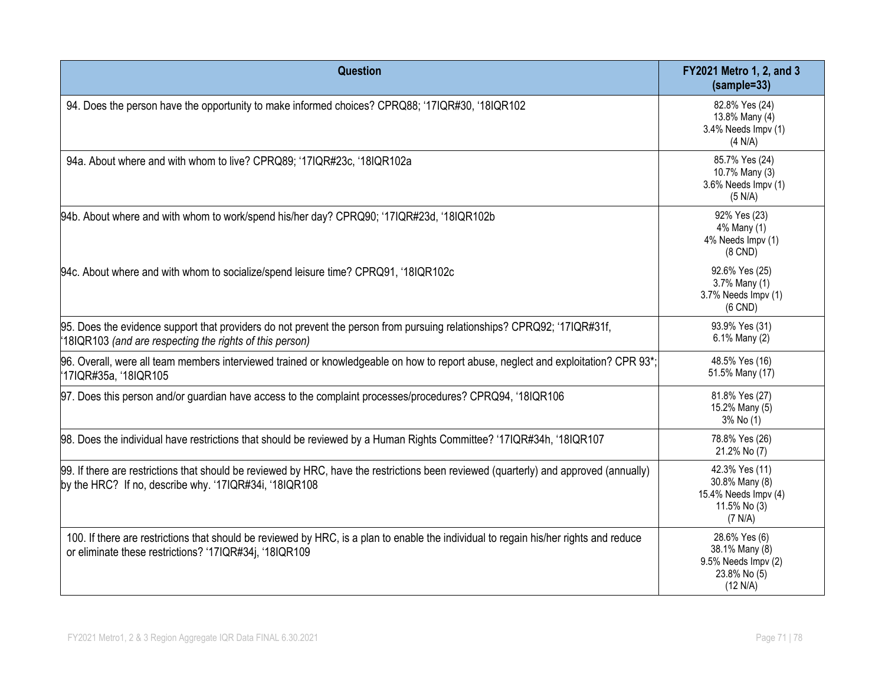| Question                                                                                                                                                                                         | FY2021 Metro 1, 2, and 3<br>(sample=33)                                             |
|--------------------------------------------------------------------------------------------------------------------------------------------------------------------------------------------------|-------------------------------------------------------------------------------------|
| 94. Does the person have the opportunity to make informed choices? CPRQ88; '17IQR#30, '18IQR102                                                                                                  | 82.8% Yes (24)<br>13.8% Many (4)<br>3.4% Needs Impv (1)<br>(4 N/A)                  |
| 94a. About where and with whom to live? CPRQ89; '17IQR#23c, '18IQR102a                                                                                                                           | 85.7% Yes (24)<br>10.7% Many (3)<br>3.6% Needs Impv (1)<br>(5 N/A)                  |
| 94b. About where and with whom to work/spend his/her day? CPRQ90; '17IQR#23d, '18IQR102b                                                                                                         | 92% Yes (23)<br>4% Many (1)<br>4% Needs Impv (1)<br>$(8$ CND $)$                    |
| 94c. About where and with whom to socialize/spend leisure time? CPRQ91, '18IQR102c                                                                                                               | 92.6% Yes (25)<br>3.7% Many (1)<br>3.7% Needs Impv (1)<br>$(6$ CND)                 |
| 95. Does the evidence support that providers do not prevent the person from pursuing relationships? CPRQ92; '17IQR#31f,<br>18IQR103 (and are respecting the rights of this person)               | 93.9% Yes (31)<br>6.1% Many (2)                                                     |
| 96. Overall, were all team members interviewed trained or knowledgeable on how to report abuse, neglect and exploitation? CPR 93*;<br>'17IQR#35a, '18IQR105                                      | 48.5% Yes (16)<br>51.5% Many (17)                                                   |
| 97. Does this person and/or guardian have access to the complaint processes/procedures? CPRQ94, '18IQR106                                                                                        | 81.8% Yes (27)<br>15.2% Many (5)<br>3% No (1)                                       |
| 98. Does the individual have restrictions that should be reviewed by a Human Rights Committee? '17IQR#34h, '18IQR107                                                                             | 78.8% Yes (26)<br>21.2% No (7)                                                      |
| [99. If there are restrictions that should be reviewed by HRC, have the restrictions been reviewed (quarterly) and approved (annually)<br>by the HRC? If no, describe why. '17IQR#34i, '18IQR108 | 42.3% Yes (11)<br>30.8% Many (8)<br>15.4% Needs Impv (4)<br>11.5% No (3)<br>(7 N/A) |
| 100. If there are restrictions that should be reviewed by HRC, is a plan to enable the individual to regain his/her rights and reduce<br>or eliminate these restrictions? '17IQR#34j, '18IQR109  | 28.6% Yes (6)<br>38.1% Many (8)<br>9.5% Needs Impv (2)<br>23.8% No (5)<br>(12 N/A)  |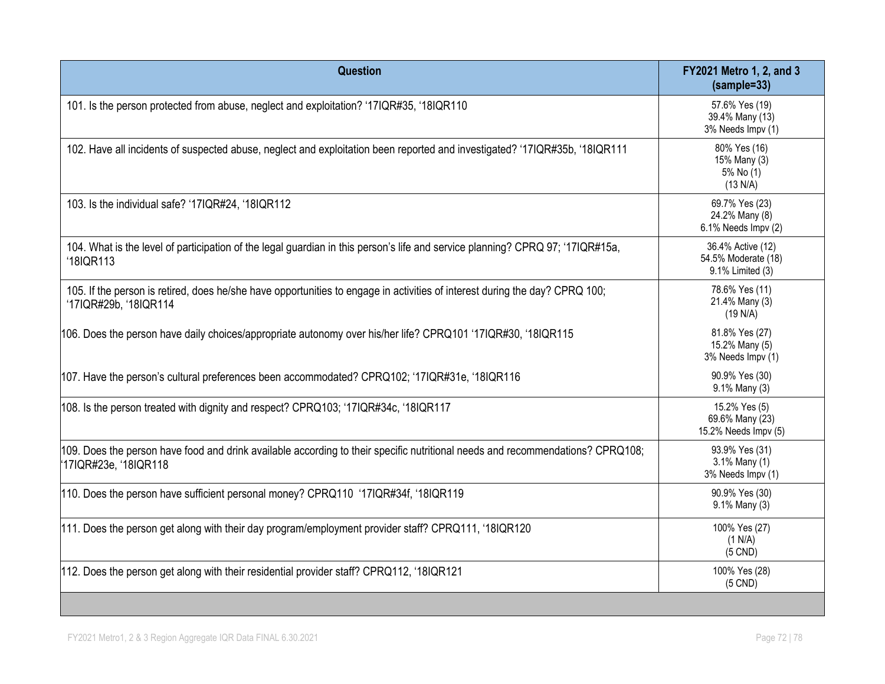| Question                                                                                                                                               | FY2021 Metro 1, 2, and 3<br>$(sample=33)$                    |
|--------------------------------------------------------------------------------------------------------------------------------------------------------|--------------------------------------------------------------|
| 101. Is the person protected from abuse, neglect and exploitation? '17IQR#35, '18IQR110                                                                | 57.6% Yes (19)<br>39.4% Many (13)<br>3% Needs Impv (1)       |
| 102. Have all incidents of suspected abuse, neglect and exploitation been reported and investigated? '17IQR#35b, '18IQR111                             | 80% Yes (16)<br>15% Many (3)<br>5% No (1)<br>(13 N/A)        |
| 103. Is the individual safe? '17IQR#24, '18IQR112                                                                                                      | 69.7% Yes (23)<br>24.2% Many (8)<br>6.1% Needs Impv (2)      |
| 104. What is the level of participation of the legal guardian in this person's life and service planning? CPRQ 97; '17IQR#15a,<br>'18IQR113            | 36.4% Active (12)<br>54.5% Moderate (18)<br>9.1% Limited (3) |
| 105. If the person is retired, does he/she have opportunities to engage in activities of interest during the day? CPRQ 100;<br>'17IQR#29b, '18IQR114   | 78.6% Yes (11)<br>21.4% Many (3)<br>(19 N/A)                 |
| 106. Does the person have daily choices/appropriate autonomy over his/her life? CPRQ101 '17IQR#30, '18IQR115                                           | 81.8% Yes (27)<br>15.2% Many (5)<br>3% Needs Impv (1)        |
| 107. Have the person's cultural preferences been accommodated? CPRQ102; '17IQR#31e, '18IQR116                                                          | 90.9% Yes (30)<br>9.1% Many (3)                              |
| 108. Is the person treated with dignity and respect? CPRQ103; '17IQR#34c, '18IQR117                                                                    | 15.2% Yes (5)<br>69.6% Many (23)<br>15.2% Needs Impv (5)     |
| 109. Does the person have food and drink available according to their specific nutritional needs and recommendations? CPRQ108;<br>17IQR#23e, '18IQR118 | 93.9% Yes (31)<br>3.1% Many (1)<br>3% Needs Impv (1)         |
| 110. Does the person have sufficient personal money? CPRQ110 '17IQR#34f, '18IQR119                                                                     | 90.9% Yes (30)<br>9.1% Many (3)                              |
| 111. Does the person get along with their day program/employment provider staff? CPRQ111, '18IQR120                                                    | 100% Yes (27)<br>(1 N/A)<br>$(5$ CND)                        |
| 112. Does the person get along with their residential provider staff? CPRQ112, '18IQR121                                                               | 100% Yes (28)<br>$(5$ CND)                                   |
|                                                                                                                                                        |                                                              |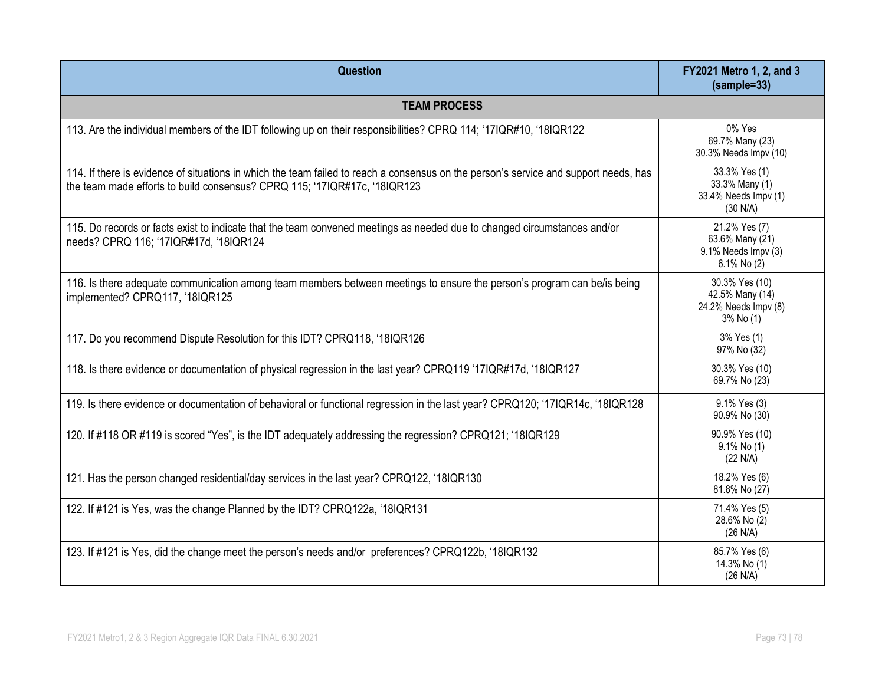| Question                                                                                                                                                                                                          | FY2021 Metro 1, 2, and 3<br>$(sample=33)$                              |
|-------------------------------------------------------------------------------------------------------------------------------------------------------------------------------------------------------------------|------------------------------------------------------------------------|
| <b>TEAM PROCESS</b>                                                                                                                                                                                               |                                                                        |
| 113. Are the individual members of the IDT following up on their responsibilities? CPRQ 114; '17IQR#10, '18IQR122                                                                                                 | 0% Yes<br>69.7% Many (23)<br>30.3% Needs Impv (10)                     |
| 114. If there is evidence of situations in which the team failed to reach a consensus on the person's service and support needs, has<br>the team made efforts to build consensus? CPRQ 115; '17IQR#17c, '18IQR123 | 33.3% Yes (1)<br>33.3% Many (1)<br>33.4% Needs Impv (1)<br>(30 N/A)    |
| 115. Do records or facts exist to indicate that the team convened meetings as needed due to changed circumstances and/or<br>needs? CPRQ 116; '17IQR#17d, '18IQR124                                                | 21.2% Yes (7)<br>63.6% Many (21)<br>9.1% Needs Impv (3)<br>6.1% No (2) |
| 116. Is there adequate communication among team members between meetings to ensure the person's program can be/is being<br>implemented? CPRQ117, '18IQR125                                                        | 30.3% Yes (10)<br>42.5% Many (14)<br>24.2% Needs Impv (8)<br>3% No (1) |
| 117. Do you recommend Dispute Resolution for this IDT? CPRQ118, '18IQR126                                                                                                                                         | 3% Yes (1)<br>97% No (32)                                              |
| 118. Is there evidence or documentation of physical regression in the last year? CPRQ119 '17IQR#17d, '18IQR127                                                                                                    | 30.3% Yes (10)<br>69.7% No (23)                                        |
| 119. Is there evidence or documentation of behavioral or functional regression in the last year? CPRQ120; '17IQR14c, '18IQR128                                                                                    | 9.1% Yes (3)<br>90.9% No (30)                                          |
| 120. If #118 OR #119 is scored "Yes", is the IDT adequately addressing the regression? CPRQ121; '18IQR129                                                                                                         | 90.9% Yes (10)<br>$9.1\%$ No (1)<br>(22 N/A)                           |
| 121. Has the person changed residential/day services in the last year? CPRQ122, '18IQR130                                                                                                                         | 18.2% Yes (6)<br>81.8% No (27)                                         |
| 122. If #121 is Yes, was the change Planned by the IDT? CPRQ122a, '18IQR131                                                                                                                                       | 71.4% Yes (5)<br>28.6% No (2)<br>(26 N/A)                              |
| 123. If #121 is Yes, did the change meet the person's needs and/or preferences? CPRQ122b, '18IQR132                                                                                                               | 85.7% Yes (6)<br>14.3% No (1)<br>(26 N/A)                              |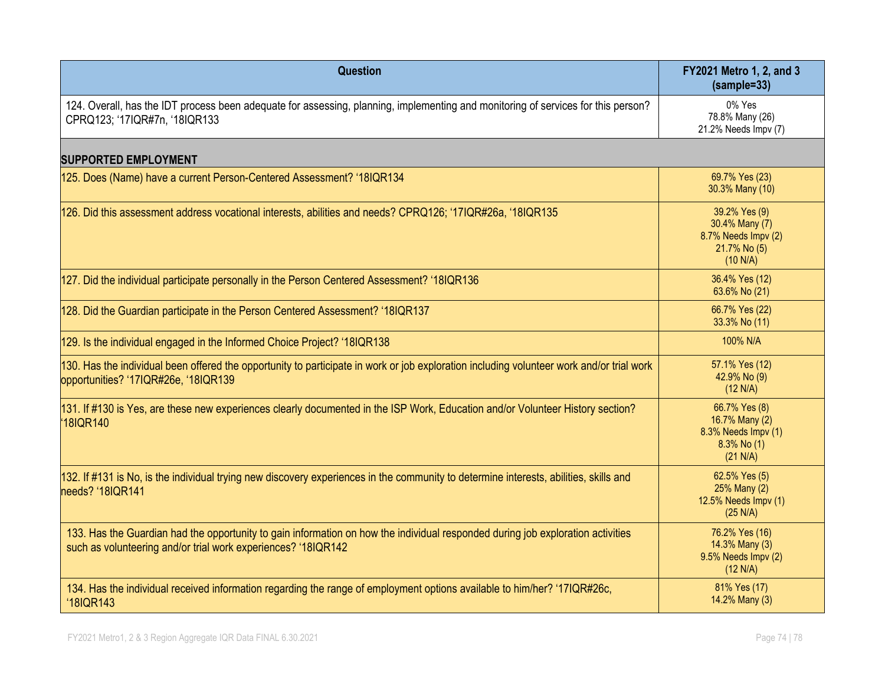| Question                                                                                                                                                                                         | FY2021 Metro 1, 2, and 3<br>$(sample=33)$                                          |  |
|--------------------------------------------------------------------------------------------------------------------------------------------------------------------------------------------------|------------------------------------------------------------------------------------|--|
| 124. Overall, has the IDT process been adequate for assessing, planning, implementing and monitoring of services for this person?<br>CPRQ123; '17IQR#7n, '18IQR133                               | 0% Yes<br>78.8% Many (26)<br>21.2% Needs Impv (7)                                  |  |
| <b>SUPPORTED EMPLOYMENT</b>                                                                                                                                                                      |                                                                                    |  |
| 125. Does (Name) have a current Person-Centered Assessment? '18IQR134                                                                                                                            | 69.7% Yes (23)<br>30.3% Many (10)                                                  |  |
| 126. Did this assessment address vocational interests, abilities and needs? CPRQ126; '17IQR#26a, '18IQR135                                                                                       | 39.2% Yes (9)<br>30.4% Many (7)<br>8.7% Needs Impv (2)<br>21.7% No (5)<br>(10 N/A) |  |
| 127. Did the individual participate personally in the Person Centered Assessment? '18IQR136                                                                                                      | 36.4% Yes (12)<br>63.6% No (21)                                                    |  |
| 128. Did the Guardian participate in the Person Centered Assessment? '18IQR137                                                                                                                   | 66.7% Yes (22)<br>33.3% No (11)                                                    |  |
| 129. Is the individual engaged in the Informed Choice Project? '18IQR138                                                                                                                         | 100% N/A                                                                           |  |
| 130. Has the individual been offered the opportunity to participate in work or job exploration including volunteer work and/or trial work<br>opportunities? '17IQR#26e, '18IQR139                | 57.1% Yes (12)<br>42.9% No (9)<br>(12 N/A)                                         |  |
| 131. If #130 is Yes, are these new experiences clearly documented in the ISP Work, Education and/or Volunteer History section?<br>18IQR140                                                       | 66.7% Yes (8)<br>16.7% Many (2)<br>8.3% Needs Impv (1)<br>8.3% No (1)<br>(21 N/A)  |  |
| 132. If #131 is No, is the individual trying new discovery experiences in the community to determine interests, abilities, skills and<br>needs? '18IQR141                                        | 62.5% Yes (5)<br>25% Many (2)<br>12.5% Needs Impv (1)<br>(25 N/A)                  |  |
| 133. Has the Guardian had the opportunity to gain information on how the individual responded during job exploration activities<br>such as volunteering and/or trial work experiences? '18IQR142 | 76.2% Yes (16)<br>14.3% Many (3)<br>9.5% Needs Impv (2)<br>(12 N/A)                |  |
| 134. Has the individual received information regarding the range of employment options available to him/her? '17IQR#26c,<br>'18IQR143                                                            | 81% Yes (17)<br>14.2% Many (3)                                                     |  |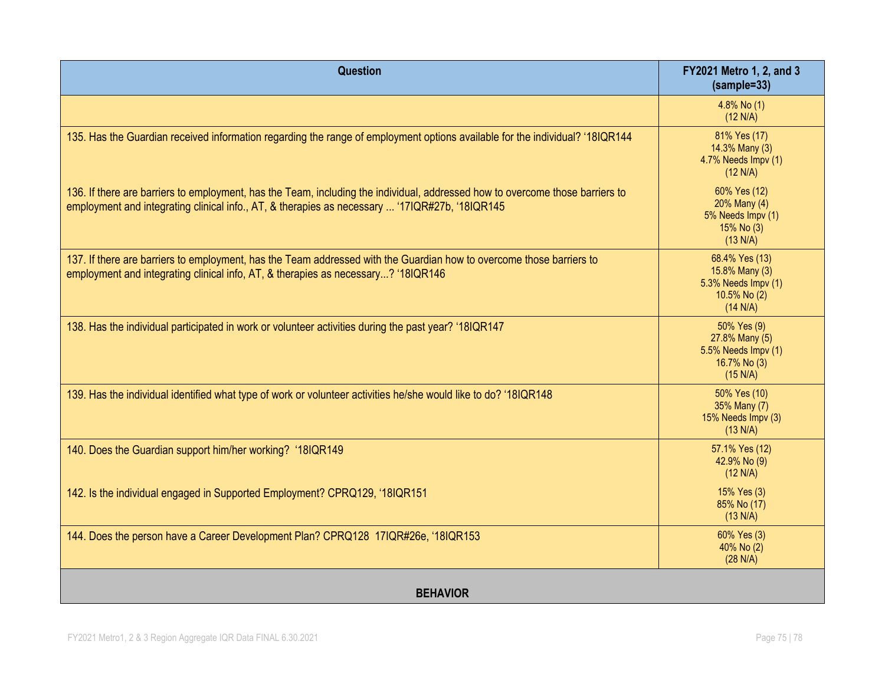| Question                                                                                                                                                                                                                        | FY2021 Metro 1, 2, and 3<br>$(sample=33)$                                           |
|---------------------------------------------------------------------------------------------------------------------------------------------------------------------------------------------------------------------------------|-------------------------------------------------------------------------------------|
|                                                                                                                                                                                                                                 | 4.8% No (1)<br>(12 N/A)                                                             |
| 135. Has the Guardian received information regarding the range of employment options available for the individual? '18IQR144                                                                                                    | 81% Yes (17)<br>14.3% Many (3)<br>4.7% Needs Impv (1)<br>(12 N/A)                   |
| 136. If there are barriers to employment, has the Team, including the individual, addressed how to overcome those barriers to<br>employment and integrating clinical info., AT, & therapies as necessary  '17IQR#27b, '18IQR145 | 60% Yes (12)<br>20% Many (4)<br>5% Needs Impv (1)<br>15% No (3)<br>(13 N/A)         |
| 137. If there are barriers to employment, has the Team addressed with the Guardian how to overcome those barriers to<br>employment and integrating clinical info, AT, & therapies as necessary? '18IQR146                       | 68.4% Yes (13)<br>15.8% Many (3)<br>5.3% Needs Impv (1)<br>10.5% No (2)<br>(14 N/A) |
| 138. Has the individual participated in work or volunteer activities during the past year? '18IQR147                                                                                                                            | 50% Yes (9)<br>27.8% Many (5)<br>5.5% Needs Impv (1)<br>16.7% No (3)<br>(15 N/A)    |
| 139. Has the individual identified what type of work or volunteer activities he/she would like to do? '18IQR148                                                                                                                 | 50% Yes (10)<br>35% Many (7)<br>15% Needs Impv (3)<br>(13 N/A)                      |
| 140. Does the Guardian support him/her working? '18IQR149                                                                                                                                                                       | 57.1% Yes (12)<br>42.9% No (9)<br>(12 N/A)                                          |
| 142. Is the individual engaged in Supported Employment? CPRQ129, '18IQR151                                                                                                                                                      | 15% Yes (3)<br>85% No (17)<br>(13 N/A)                                              |
| 144. Does the person have a Career Development Plan? CPRQ128 17IQR#26e, '18IQR153                                                                                                                                               | 60% Yes (3)<br>40% No (2)<br>(28 N/A)                                               |
| <b>BEHAVIOR</b>                                                                                                                                                                                                                 |                                                                                     |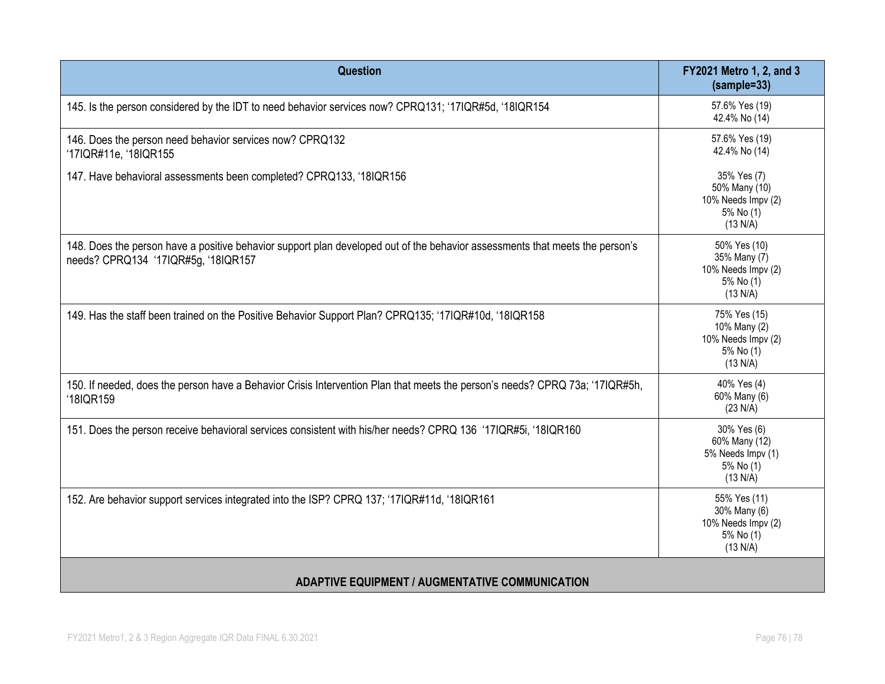| Question                                                                                                                                                            | FY2021 Metro 1, 2, and 3<br>(sample=33)                                     |  |
|---------------------------------------------------------------------------------------------------------------------------------------------------------------------|-----------------------------------------------------------------------------|--|
| 145. Is the person considered by the IDT to need behavior services now? CPRQ131; '17IQR#5d, '18IQR154                                                               | 57.6% Yes (19)<br>42.4% No (14)                                             |  |
| 146. Does the person need behavior services now? CPRQ132<br>'17IQR#11e, '18IQR155                                                                                   | 57.6% Yes (19)<br>42.4% No (14)                                             |  |
| 147. Have behavioral assessments been completed? CPRQ133, '18IQR156                                                                                                 | 35% Yes (7)<br>50% Many (10)<br>10% Needs Impv (2)<br>5% No (1)<br>(13 N/A) |  |
| 148. Does the person have a positive behavior support plan developed out of the behavior assessments that meets the person's<br>needs? CPRQ134 '17IQR#5g, '18IQR157 | 50% Yes (10)<br>35% Many (7)<br>10% Needs Impv (2)<br>5% No (1)<br>(13 N/A) |  |
| 149. Has the staff been trained on the Positive Behavior Support Plan? CPRQ135; '17IQR#10d, '18IQR158                                                               | 75% Yes (15)<br>10% Many (2)<br>10% Needs Impv (2)<br>5% No (1)<br>(13 N/A) |  |
| 150. If needed, does the person have a Behavior Crisis Intervention Plan that meets the person's needs? CPRQ 73a; '17IQR#5h,<br>'18IQR159                           | 40% Yes (4)<br>60% Many (6)<br>(23 N/A)                                     |  |
| 151. Does the person receive behavioral services consistent with his/her needs? CPRQ 136 '17IQR#5i, '18IQR160                                                       | 30% Yes (6)<br>60% Many (12)<br>5% Needs Impv (1)<br>5% No (1)<br>(13 N/A)  |  |
| 152. Are behavior support services integrated into the ISP? CPRQ 137; '17IQR#11d, '18IQR161                                                                         | 55% Yes (11)<br>30% Many (6)<br>10% Needs Impv (2)<br>5% No (1)<br>(13 N/A) |  |
| <b>ADAPTIVE EQUIPMENT / AUGMENTATIVE COMMUNICATION</b>                                                                                                              |                                                                             |  |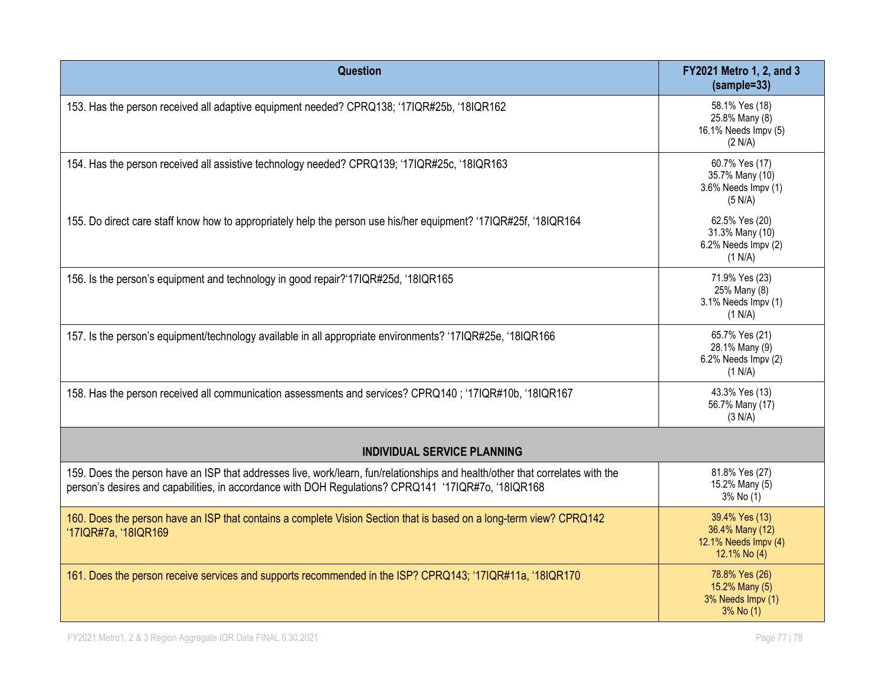| Question                                                                                                                                                                                                                             | FY2021 Metro 1, 2, and 3<br>$(sample=33)$                                 |
|--------------------------------------------------------------------------------------------------------------------------------------------------------------------------------------------------------------------------------------|---------------------------------------------------------------------------|
| 153. Has the person received all adaptive equipment needed? CPRQ138; '17IQR#25b, '18IQR162                                                                                                                                           | 58.1% Yes (18)<br>25.8% Many (8)<br>16.1% Needs Impv (5)<br>(2 N/A)       |
| 154. Has the person received all assistive technology needed? CPRQ139; '17IQR#25c, '18IQR163                                                                                                                                         | 60.7% Yes (17)<br>35.7% Many (10)<br>3.6% Needs Impv (1)<br>(5 N/A)       |
| 155. Do direct care staff know how to appropriately help the person use his/her equipment? '17IQR#25f, '18IQR164                                                                                                                     | 62.5% Yes (20)<br>31.3% Many (10)<br>6.2% Needs Impv (2)<br>(1 N/A)       |
| 156. Is the person's equipment and technology in good repair?'17IQR#25d, '18IQR165                                                                                                                                                   | 71.9% Yes (23)<br>25% Many (8)<br>3.1% Needs Impv (1)<br>(1 N/A)          |
| 157. Is the person's equipment/technology available in all appropriate environments? '17IQR#25e, '18IQR166                                                                                                                           | 65.7% Yes (21)<br>28.1% Many (9)<br>6.2% Needs Impv (2)<br>(1 N/A)        |
| 158. Has the person received all communication assessments and services? CPRQ140; '17IQR#10b, '18IQR167                                                                                                                              | 43.3% Yes (13)<br>56.7% Many (17)<br>(3 N/A)                              |
| <b>INDIVIDUAL SERVICE PLANNING</b>                                                                                                                                                                                                   |                                                                           |
| 159. Does the person have an ISP that addresses live, work/learn, fun/relationships and health/other that correlates with the<br>person's desires and capabilities, in accordance with DOH Regulations? CPRQ141 '17IQR#7o, '18IQR168 | 81.8% Yes (27)<br>15.2% Many (5)<br>3% No (1)                             |
| 160. Does the person have an ISP that contains a complete Vision Section that is based on a long-term view? CPRQ142<br>'17IQR#7a, '18IQR169                                                                                          | 39.4% Yes (13)<br>36.4% Many (12)<br>12.1% Needs Impv (4)<br>12.1% No (4) |
| 161. Does the person receive services and supports recommended in the ISP? CPRQ143; '17IQR#11a, '18IQR170                                                                                                                            | 78.8% Yes (26)<br>15.2% Many (5)<br>3% Needs Impv (1)<br>$3%$ No $(1)$    |